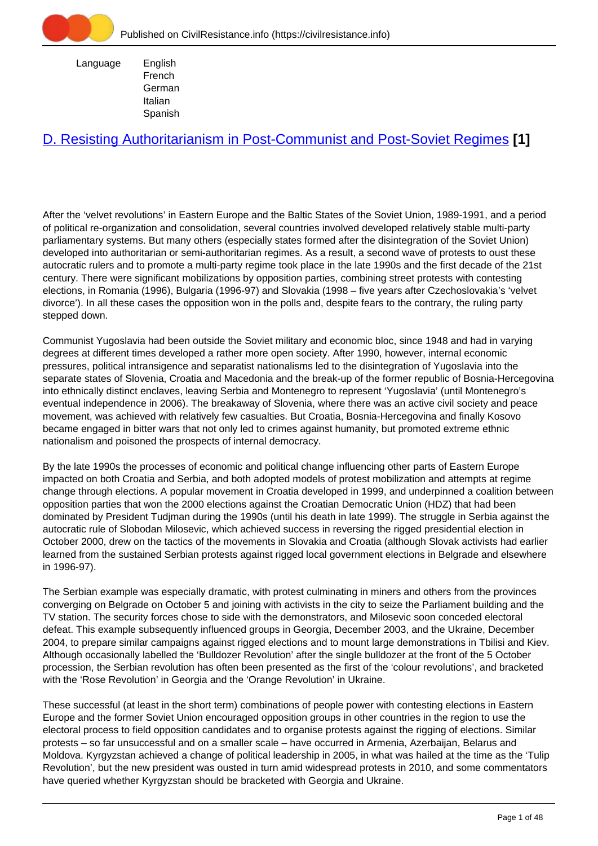

 Language English French **German** Italian Spanish

# [D. Resisting Authoritarianism in Post-Communist and Post-Soviet Regimes](https://civilresistance.info/section/d-resisting-authoritarianism-post-communist-and-post-soviet-regimes) **[1]**

After the 'velvet revolutions' in Eastern Europe and the Baltic States of the Soviet Union, 1989-1991, and a period of political re-organization and consolidation, several countries involved developed relatively stable multi-party parliamentary systems. But many others (especially states formed after the disintegration of the Soviet Union) developed into authoritarian or semi-authoritarian regimes. As a result, a second wave of protests to oust these autocratic rulers and to promote a multi-party regime took place in the late 1990s and the first decade of the 21st century. There were significant mobilizations by opposition parties, combining street protests with contesting elections, in Romania (1996), Bulgaria (1996-97) and Slovakia (1998 – five years after Czechoslovakia's 'velvet divorce'). In all these cases the opposition won in the polls and, despite fears to the contrary, the ruling party stepped down.

Communist Yugoslavia had been outside the Soviet military and economic bloc, since 1948 and had in varying degrees at different times developed a rather more open society. After 1990, however, internal economic pressures, political intransigence and separatist nationalisms led to the disintegration of Yugoslavia into the separate states of Slovenia, Croatia and Macedonia and the break-up of the former republic of Bosnia-Hercegovina into ethnically distinct enclaves, leaving Serbia and Montenegro to represent 'Yugoslavia' (until Montenegro's eventual independence in 2006). The breakaway of Slovenia, where there was an active civil society and peace movement, was achieved with relatively few casualties. But Croatia, Bosnia-Hercegovina and finally Kosovo became engaged in bitter wars that not only led to crimes against humanity, but promoted extreme ethnic nationalism and poisoned the prospects of internal democracy.

By the late 1990s the processes of economic and political change influencing other parts of Eastern Europe impacted on both Croatia and Serbia, and both adopted models of protest mobilization and attempts at regime change through elections. A popular movement in Croatia developed in 1999, and underpinned a coalition between opposition parties that won the 2000 elections against the Croatian Democratic Union (HDZ) that had been dominated by President Tudjman during the 1990s (until his death in late 1999). The struggle in Serbia against the autocratic rule of Slobodan Milosevic, which achieved success in reversing the rigged presidential election in October 2000, drew on the tactics of the movements in Slovakia and Croatia (although Slovak activists had earlier learned from the sustained Serbian protests against rigged local government elections in Belgrade and elsewhere in 1996-97).

The Serbian example was especially dramatic, with protest culminating in miners and others from the provinces converging on Belgrade on October 5 and joining with activists in the city to seize the Parliament building and the TV station. The security forces chose to side with the demonstrators, and Milosevic soon conceded electoral defeat. This example subsequently influenced groups in Georgia, December 2003, and the Ukraine, December 2004, to prepare similar campaigns against rigged elections and to mount large demonstrations in Tbilisi and Kiev. Although occasionally labelled the 'Bulldozer Revolution' after the single bulldozer at the front of the 5 October procession, the Serbian revolution has often been presented as the first of the 'colour revolutions', and bracketed with the 'Rose Revolution' in Georgia and the 'Orange Revolution' in Ukraine.

These successful (at least in the short term) combinations of people power with contesting elections in Eastern Europe and the former Soviet Union encouraged opposition groups in other countries in the region to use the electoral process to field opposition candidates and to organise protests against the rigging of elections. Similar protests – so far unsuccessful and on a smaller scale – have occurred in Armenia, Azerbaijan, Belarus and Moldova. Kyrgyzstan achieved a change of political leadership in 2005, in what was hailed at the time as the 'Tulip Revolution', but the new president was ousted in turn amid widespread protests in 2010, and some commentators have queried whether Kyrgyzstan should be bracketed with Georgia and Ukraine.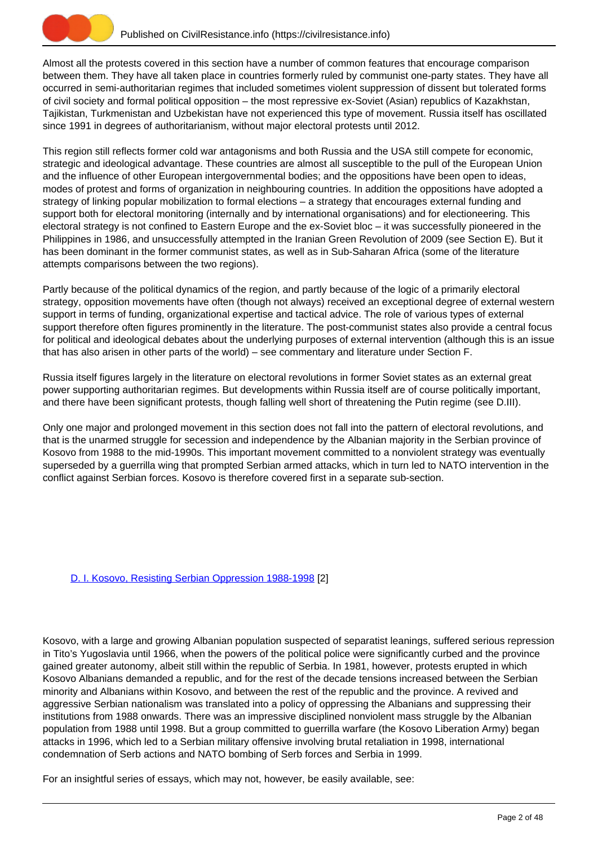

Almost all the protests covered in this section have a number of common features that encourage comparison between them. They have all taken place in countries formerly ruled by communist one-party states. They have all occurred in semi-authoritarian regimes that included sometimes violent suppression of dissent but tolerated forms of civil society and formal political opposition – the most repressive ex-Soviet (Asian) republics of Kazakhstan, Tajikistan, Turkmenistan and Uzbekistan have not experienced this type of movement. Russia itself has oscillated since 1991 in degrees of authoritarianism, without major electoral protests until 2012.

This region still reflects former cold war antagonisms and both Russia and the USA still compete for economic, strategic and ideological advantage. These countries are almost all susceptible to the pull of the European Union and the influence of other European intergovernmental bodies; and the oppositions have been open to ideas, modes of protest and forms of organization in neighbouring countries. In addition the oppositions have adopted a strategy of linking popular mobilization to formal elections – a strategy that encourages external funding and support both for electoral monitoring (internally and by international organisations) and for electioneering. This electoral strategy is not confined to Eastern Europe and the ex-Soviet bloc – it was successfully pioneered in the Philippines in 1986, and unsuccessfully attempted in the Iranian Green Revolution of 2009 (see Section E). But it has been dominant in the former communist states, as well as in Sub-Saharan Africa (some of the literature attempts comparisons between the two regions).

Partly because of the political dynamics of the region, and partly because of the logic of a primarily electoral strategy, opposition movements have often (though not always) received an exceptional degree of external western support in terms of funding, organizational expertise and tactical advice. The role of various types of external support therefore often figures prominently in the literature. The post-communist states also provide a central focus for political and ideological debates about the underlying purposes of external intervention (although this is an issue that has also arisen in other parts of the world) – see commentary and literature under Section F.

Russia itself figures largely in the literature on electoral revolutions in former Soviet states as an external great power supporting authoritarian regimes. But developments within Russia itself are of course politically important, and there have been significant protests, though falling well short of threatening the Putin regime (see D.III).

Only one major and prolonged movement in this section does not fall into the pattern of electoral revolutions, and that is the unarmed struggle for secession and independence by the Albanian majority in the Serbian province of Kosovo from 1988 to the mid-1990s. This important movement committed to a nonviolent strategy was eventually superseded by a guerrilla wing that prompted Serbian armed attacks, which in turn led to NATO intervention in the conflict against Serbian forces. Kosovo is therefore covered first in a separate sub-section.

# [D. I. Kosovo, Resisting Serbian Oppression 1988-1998](https://civilresistance.info/section/d-resisting-authoritarianism-post-communist-and-post-soviet-regimes/d-i-kosovo-resisting) [2]

Kosovo, with a large and growing Albanian population suspected of separatist leanings, suffered serious repression in Tito's Yugoslavia until 1966, when the powers of the political police were significantly curbed and the province gained greater autonomy, albeit still within the republic of Serbia. In 1981, however, protests erupted in which Kosovo Albanians demanded a republic, and for the rest of the decade tensions increased between the Serbian minority and Albanians within Kosovo, and between the rest of the republic and the province. A revived and aggressive Serbian nationalism was translated into a policy of oppressing the Albanians and suppressing their institutions from 1988 onwards. There was an impressive disciplined nonviolent mass struggle by the Albanian population from 1988 until 1998. But a group committed to guerrilla warfare (the Kosovo Liberation Army) began attacks in 1996, which led to a Serbian military offensive involving brutal retaliation in 1998, international condemnation of Serb actions and NATO bombing of Serb forces and Serbia in 1999.

For an insightful series of essays, which may not, however, be easily available, see: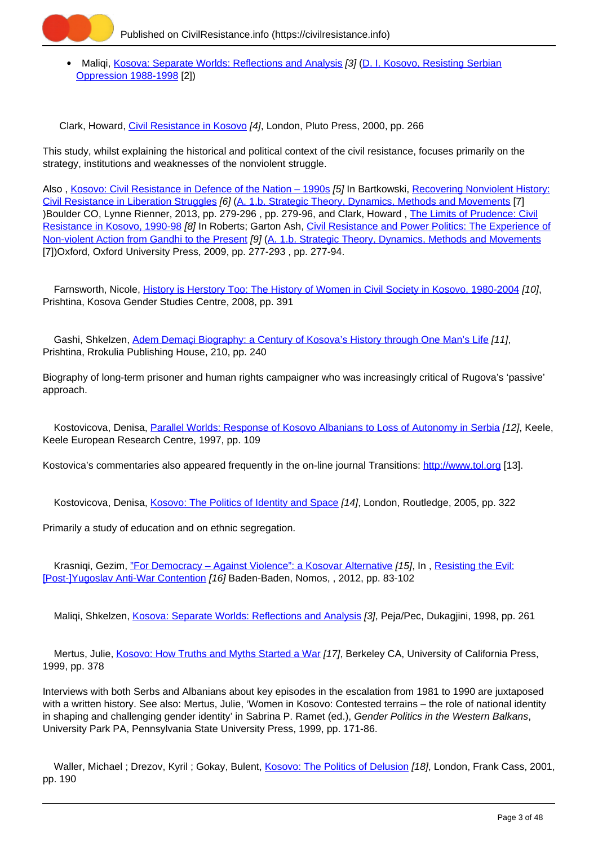

• Maliqi, [Kosova: Separate Worlds: Reflections and Analysis](https://civilresistance.info/biblio-item/1998/kosova-separate-worlds-reflections-and-analysis) [3] ([D. I. Kosovo, Resisting Serbian](https://civilresistance.info/section/d-resisting-authoritarianism-post-communist-and-post-soviet-regimes/d-i-kosovo-resisting) [Oppression 1988-1998](https://civilresistance.info/section/d-resisting-authoritarianism-post-communist-and-post-soviet-regimes/d-i-kosovo-resisting) [2])

Clark, Howard, [Civil Resistance in Kosovo](https://civilresistance.info/biblio-item/2000/civil-resistance-kosovo) [4], London, Pluto Press, 2000, pp. 266

This study, whilst explaining the historical and political context of the civil resistance, focuses primarily on the strategy, institutions and weaknesses of the nonviolent struggle.

Also , [Kosovo: Civil Resistance in Defence of the Nation – 1990s](https://civilresistance.info/biblio-item/2013/kosovo-civil-resistance-defence-nation-1990s) [5] In Bartkowski, [Recovering Nonviolent History:](https://civilresistance.info/biblio-item/2013/recovering-nonviolent-history-civil-resistance-liberation-struggles) [Civil Resistance in Liberation Struggles](https://civilresistance.info/biblio-item/2013/recovering-nonviolent-history-civil-resistance-liberation-struggles) [6] ([A. 1.b. Strategic Theory, Dynamics, Methods and Movements](https://civilresistance.info/section/introduction-nonviolent-action/1-theory-methods-and-examples/1b-strategic-theory-dynamics) [7] )Boulder CO, Lynne Rienner, 2013, pp. 279-296 , pp. 279-96, and Clark, Howard , [The Limits of Prudence: Civil](https://civilresistance.info/biblio-item/2009/limits-prudence-civil-resistance-kosovo-1990-98) [Resistance in Kosovo, 1990-98](https://civilresistance.info/biblio-item/2009/limits-prudence-civil-resistance-kosovo-1990-98) [8] In Roberts; Garton Ash, [Civil Resistance and Power Politics: The Experience of](https://civilresistance.info/biblio-item/2009/civil-resistance-and-power-politics-experience-non-violent-action-gandhi-present) [Non-violent Action from Gandhi to the Present](https://civilresistance.info/biblio-item/2009/civil-resistance-and-power-politics-experience-non-violent-action-gandhi-present) [9] ([A. 1.b. Strategic Theory, Dynamics, Methods and Movements](https://civilresistance.info/section/introduction-nonviolent-action/1-theory-methods-and-examples/1b-strategic-theory-dynamics) [7])Oxford, Oxford University Press, 2009, pp. 277-293, pp. 277-94.

 Farnsworth, Nicole, [History is Herstory Too: The History of Women in Civil Society in Kosovo, 1980-2004](https://civilresistance.info/biblio-item/2008/history-herstory-too-history-women-civil-society-kosovo-1980-2004) [10], Prishtina, Kosova Gender Studies Centre, 2008, pp. 391

Gashi, Shkelzen, Adem Demaci Biography: a Century of Kosova's History through One Man's Life [11], Prishtina, Rrokulia Publishing House, 210, pp. 240

Biography of long-term prisoner and human rights campaigner who was increasingly critical of Rugova's 'passive' approach.

Kostovicova, Denisa, [Parallel Worlds: Response of Kosovo Albanians to Loss of Autonomy in Serbia](https://civilresistance.info/biblio-item/1997/parallel-worlds-response-kosovo-albanians-loss-autonomy-serbia) [12], Keele, Keele European Research Centre, 1997, pp. 109

Kostovica's commentaries also appeared frequently in the on-line journal Transitions: <http://www.tol.org> [13].

Kostovicova, Denisa, [Kosovo: The Politics of Identity and Space](https://civilresistance.info/biblio-item/2005/kosovo-politics-identity-and-space) [14], London, Routledge, 2005, pp. 322

Primarily a study of education and on ethnic segregation.

Krasniqi, Gezim, ["For Democracy – Against Violence": a Kosovar Alternative](https://civilresistance.info/biblio-item/2012/democracy-against-violence-kosovar-alternative) [15], In, [Resisting the Evil:](https://civilresistance.info/biblio-item/2012/resisting-evil-post-yugoslav-anti-war-contention) [\[Post-\]Yugoslav Anti-War Contention](https://civilresistance.info/biblio-item/2012/resisting-evil-post-yugoslav-anti-war-contention) [16] Baden-Baden, Nomos, , 2012, pp. 83-102

Maliqi, Shkelzen, [Kosova: Separate Worlds: Reflections and Analysis](https://civilresistance.info/biblio-item/1998/kosova-separate-worlds-reflections-and-analysis) [3], Peja/Pec, Dukagjini, 1998, pp. 261

Mertus, Julie, [Kosovo: How Truths and Myths Started a War](https://civilresistance.info/biblio-item/1999/kosovo-how-truths-and-myths-started-war) [17], Berkeley CA, University of California Press, 1999, pp. 378

Interviews with both Serbs and Albanians about key episodes in the escalation from 1981 to 1990 are juxtaposed with a written history. See also: Mertus, Julie, 'Women in Kosovo: Contested terrains – the role of national identity in shaping and challenging gender identity' in Sabrina P. Ramet (ed.), Gender Politics in the Western Balkans, University Park PA, Pennsylvania State University Press, 1999, pp. 171-86.

Waller, Michael ; Drezov, Kyril ; Gokay, Bulent, [Kosovo: The Politics of Delusion](https://civilresistance.info/biblio-item/2001/kosovo-politics-delusion) [18], London, Frank Cass, 2001, pp. 190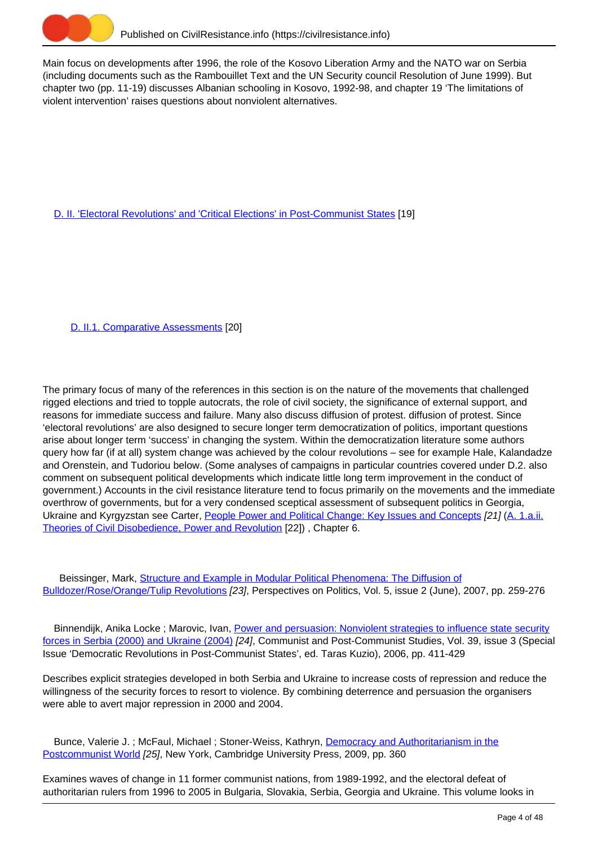

Main focus on developments after 1996, the role of the Kosovo Liberation Army and the NATO war on Serbia (including documents such as the Rambouillet Text and the UN Security council Resolution of June 1999). But chapter two (pp. 11-19) discusses Albanian schooling in Kosovo, 1992-98, and chapter 19 'The limitations of violent intervention' raises questions about nonviolent alternatives.

[D. II. 'Electoral Revolutions' and 'Critical Elections' in Post-Communist States](https://civilresistance.info/section/d-resisting-authoritarianism-post-communist-and-post-soviet-regimes/d-ii-electoral) [19]

[D. II.1. Comparative Assessments](https://civilresistance.info/section/d-resisting-authoritarianism-post-communist-and-post-soviet-regimes/d-ii-electoral-0) [20]

The primary focus of many of the references in this section is on the nature of the movements that challenged rigged elections and tried to topple autocrats, the role of civil society, the significance of external support, and reasons for immediate success and failure. Many also discuss diffusion of protest. diffusion of protest. Since 'electoral revolutions' are also designed to secure longer term democratization of politics, important questions arise about longer term 'success' in changing the system. Within the democratization literature some authors query how far (if at all) system change was achieved by the colour revolutions – see for example Hale, Kalandadze and Orenstein, and Tudoriou below. (Some analyses of campaigns in particular countries covered under D.2. also comment on subsequent political developments which indicate little long term improvement in the conduct of government.) Accounts in the civil resistance literature tend to focus primarily on the movements and the immediate overthrow of governments, but for a very condensed sceptical assessment of subsequent politics in Georgia, Ukraine and Kyrgyzstan see Carter, [People Power and Political Change: Key Issues and Concepts](https://civilresistance.info/biblio-item/2012/people-power-and-political-change-key-issues-and-concepts) [21] ([A. 1.a.ii.](https://civilresistance.info/section/introduction-nonviolent-action/1-theory-methods-and-examples/1aii-theories-civil) [Theories of Civil Disobedience, Power and Revolution](https://civilresistance.info/section/introduction-nonviolent-action/1-theory-methods-and-examples/1aii-theories-civil) [22]) , Chapter 6.

 Beissinger, Mark, [Structure and Example in Modular Political Phenomena: The Diffusion of](https://civilresistance.info/biblio-item/2007/structure-and-example-modular-political-phenomena-diffusion-bulldozer-rose-orange) [Bulldozer/Rose/Orange/Tulip Revolutions](https://civilresistance.info/biblio-item/2007/structure-and-example-modular-political-phenomena-diffusion-bulldozer-rose-orange) [23], Perspectives on Politics, Vol. 5, issue 2 (June), 2007, pp. 259-276

Binnendijk, Anika Locke; Marovic, Ivan, [Power and persuasion: Nonviolent strategies to influence state security](https://civilresistance.info/biblio-item/2006/power-and-persuasion-nonviolent-strategies-influence-state-security-forces-serbia) [forces in Serbia \(2000\) and Ukraine \(2004\)](https://civilresistance.info/biblio-item/2006/power-and-persuasion-nonviolent-strategies-influence-state-security-forces-serbia) [24], Communist and Post-Communist Studies, Vol. 39, issue 3 (Special Issue 'Democratic Revolutions in Post-Communist States', ed. Taras Kuzio), 2006, pp. 411-429

Describes explicit strategies developed in both Serbia and Ukraine to increase costs of repression and reduce the willingness of the security forces to resort to violence. By combining deterrence and persuasion the organisers were able to avert major repression in 2000 and 2004.

Bunce, Valerie J.; McFaul, Michael; Stoner-Weiss, Kathryn, [Democracy and Authoritarianism in the](https://civilresistance.info/biblio-item/2009/democracy-and-authoritarianism-postcommunist-world) [Postcommunist World](https://civilresistance.info/biblio-item/2009/democracy-and-authoritarianism-postcommunist-world) [25], New York, Cambridge University Press, 2009, pp. 360

Examines waves of change in 11 former communist nations, from 1989-1992, and the electoral defeat of authoritarian rulers from 1996 to 2005 in Bulgaria, Slovakia, Serbia, Georgia and Ukraine. This volume looks in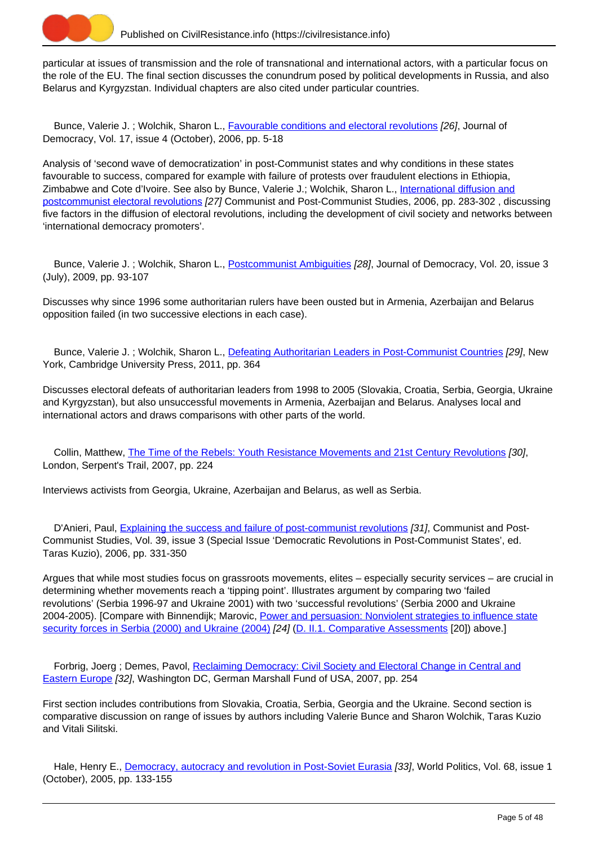

particular at issues of transmission and the role of transnational and international actors, with a particular focus on the role of the EU. The final section discusses the conundrum posed by political developments in Russia, and also Belarus and Kyrgyzstan. Individual chapters are also cited under particular countries.

Bunce, Valerie J.; Wolchik, Sharon L., **Favourable conditions and electoral revolutions** [26], Journal of Democracy, Vol. 17, issue 4 (October), 2006, pp. 5-18

Analysis of 'second wave of democratization' in post-Communist states and why conditions in these states favourable to success, compared for example with failure of protests over fraudulent elections in Ethiopia, Zimbabwe and Cote d'Ivoire. See also by Bunce, Valerie J.; Wolchik, Sharon L., [International diffusion and](https://civilresistance.info/biblio-item/2006/international-diffusion-and-postcommunist-electoral-revolutions) [postcommunist electoral revolutions](https://civilresistance.info/biblio-item/2006/international-diffusion-and-postcommunist-electoral-revolutions) [27] Communist and Post-Communist Studies, 2006, pp. 283-302 , discussing five factors in the diffusion of electoral revolutions, including the development of civil society and networks between 'international democracy promoters'.

Bunce, Valerie J. ; Wolchik, Sharon L., [Postcommunist Ambiguities](https://civilresistance.info/biblio-item/2009/postcommunist-ambiguities) [28], Journal of Democracy, Vol. 20, issue 3 (July), 2009, pp. 93-107

Discusses why since 1996 some authoritarian rulers have been ousted but in Armenia, Azerbaijan and Belarus opposition failed (in two successive elections in each case).

 Bunce, Valerie J. ; Wolchik, Sharon L., [Defeating Authoritarian Leaders in Post-Communist Countries](https://civilresistance.info/biblio-item/2011/defeating-authoritarian-leaders-post-communist-countries) [29], New York, Cambridge University Press, 2011, pp. 364

Discusses electoral defeats of authoritarian leaders from 1998 to 2005 (Slovakia, Croatia, Serbia, Georgia, Ukraine and Kyrgyzstan), but also unsuccessful movements in Armenia, Azerbaijan and Belarus. Analyses local and international actors and draws comparisons with other parts of the world.

 Collin, Matthew, [The Time of the Rebels: Youth Resistance Movements and 21st Century Revolutions](https://civilresistance.info/biblio-item/2007/time-rebels-youth-resistance-movements-and-21st-century-revolutions) [30], London, Serpent's Trail, 2007, pp. 224

Interviews activists from Georgia, Ukraine, Azerbaijan and Belarus, as well as Serbia.

D'Anieri, Paul, [Explaining the success and failure of post-communist revolutions](https://civilresistance.info/biblio-item/2006/explaining-success-and-failure-post-communist-revolutions) [31], Communist and Post-Communist Studies, Vol. 39, issue 3 (Special Issue 'Democratic Revolutions in Post-Communist States', ed. Taras Kuzio), 2006, pp. 331-350

Argues that while most studies focus on grassroots movements, elites – especially security services – are crucial in determining whether movements reach a 'tipping point'. Illustrates argument by comparing two 'failed revolutions' (Serbia 1996-97 and Ukraine 2001) with two 'successful revolutions' (Serbia 2000 and Ukraine 2004-2005). [Compare with Binnendijk; Marovic, [Power and persuasion: Nonviolent strategies to influence state](https://civilresistance.info/biblio-item/2006/power-and-persuasion-nonviolent-strategies-influence-state-security-forces-serbia) [security forces in Serbia \(2000\) and Ukraine \(2004\)](https://civilresistance.info/biblio-item/2006/power-and-persuasion-nonviolent-strategies-influence-state-security-forces-serbia) [24] ([D. II.1. Comparative Assessments](https://civilresistance.info/section/d-resisting-authoritarianism-post-communist-and-post-soviet-regimes/d-ii-electoral-0) [20]) above.]

Forbrig, Joerg ; Demes, Pavol, [Reclaiming Democracy: Civil Society and Electoral Change in Central and](https://civilresistance.info/biblio-item/2007/reclaiming-democracy-civil-society-and-electoral-change-central-and-eastern-europe) [Eastern Europe](https://civilresistance.info/biblio-item/2007/reclaiming-democracy-civil-society-and-electoral-change-central-and-eastern-europe) [32], Washington DC, German Marshall Fund of USA, 2007, pp. 254

First section includes contributions from Slovakia, Croatia, Serbia, Georgia and the Ukraine. Second section is comparative discussion on range of issues by authors including Valerie Bunce and Sharon Wolchik, Taras Kuzio and Vitali Silitski.

Hale, Henry E., [Democracy, autocracy and revolution in Post-Soviet Eurasia](https://civilresistance.info/biblio-item/2005/democracy-autocracy-and-revolution-post-soviet-eurasia) [33], World Politics, Vol. 68, issue 1 (October), 2005, pp. 133-155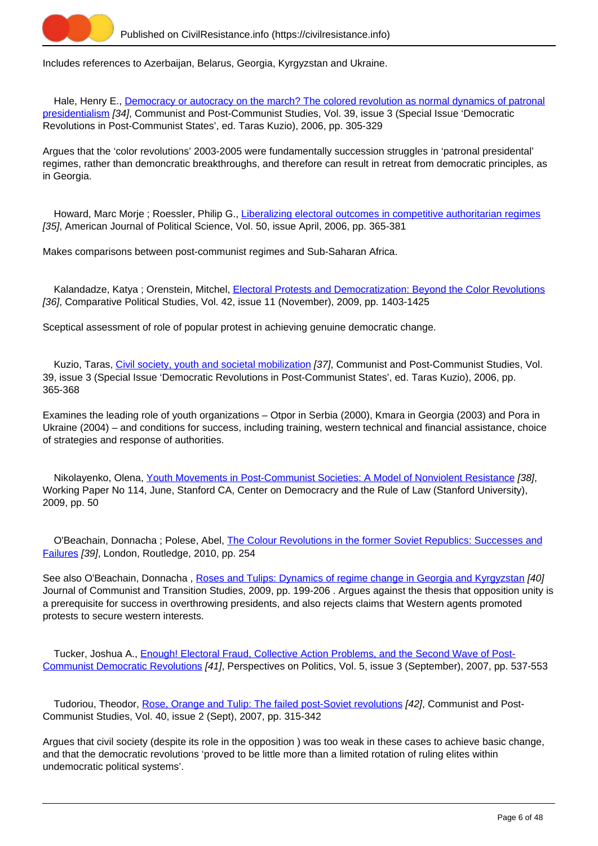

Includes references to Azerbaijan, Belarus, Georgia, Kyrgyzstan and Ukraine.

Hale, Henry E., [Democracy or autocracy on the march? The colored revolution as normal dynamics of patronal](https://civilresistance.info/biblio-item/2006/democracy-or-autocracy-march-colored-revolution-normal-dynamics-patronal) [presidentialism](https://civilresistance.info/biblio-item/2006/democracy-or-autocracy-march-colored-revolution-normal-dynamics-patronal) [34], Communist and Post-Communist Studies, Vol. 39, issue 3 (Special Issue 'Democratic Revolutions in Post-Communist States', ed. Taras Kuzio), 2006, pp. 305-329

Argues that the 'color revolutions' 2003-2005 were fundamentally succession struggles in 'patronal presidental' regimes, rather than demoncratic breakthroughs, and therefore can result in retreat from democratic principles, as in Georgia.

Howard, Marc Morje ; Roessler, Philip G., [Liberalizing electoral outcomes in competitive authoritarian regimes](https://civilresistance.info/biblio-item/2006/liberalizing-electoral-outcomes-competitive-authoritarian-regimes) [35], American Journal of Political Science, Vol. 50, issue April, 2006, pp. 365-381

Makes comparisons between post-communist regimes and Sub-Saharan Africa.

Kalandadze, Katya ; Orenstein, Mitchel, [Electoral Protests and Democratization: Beyond the Color Revolutions](https://civilresistance.info/biblio-item/2009/electoral-protests-and-democratization-beyond-color-revolutions) [36], Comparative Political Studies, Vol. 42, issue 11 (November), 2009, pp. 1403-1425

Sceptical assessment of role of popular protest in achieving genuine democratic change.

Kuzio, Taras, [Civil society, youth and societal mobilization](https://civilresistance.info/biblio-item/2006/civil-society-youth-and-societal-mobilization) [37], Communist and Post-Communist Studies, Vol. 39, issue 3 (Special Issue 'Democratic Revolutions in Post-Communist States', ed. Taras Kuzio), 2006, pp. 365-368

Examines the leading role of youth organizations – Otpor in Serbia (2000), Kmara in Georgia (2003) and Pora in Ukraine (2004) – and conditions for success, including training, western technical and financial assistance, choice of strategies and response of authorities.

 Nikolayenko, Olena, [Youth Movements in Post-Communist Societies: A Model of Nonviolent Resistance](https://civilresistance.info/biblio-item/2009/youth-movements-post-communist-societies-model-nonviolent-resistance) [38], Working Paper No 114, June, Stanford CA, Center on Democracry and the Rule of Law (Stanford University), 2009, pp. 50

 O'Beachain, Donnacha ; Polese, Abel, [The Colour Revolutions in the former Soviet Republics: Successes and](https://civilresistance.info/biblio-item/2010/colour-revolutions-former-soviet-republics-successes-and-failures) [Failures](https://civilresistance.info/biblio-item/2010/colour-revolutions-former-soviet-republics-successes-and-failures) [39], London, Routledge, 2010, pp. 254

See also O'Beachain, Donnacha, [Roses and Tulips: Dynamics of regime change in Georgia and Kyrgyzstan](https://civilresistance.info/biblio-item/2009/roses-and-tulips-dynamics-regime-change-georgia-and-kyrgyzstan) [40] Journal of Communist and Transition Studies, 2009, pp. 199-206 . Argues against the thesis that opposition unity is a prerequisite for success in overthrowing presidents, and also rejects claims that Western agents promoted protests to secure western interests.

 Tucker, Joshua A., [Enough! Electoral Fraud, Collective Action Problems, and the Second Wave of Post-](https://civilresistance.info/biblio-item/2007/enough-electoral-fraud-collective-action-problems-and-second-wave-post-communist)[Communist Democratic Revolutions](https://civilresistance.info/biblio-item/2007/enough-electoral-fraud-collective-action-problems-and-second-wave-post-communist) [41], Perspectives on Politics, Vol. 5, issue 3 (September), 2007, pp. 537-553

Tudoriou, Theodor, [Rose, Orange and Tulip: The failed post-Soviet revolutions](https://civilresistance.info/biblio-item/2007/rose-orange-and-tulip-failed-post-soviet-revolutions) [42], Communist and Post-Communist Studies, Vol. 40, issue 2 (Sept), 2007, pp. 315-342

Argues that civil society (despite its role in the opposition ) was too weak in these cases to achieve basic change, and that the democratic revolutions 'proved to be little more than a limited rotation of ruling elites within undemocratic political systems'.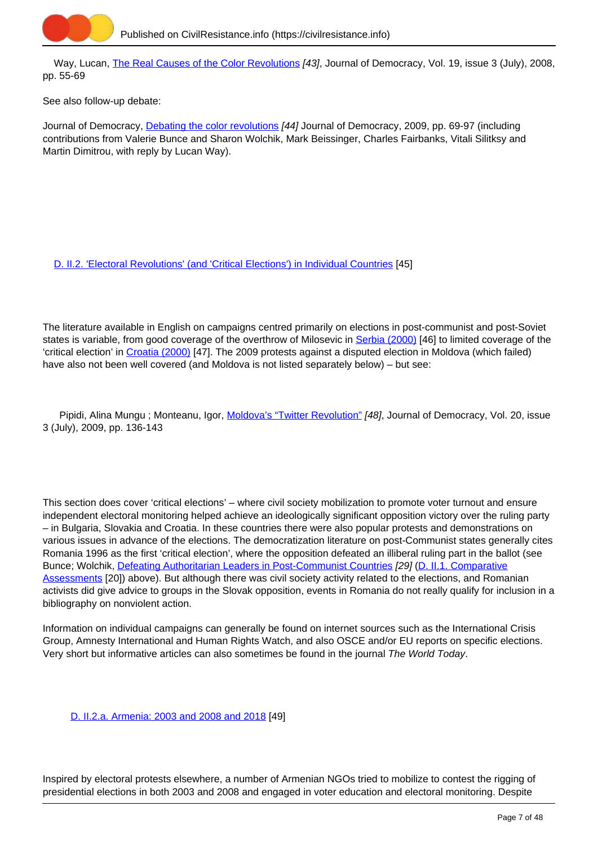

Way, Lucan, [The Real Causes of the Color Revolutions](https://civilresistance.info/biblio-item/2008/real-causes-color-revolutions) [43], Journal of Democracy, Vol. 19, issue 3 (July), 2008, pp. 55-69

See also follow-up debate:

Journal of Democracy, [Debating the color revolutions](https://civilresistance.info/biblio-item/2009/debating-color-revolutions) [44] Journal of Democracy, 2009, pp. 69-97 (including contributions from Valerie Bunce and Sharon Wolchik, Mark Beissinger, Charles Fairbanks, Vitali Silitksy and Martin Dimitrou, with reply by Lucan Way).

[D. II.2. 'Electoral Revolutions' \(and 'Critical Elections'\) in Individual Countries](https://civilresistance.info/section/d-resisting-authoritarianism-post-communist-and-post-soviet-regimes/d-ii-electoral-1) [45]

The literature available in English on campaigns centred primarily on elections in post-communist and post-Soviet states is variable, from good coverage of the overthrow of Milosevic in [Serbia \(2000\)](https://civilresistance.info/section/d-resisting-authoritarianism-post-communist-and-post-soviet-regimes/d-ii-electoral-9) [46] to limited coverage of the 'critical election' in [Croatia \(2000\)](https://civilresistance.info/section/d-resisting-authoritarianism-post-communist-and-post-soviet-regimes/d-ii-electoral-6) [47]. The 2009 protests against a disputed election in Moldova (which failed) have also not been well covered (and Moldova is not listed separately below) – but see:

Pipidi, Alina Mungu; Monteanu, Igor, [Moldova's "Twitter Revolution"](https://civilresistance.info/biblio-item/2009/moldovas-twitter-revolution) [48], Journal of Democracy, Vol. 20, issue 3 (July), 2009, pp. 136-143

This section does cover 'critical elections' – where civil society mobilization to promote voter turnout and ensure independent electoral monitoring helped achieve an ideologically significant opposition victory over the ruling party – in Bulgaria, Slovakia and Croatia. In these countries there were also popular protests and demonstrations on various issues in advance of the elections. The democratization literature on post-Communist states generally cites Romania 1996 as the first 'critical election', where the opposition defeated an illiberal ruling part in the ballot (see Bunce; Wolchik, [Defeating Authoritarian Leaders in Post-Communist Countries](https://civilresistance.info/biblio-item/2011/defeating-authoritarian-leaders-post-communist-countries) [29] ([D. II.1. Comparative](https://civilresistance.info/section/d-resisting-authoritarianism-post-communist-and-post-soviet-regimes/d-ii-electoral-0) [Assessments](https://civilresistance.info/section/d-resisting-authoritarianism-post-communist-and-post-soviet-regimes/d-ii-electoral-0) [20]) above). But although there was civil society activity related to the elections, and Romanian activists did give advice to groups in the Slovak opposition, events in Romania do not really qualify for inclusion in a bibliography on nonviolent action.

Information on individual campaigns can generally be found on internet sources such as the International Crisis Group, Amnesty International and Human Rights Watch, and also OSCE and/or EU reports on specific elections. Very short but informative articles can also sometimes be found in the journal The World Today.

[D. II.2.a. Armenia: 2003 and 2008 and 2018](https://civilresistance.info/section/d-resisting-authoritarianism-post-communist-and-post-soviet-regimes/d-ii-electoral-2) [49]

Inspired by electoral protests elsewhere, a number of Armenian NGOs tried to mobilize to contest the rigging of presidential elections in both 2003 and 2008 and engaged in voter education and electoral monitoring. Despite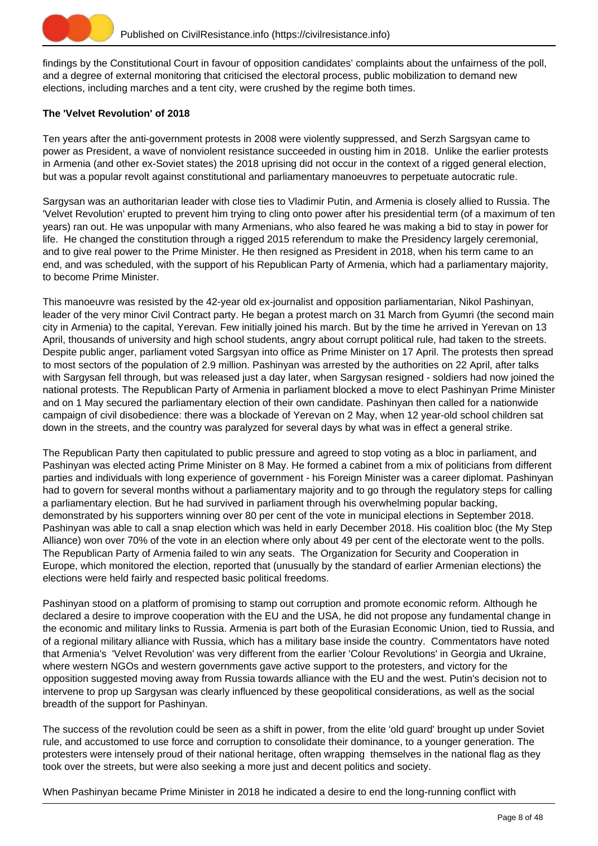

findings by the Constitutional Court in favour of opposition candidates' complaints about the unfairness of the poll, and a degree of external monitoring that criticised the electoral process, public mobilization to demand new elections, including marches and a tent city, were crushed by the regime both times.

# **The 'Velvet Revolution' of 2018**

Ten years after the anti-government protests in 2008 were violently suppressed, and Serzh Sargsyan came to power as President, a wave of nonviolent resistance succeeded in ousting him in 2018. Unlike the earlier protests in Armenia (and other ex-Soviet states) the 2018 uprising did not occur in the context of a rigged general election, but was a popular revolt against constitutional and parliamentary manoeuvres to perpetuate autocratic rule.

Sargysan was an authoritarian leader with close ties to Vladimir Putin, and Armenia is closely allied to Russia. The 'Velvet Revolution' erupted to prevent him trying to cling onto power after his presidential term (of a maximum of ten years) ran out. He was unpopular with many Armenians, who also feared he was making a bid to stay in power for life. He changed the constitution through a rigged 2015 referendum to make the Presidency largely ceremonial, and to give real power to the Prime Minister. He then resigned as President in 2018, when his term came to an end, and was scheduled, with the support of his Republican Party of Armenia, which had a parliamentary majority, to become Prime Minister.

This manoeuvre was resisted by the 42-year old ex-journalist and opposition parliamentarian, Nikol Pashinyan, leader of the very minor Civil Contract party. He began a protest march on 31 March from Gyumri (the second main city in Armenia) to the capital, Yerevan. Few initially joined his march. But by the time he arrived in Yerevan on 13 April, thousands of university and high school students, angry about corrupt political rule, had taken to the streets. Despite public anger, parliament voted Sargsyan into office as Prime Minister on 17 April. The protests then spread to most sectors of the population of 2.9 million. Pashinyan was arrested by the authorities on 22 April, after talks with Sargysan fell through, but was released just a day later, when Sargysan resigned - soldiers had now joined the national protests. The Republican Party of Armenia in parliament blocked a move to elect Pashinyan Prime Minister and on 1 May secured the parliamentary election of their own candidate. Pashinyan then called for a nationwide campaign of civil disobedience: there was a blockade of Yerevan on 2 May, when 12 year-old school children sat down in the streets, and the country was paralyzed for several days by what was in effect a general strike.

The Republican Party then capitulated to public pressure and agreed to stop voting as a bloc in parliament, and Pashinyan was elected acting Prime Minister on 8 May. He formed a cabinet from a mix of politicians from different parties and individuals with long experience of government - his Foreign Minister was a career diplomat. Pashinyan had to govern for several months without a parliamentary majority and to go through the regulatory steps for calling a parliamentary election. But he had survived in parliament through his overwhelming popular backing, demonstrated by his supporters winning over 80 per cent of the vote in municipal elections in September 2018. Pashinyan was able to call a snap election which was held in early December 2018. His coalition bloc (the My Step Alliance) won over 70% of the vote in an election where only about 49 per cent of the electorate went to the polls. The Republican Party of Armenia failed to win any seats. The Organization for Security and Cooperation in Europe, which monitored the election, reported that (unusually by the standard of earlier Armenian elections) the elections were held fairly and respected basic political freedoms.

Pashinyan stood on a platform of promising to stamp out corruption and promote economic reform. Although he declared a desire to improve cooperation with the EU and the USA, he did not propose any fundamental change in the economic and military links to Russia. Armenia is part both of the Eurasian Economic Union, tied to Russia, and of a regional military alliance with Russia, which has a military base inside the country. Commentators have noted that Armenia's 'Velvet Revolution' was very different from the earlier 'Colour Revolutions' in Georgia and Ukraine, where western NGOs and western governments gave active support to the protesters, and victory for the opposition suggested moving away from Russia towards alliance with the EU and the west. Putin's decision not to intervene to prop up Sargysan was clearly influenced by these geopolitical considerations, as well as the social breadth of the support for Pashinyan.

The success of the revolution could be seen as a shift in power, from the elite 'old guard' brought up under Soviet rule, and accustomed to use force and corruption to consolidate their dominance, to a younger generation. The protesters were intensely proud of their national heritage, often wrapping themselves in the national flag as they took over the streets, but were also seeking a more just and decent politics and society.

When Pashinyan became Prime Minister in 2018 he indicated a desire to end the long-running conflict with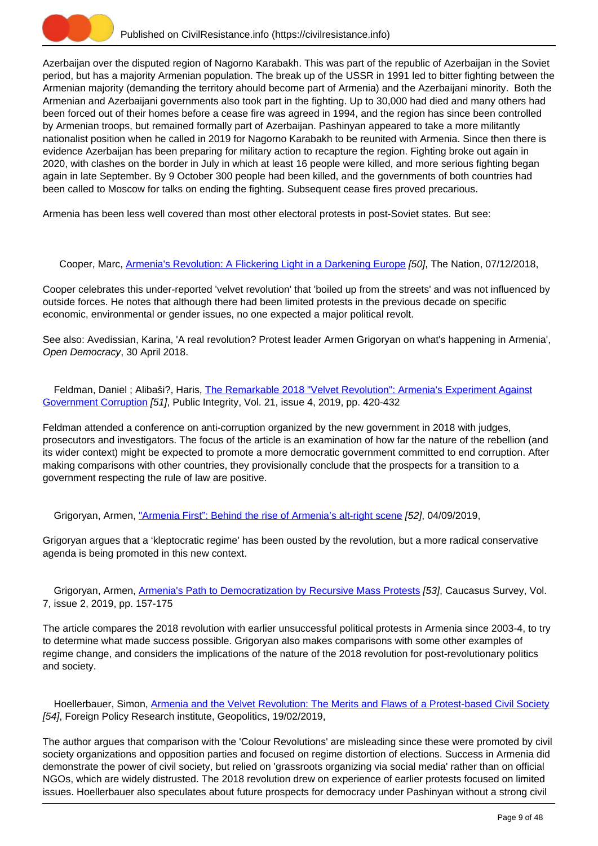

Azerbaijan over the disputed region of Nagorno Karabakh. This was part of the republic of Azerbaijan in the Soviet period, but has a majority Armenian population. The break up of the USSR in 1991 led to bitter fighting between the Armenian majority (demanding the territory ahould become part of Armenia) and the Azerbaijani minority. Both the Armenian and Azerbaijani governments also took part in the fighting. Up to 30,000 had died and many others had been forced out of their homes before a cease fire was agreed in 1994, and the region has since been controlled by Armenian troops, but remained formally part of Azerbaijan. Pashinyan appeared to take a more militantly nationalist position when he called in 2019 for Nagorno Karabakh to be reunited with Armenia. Since then there is evidence Azerbaijan has been preparing for military action to recapture the region. Fighting broke out again in 2020, with clashes on the border in July in which at least 16 people were killed, and more serious fighting began again in late September. By 9 October 300 people had been killed, and the governments of both countries had been called to Moscow for talks on ending the fighting. Subsequent cease fires proved precarious.

Armenia has been less well covered than most other electoral protests in post-Soviet states. But see:

Cooper, Marc, [Armenia's Revolution: A Flickering Light in a Darkening Europe](https://civilresistance.info/biblio-item/2018/armenias-revolution-flickering-light-darkening-europe) [50], The Nation, 07/12/2018,

Cooper celebrates this under-reported 'velvet revolution' that 'boiled up from the streets' and was not influenced by outside forces. He notes that although there had been limited protests in the previous decade on specific economic, environmental or gender issues, no one expected a major political revolt.

See also: Avedissian, Karina, 'A real revolution? Protest leader Armen Grigoryan on what's happening in Armenia', Open Democracy, 30 April 2018.

Feldman, Daniel ; Alibaši?, Haris, [The Remarkable 2018 "Velvet Revolution": Armenia's Experiment Against](https://civilresistance.info/biblio-item/2019/remarkable-2018-velvet-revolution-armenias-experiment-against-government-corruption) [Government Corruption](https://civilresistance.info/biblio-item/2019/remarkable-2018-velvet-revolution-armenias-experiment-against-government-corruption) [51], Public Integrity, Vol. 21, issue 4, 2019, pp. 420-432

Feldman attended a conference on anti-corruption organized by the new government in 2018 with judges, prosecutors and investigators. The focus of the article is an examination of how far the nature of the rebellion (and its wider context) might be expected to promote a more democratic government committed to end corruption. After making comparisons with other countries, they provisionally conclude that the prospects for a transition to a government respecting the rule of law are positive.

Grigoryan, Armen, ["Armenia First": Behind the rise of Armenia's alt-right scene](https://civilresistance.info/biblio-item/2019/armenia-first-behind-rise-armenias-alt-right-scene) [52], 04/09/2019,

Grigoryan argues that a 'kleptocratic regime' has been ousted by the revolution, but a more radical conservative agenda is being promoted in this new context.

 Grigoryan, Armen, [Armenia's Path to Democratization by Recursive Mass Protests](https://civilresistance.info/biblio-item/2019/armenias-path-democratization-recursive-mass-protests) [53], Caucasus Survey, Vol. 7, issue 2, 2019, pp. 157-175

The article compares the 2018 revolution with earlier unsuccessful political protests in Armenia since 2003-4, to try to determine what made success possible. Grigoryan also makes comparisons with some other examples of regime change, and considers the implications of the nature of the 2018 revolution for post-revolutionary politics and society.

Hoellerbauer, Simon, [Armenia and the Velvet Revolution: The Merits and Flaws of a Protest-based Civil Society](https://civilresistance.info/biblio-item/2019/armenia-and-velvet-revolution-merits-and-flaws-protest-based-civil-society) [54], Foreign Policy Research institute, Geopolitics, 19/02/2019,

The author argues that comparison with the 'Colour Revolutions' are misleading since these were promoted by civil society organizations and opposition parties and focused on regime distortion of elections. Success in Armenia did demonstrate the power of civil society, but relied on 'grassroots organizing via social media' rather than on official NGOs, which are widely distrusted. The 2018 revolution drew on experience of earlier protests focused on limited issues. Hoellerbauer also speculates about future prospects for democracy under Pashinyan without a strong civil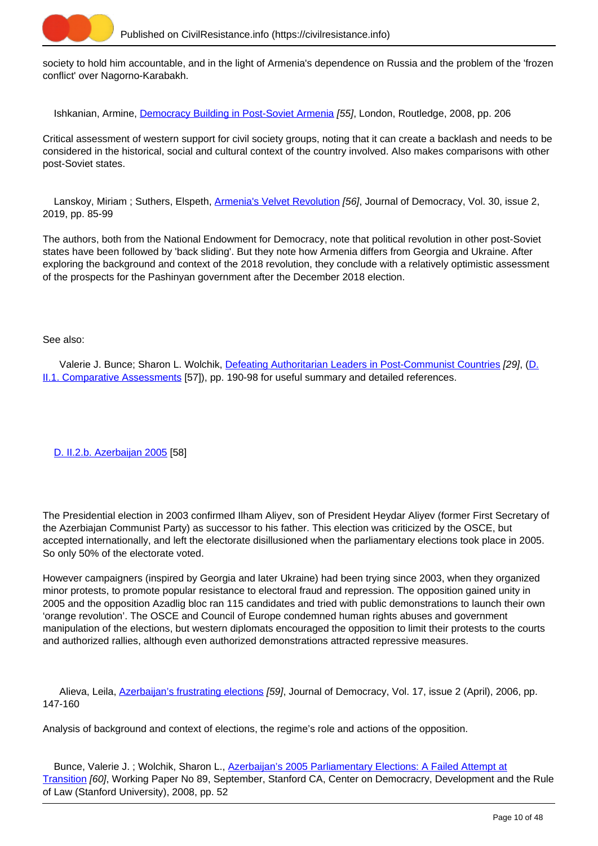

society to hold him accountable, and in the light of Armenia's dependence on Russia and the problem of the 'frozen conflict' over Nagorno-Karabakh.

Ishkanian, Armine, [Democracy Building in Post-Soviet Armenia](https://civilresistance.info/biblio-item/2008/democracy-building-post-soviet-armenia) [55], London, Routledge, 2008, pp. 206

Critical assessment of western support for civil society groups, noting that it can create a backlash and needs to be considered in the historical, social and cultural context of the country involved. Also makes comparisons with other post-Soviet states.

Lanskoy, Miriam; Suthers, Elspeth, [Armenia's Velvet Revolution](https://civilresistance.info/biblio-item/2019/armenias-velvet-revolution) [56], Journal of Democracy, Vol. 30, issue 2, 2019, pp. 85-99

The authors, both from the National Endowment for Democracy, note that political revolution in other post-Soviet states have been followed by 'back sliding'. But they note how Armenia differs from Georgia and Ukraine. After exploring the background and context of the 2018 revolution, they conclude with a relatively optimistic assessment of the prospects for the Pashinyan government after the December 2018 election.

#### See also:

 Valerie J. Bunce; Sharon L. Wolchik, [Defeating Authoritarian Leaders in Post-Communist Countries](https://civilresistance.info/biblio-item/2011/defeating-authoritarian-leaders-post-communist-countries) [29], (D. II.1. Comparative Assessments [57]), pp. 190-98 for useful summary and detailed references.

[D. II.2.b. Azerbaijan 2005](https://civilresistance.info/section/d-resisting-authoritarianism-post-communist-and-post-soviet-regimes/d-ii-electoral-3) [58]

The Presidential election in 2003 confirmed Ilham Aliyev, son of President Heydar Aliyev (former First Secretary of the Azerbiajan Communist Party) as successor to his father. This election was criticized by the OSCE, but accepted internationally, and left the electorate disillusioned when the parliamentary elections took place in 2005. So only 50% of the electorate voted.

However campaigners (inspired by Georgia and later Ukraine) had been trying since 2003, when they organized minor protests, to promote popular resistance to electoral fraud and repression. The opposition gained unity in 2005 and the opposition Azadlig bloc ran 115 candidates and tried with public demonstrations to launch their own 'orange revolution'. The OSCE and Council of Europe condemned human rights abuses and government manipulation of the elections, but western diplomats encouraged the opposition to limit their protests to the courts and authorized rallies, although even authorized demonstrations attracted repressive measures.

Alieva, Leila, [Azerbaijan's frustrating elections](https://civilresistance.info/biblio-item/2006/azerbaijans-frustrating-elections) [59], Journal of Democracy, Vol. 17, issue 2 (April), 2006, pp. 147-160

Analysis of background and context of elections, the regime's role and actions of the opposition.

 Bunce, Valerie J. ; Wolchik, Sharon L., [Azerbaijan's 2005 Parliamentary Elections: A Failed Attempt at](https://civilresistance.info/biblio-item/2008/azerbaijans-2005-parliamentary-elections-failed-attempt-transition) [Transition](https://civilresistance.info/biblio-item/2008/azerbaijans-2005-parliamentary-elections-failed-attempt-transition) [60], Working Paper No 89, September, Stanford CA, Center on Democracry, Development and the Rule of Law (Stanford University), 2008, pp. 52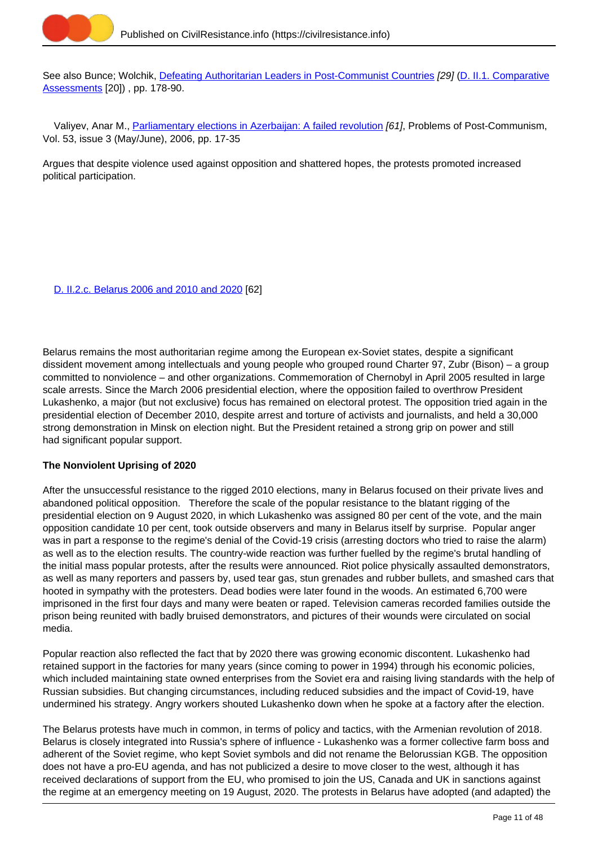

See also Bunce; Wolchik, [Defeating Authoritarian Leaders in Post-Communist Countries](https://civilresistance.info/biblio-item/2011/defeating-authoritarian-leaders-post-communist-countries) [29] [\(D. II.1. Comparative](https://civilresistance.info/section/d-resisting-authoritarianism-post-communist-and-post-soviet-regimes/d-ii-electoral-0) [Assessments](https://civilresistance.info/section/d-resisting-authoritarianism-post-communist-and-post-soviet-regimes/d-ii-electoral-0) [20]) , pp. 178-90.

Valiyev, Anar M., [Parliamentary elections in Azerbaijan: A failed revolution](https://civilresistance.info/biblio-item/2006/parliamentary-elections-azerbaijan-failed-revolution) [61], Problems of Post-Communism, Vol. 53, issue 3 (May/June), 2006, pp. 17-35

Argues that despite violence used against opposition and shattered hopes, the protests promoted increased political participation.

[D. II.2.c. Belarus 2006 and 2010 and 2020](https://civilresistance.info/section/d-resisting-authoritarianism-post-communist-and-post-soviet-regimes/d-ii-electoral-4) [62]

Belarus remains the most authoritarian regime among the European ex-Soviet states, despite a significant dissident movement among intellectuals and young people who grouped round Charter 97, Zubr (Bison) – a group committed to nonviolence – and other organizations. Commemoration of Chernobyl in April 2005 resulted in large scale arrests. Since the March 2006 presidential election, where the opposition failed to overthrow President Lukashenko, a major (but not exclusive) focus has remained on electoral protest. The opposition tried again in the presidential election of December 2010, despite arrest and torture of activists and journalists, and held a 30,000 strong demonstration in Minsk on election night. But the President retained a strong grip on power and still had significant popular support.

# **The Nonviolent Uprising of 2020**

After the unsuccessful resistance to the rigged 2010 elections, many in Belarus focused on their private lives and abandoned political opposition. Therefore the scale of the popular resistance to the blatant rigging of the presidential election on 9 August 2020, in which Lukashenko was assigned 80 per cent of the vote, and the main opposition candidate 10 per cent, took outside observers and many in Belarus itself by surprise. Popular anger was in part a response to the regime's denial of the Covid-19 crisis (arresting doctors who tried to raise the alarm) as well as to the election results. The country-wide reaction was further fuelled by the regime's brutal handling of the initial mass popular protests, after the results were announced. Riot police physically assaulted demonstrators, as well as many reporters and passers by, used tear gas, stun grenades and rubber bullets, and smashed cars that hooted in sympathy with the protesters. Dead bodies were later found in the woods. An estimated 6,700 were imprisoned in the first four days and many were beaten or raped. Television cameras recorded families outside the prison being reunited with badly bruised demonstrators, and pictures of their wounds were circulated on social media.

Popular reaction also reflected the fact that by 2020 there was growing economic discontent. Lukashenko had retained support in the factories for many years (since coming to power in 1994) through his economic policies, which included maintaining state owned enterprises from the Soviet era and raising living standards with the help of Russian subsidies. But changing circumstances, including reduced subsidies and the impact of Covid-19, have undermined his strategy. Angry workers shouted Lukashenko down when he spoke at a factory after the election.

The Belarus protests have much in common, in terms of policy and tactics, with the Armenian revolution of 2018. Belarus is closely integrated into Russia's sphere of influence - Lukashenko was a former collective farm boss and adherent of the Soviet regime, who kept Soviet symbols and did not rename the Belorussian KGB. The opposition does not have a pro-EU agenda, and has not publicized a desire to move closer to the west, although it has received declarations of support from the EU, who promised to join the US, Canada and UK in sanctions against the regime at an emergency meeting on 19 August, 2020. The protests in Belarus have adopted (and adapted) the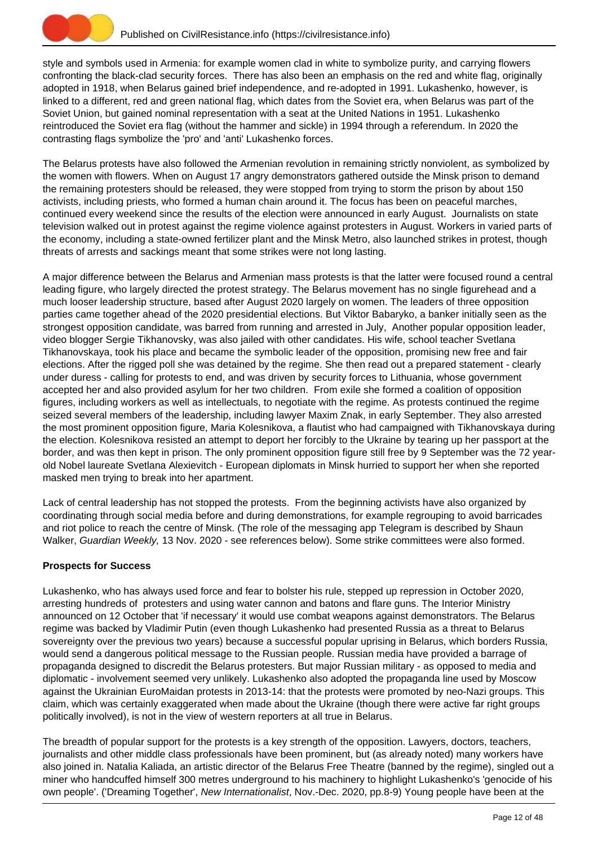

style and symbols used in Armenia: for example women clad in white to symbolize purity, and carrying flowers confronting the black-clad security forces. There has also been an emphasis on the red and white flag, originally adopted in 1918, when Belarus gained brief independence, and re-adopted in 1991. Lukashenko, however, is linked to a different, red and green national flag, which dates from the Soviet era, when Belarus was part of the Soviet Union, but gained nominal representation with a seat at the United Nations in 1951. Lukashenko reintroduced the Soviet era flag (without the hammer and sickle) in 1994 through a referendum. In 2020 the contrasting flags symbolize the 'pro' and 'anti' Lukashenko forces.

The Belarus protests have also followed the Armenian revolution in remaining strictly nonviolent, as symbolized by the women with flowers. When on August 17 angry demonstrators gathered outside the Minsk prison to demand the remaining protesters should be released, they were stopped from trying to storm the prison by about 150 activists, including priests, who formed a human chain around it. The focus has been on peaceful marches, continued every weekend since the results of the election were announced in early August. Journalists on state television walked out in protest against the regime violence against protesters in August. Workers in varied parts of the economy, including a state-owned fertilizer plant and the Minsk Metro, also launched strikes in protest, though threats of arrests and sackings meant that some strikes were not long lasting.

A major difference between the Belarus and Armenian mass protests is that the latter were focused round a central leading figure, who largely directed the protest strategy. The Belarus movement has no single figurehead and a much looser leadership structure, based after August 2020 largely on women. The leaders of three opposition parties came together ahead of the 2020 presidential elections. But Viktor Babaryko, a banker initially seen as the strongest opposition candidate, was barred from running and arrested in July, Another popular opposition leader, video blogger Sergie Tikhanovsky, was also jailed with other candidates. His wife, school teacher Svetlana Tikhanovskaya, took his place and became the symbolic leader of the opposition, promising new free and fair elections. After the rigged poll she was detained by the regime. She then read out a prepared statement - clearly under duress - calling for protests to end, and was driven by security forces to Lithuania, whose government accepted her and also provided asylum for her two children. From exile she formed a coalition of opposition figures, including workers as well as intellectuals, to negotiate with the regime. As protests continued the regime seized several members of the leadership, including lawyer Maxim Znak, in early September. They also arrested the most prominent opposition figure, Maria Kolesnikova, a flautist who had campaigned with Tikhanovskaya during the election. Kolesnikova resisted an attempt to deport her forcibly to the Ukraine by tearing up her passport at the border, and was then kept in prison. The only prominent opposition figure still free by 9 September was the 72 yearold Nobel laureate Svetlana Alexievitch - European diplomats in Minsk hurried to support her when she reported masked men trying to break into her apartment.

Lack of central leadership has not stopped the protests. From the beginning activists have also organized by coordinating through social media before and during demonstrations, for example regrouping to avoid barricades and riot police to reach the centre of Minsk. (The role of the messaging app Telegram is described by Shaun Walker, Guardian Weekly, 13 Nov. 2020 - see references below). Some strike committees were also formed.

# **Prospects for Success**

Lukashenko, who has always used force and fear to bolster his rule, stepped up repression in October 2020, arresting hundreds of protesters and using water cannon and batons and flare guns. The Interior Ministry announced on 12 October that 'if necessary' it would use combat weapons against demonstrators. The Belarus regime was backed by Vladimir Putin (even though Lukashenko had presented Russia as a threat to Belarus sovereignty over the previous two years) because a successful popular uprising in Belarus, which borders Russia, would send a dangerous political message to the Russian people. Russian media have provided a barrage of propaganda designed to discredit the Belarus protesters. But major Russian military - as opposed to media and diplomatic - involvement seemed very unlikely. Lukashenko also adopted the propaganda line used by Moscow against the Ukrainian EuroMaidan protests in 2013-14: that the protests were promoted by neo-Nazi groups. This claim, which was certainly exaggerated when made about the Ukraine (though there were active far right groups politically involved), is not in the view of western reporters at all true in Belarus.

The breadth of popular support for the protests is a key strength of the opposition. Lawyers, doctors, teachers, journalists and other middle class professionals have been prominent, but (as already noted) many workers have also joined in. Natalia Kaliada, an artistic director of the Belarus Free Theatre (banned by the regime), singled out a miner who handcuffed himself 300 metres underground to his machinery to highlight Lukashenko's 'genocide of his own people'. ('Dreaming Together', New Internationalist, Nov.-Dec. 2020, pp.8-9) Young people have been at the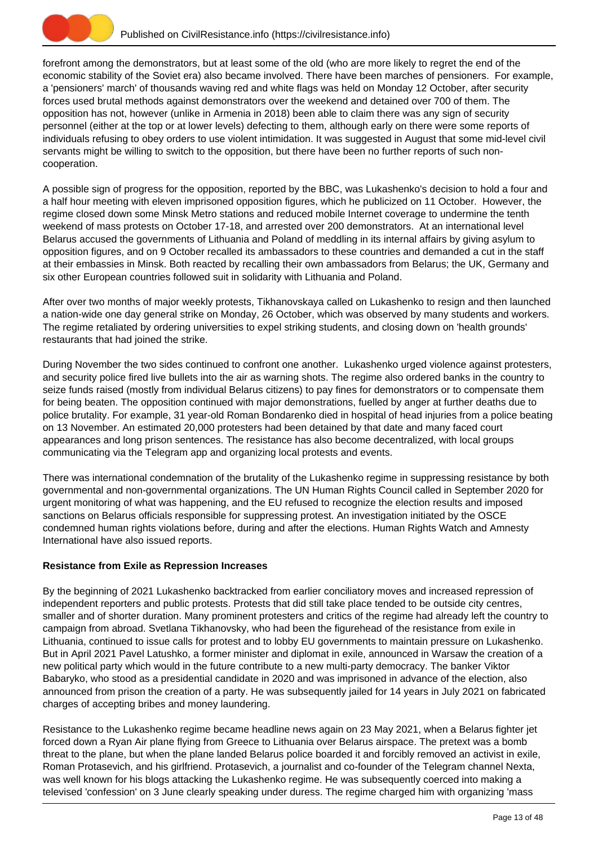

forefront among the demonstrators, but at least some of the old (who are more likely to regret the end of the economic stability of the Soviet era) also became involved. There have been marches of pensioners. For example, a 'pensioners' march' of thousands waving red and white flags was held on Monday 12 October, after security forces used brutal methods against demonstrators over the weekend and detained over 700 of them. The opposition has not, however (unlike in Armenia in 2018) been able to claim there was any sign of security personnel (either at the top or at lower levels) defecting to them, although early on there were some reports of individuals refusing to obey orders to use violent intimidation. It was suggested in August that some mid-level civil servants might be willing to switch to the opposition, but there have been no further reports of such noncooperation.

A possible sign of progress for the opposition, reported by the BBC, was Lukashenko's decision to hold a four and a half hour meeting with eleven imprisoned opposition figures, which he publicized on 11 October. However, the regime closed down some Minsk Metro stations and reduced mobile Internet coverage to undermine the tenth weekend of mass protests on October 17-18, and arrested over 200 demonstrators. At an international level Belarus accused the governments of Lithuania and Poland of meddling in its internal affairs by giving asylum to opposition figures, and on 9 October recalled its ambassadors to these countries and demanded a cut in the staff at their embassies in Minsk. Both reacted by recalling their own ambassadors from Belarus; the UK, Germany and six other European countries followed suit in solidarity with Lithuania and Poland.

After over two months of major weekly protests, Tikhanovskaya called on Lukashenko to resign and then launched a nation-wide one day general strike on Monday, 26 October, which was observed by many students and workers. The regime retaliated by ordering universities to expel striking students, and closing down on 'health grounds' restaurants that had joined the strike.

During November the two sides continued to confront one another. Lukashenko urged violence against protesters, and security police fired live bullets into the air as warning shots. The regime also ordered banks in the country to seize funds raised (mostly from individual Belarus citizens) to pay fines for demonstrators or to compensate them for being beaten. The opposition continued with major demonstrations, fuelled by anger at further deaths due to police brutality. For example, 31 year-old Roman Bondarenko died in hospital of head injuries from a police beating on 13 November. An estimated 20,000 protesters had been detained by that date and many faced court appearances and long prison sentences. The resistance has also become decentralized, with local groups communicating via the Telegram app and organizing local protests and events.

There was international condemnation of the brutality of the Lukashenko regime in suppressing resistance by both governmental and non-governmental organizations. The UN Human Rights Council called in September 2020 for urgent monitoring of what was happening, and the EU refused to recognize the election results and imposed sanctions on Belarus officials responsible for suppressing protest. An investigation initiated by the OSCE condemned human rights violations before, during and after the elections. Human Rights Watch and Amnesty International have also issued reports.

# **Resistance from Exile as Repression Increases**

By the beginning of 2021 Lukashenko backtracked from earlier conciliatory moves and increased repression of independent reporters and public protests. Protests that did still take place tended to be outside city centres, smaller and of shorter duration. Many prominent protesters and critics of the regime had already left the country to campaign from abroad. Svetlana Tikhanovsky, who had been the figurehead of the resistance from exile in Lithuania, continued to issue calls for protest and to lobby EU governments to maintain pressure on Lukashenko. But in April 2021 Pavel Latushko, a former minister and diplomat in exile, announced in Warsaw the creation of a new political party which would in the future contribute to a new multi-party democracy. The banker Viktor Babaryko, who stood as a presidential candidate in 2020 and was imprisoned in advance of the election, also announced from prison the creation of a party. He was subsequently jailed for 14 years in July 2021 on fabricated charges of accepting bribes and money laundering.

Resistance to the Lukashenko regime became headline news again on 23 May 2021, when a Belarus fighter jet forced down a Ryan Air plane flying from Greece to Lithuania over Belarus airspace. The pretext was a bomb threat to the plane, but when the plane landed Belarus police boarded it and forcibly removed an activist in exile, Roman Protasevich, and his girlfriend. Protasevich, a journalist and co-founder of the Telegram channel Nexta, was well known for his blogs attacking the Lukashenko regime. He was subsequently coerced into making a televised 'confession' on 3 June clearly speaking under duress. The regime charged him with organizing 'mass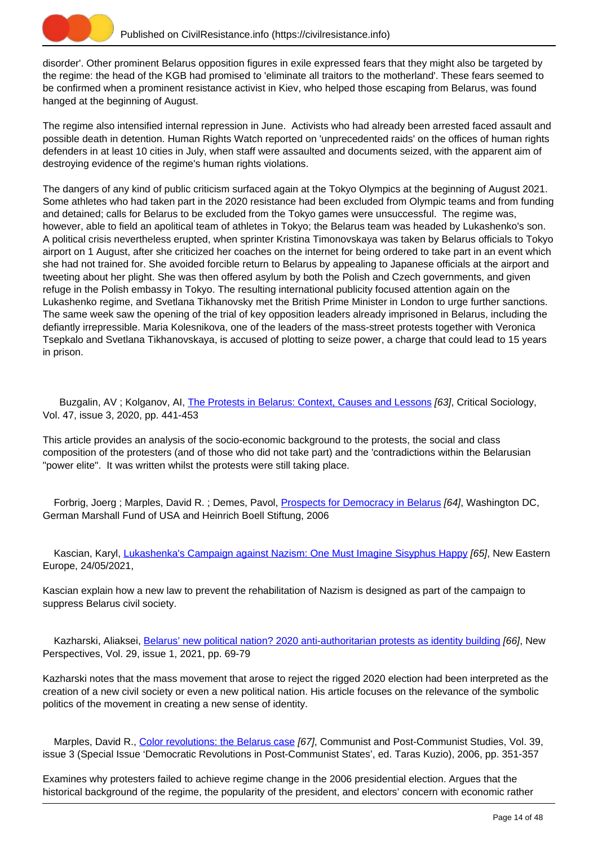

disorder'. Other prominent Belarus opposition figures in exile expressed fears that they might also be targeted by the regime: the head of the KGB had promised to 'eliminate all traitors to the motherland'. These fears seemed to be confirmed when a prominent resistance activist in Kiev, who helped those escaping from Belarus, was found hanged at the beginning of August.

The regime also intensified internal repression in June. Activists who had already been arrested faced assault and possible death in detention. Human Rights Watch reported on 'unprecedented raids' on the offices of human rights defenders in at least 10 cities in July, when staff were assaulted and documents seized, with the apparent aim of destroying evidence of the regime's human rights violations.

The dangers of any kind of public criticism surfaced again at the Tokyo Olympics at the beginning of August 2021. Some athletes who had taken part in the 2020 resistance had been excluded from Olympic teams and from funding and detained; calls for Belarus to be excluded from the Tokyo games were unsuccessful. The regime was, however, able to field an apolitical team of athletes in Tokyo; the Belarus team was headed by Lukashenko's son. A political crisis nevertheless erupted, when sprinter Kristina Timonovskaya was taken by Belarus officials to Tokyo airport on 1 August, after she criticized her coaches on the internet for being ordered to take part in an event which she had not trained for. She avoided forcible return to Belarus by appealing to Japanese officials at the airport and tweeting about her plight. She was then offered asylum by both the Polish and Czech governments, and given refuge in the Polish embassy in Tokyo. The resulting international publicity focused attention again on the Lukashenko regime, and Svetlana Tikhanovsky met the British Prime Minister in London to urge further sanctions. The same week saw the opening of the trial of key opposition leaders already imprisoned in Belarus, including the defiantly irrepressible. Maria Kolesnikova, one of the leaders of the mass-street protests together with Veronica Tsepkalo and Svetlana Tikhanovskaya, is accused of plotting to seize power, a charge that could lead to 15 years in prison.

 Buzgalin, AV ; Kolganov, AI, [The Protests in Belarus: Context, Causes and Lessons](https://civilresistance.info/biblio-item/2020/protests-belarus-context-causes-and-lessons) [63], Critical Sociology, Vol. 47, issue 3, 2020, pp. 441-453

This article provides an analysis of the socio-economic background to the protests, the social and class composition of the protesters (and of those who did not take part) and the 'contradictions within the Belarusian "power elite". It was written whilst the protests were still taking place.

Forbrig, Joerg; Marples, David R.; Demes, Pavol, [Prospects for Democracy in Belarus](https://civilresistance.info/biblio-item/2006/prospects-democracy-belarus) [64], Washington DC. German Marshall Fund of USA and Heinrich Boell Stiftung, 2006

Kascian, Karyl, [Lukashenka's Campaign against Nazism: One Must Imagine Sisyphus Happy](https://civilresistance.info/biblio-item/2021/lukashenkas-campaign-against-nazism-one-must-imagine-sisyphus-happy) [65], New Eastern Europe, 24/05/2021,

Kascian explain how a new law to prevent the rehabilitation of Nazism is designed as part of the campaign to suppress Belarus civil society.

Kazharski, Aliaksei, [Belarus' new political nation? 2020 anti-authoritarian protests as identity building](https://civilresistance.info/biblio-item/2021/belarus-new-political-nation-2020-anti-authoritarian-protests-identity-building) [66], New Perspectives, Vol. 29, issue 1, 2021, pp. 69-79

Kazharski notes that the mass movement that arose to reject the rigged 2020 election had been interpreted as the creation of a new civil society or even a new political nation. His article focuses on the relevance of the symbolic politics of the movement in creating a new sense of identity.

Marples, David R., [Color revolutions: the Belarus case](https://civilresistance.info/biblio-item/2006/color-revolutions-belarus-case) [67], Communist and Post-Communist Studies, Vol. 39, issue 3 (Special Issue 'Democratic Revolutions in Post-Communist States', ed. Taras Kuzio), 2006, pp. 351-357

Examines why protesters failed to achieve regime change in the 2006 presidential election. Argues that the historical background of the regime, the popularity of the president, and electors' concern with economic rather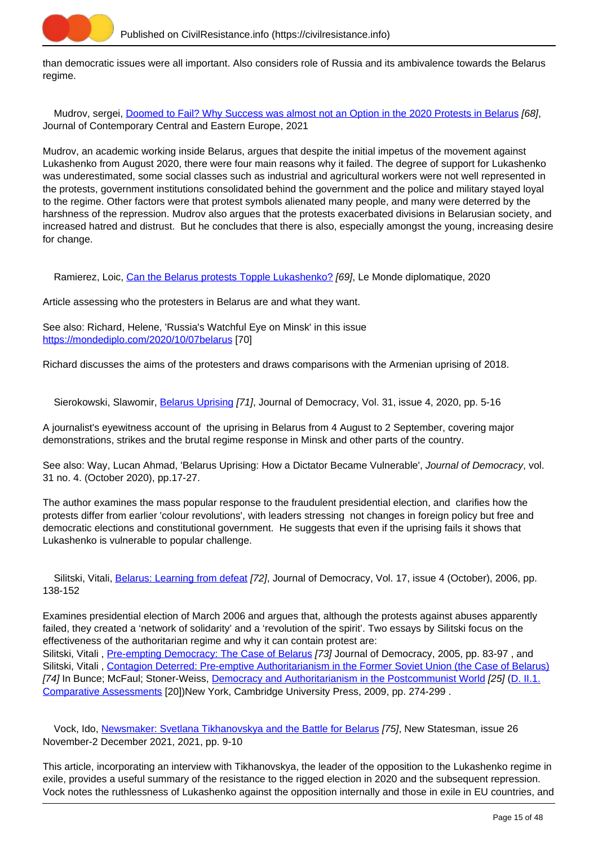

than democratic issues were all important. Also considers role of Russia and its ambivalence towards the Belarus regime.

Mudrov, sergei, [Doomed to Fail? Why Success was almost not an Option in the 2020 Protests in Belarus](https://civilresistance.info/biblio-item/2021/doomed-fail-why-success-was-almost-not-option-2020-protests-belarus) [68], Journal of Contemporary Central and Eastern Europe, 2021

Mudrov, an academic working inside Belarus, argues that despite the initial impetus of the movement against Lukashenko from August 2020, there were four main reasons why it failed. The degree of support for Lukashenko was underestimated, some social classes such as industrial and agricultural workers were not well represented in the protests, government institutions consolidated behind the government and the police and military stayed loyal to the regime. Other factors were that protest symbols alienated many people, and many were deterred by the harshness of the repression. Mudrov also argues that the protests exacerbated divisions in Belarusian society, and increased hatred and distrust. But he concludes that there is also, especially amongst the young, increasing desire for change.

Ramierez, Loic, [Can the Belarus protests Topple Lukashenko?](https://civilresistance.info/biblio-item/2020/can-belarus-protests-topple-lukashenko) [69], Le Monde diplomatique, 2020

Article assessing who the protesters in Belarus are and what they want.

See also: Richard, Helene, 'Russia's Watchful Eye on Minsk' in this issue <https://mondediplo.com/2020/10/07belarus> [70]

Richard discusses the aims of the protesters and draws comparisons with the Armenian uprising of 2018.

Sierokowski, Slawomir, [Belarus Uprising](https://civilresistance.info/biblio-item/2020/belarus-uprising) [71], Journal of Democracy, Vol. 31, issue 4, 2020, pp. 5-16

A journalist's eyewitness account of the uprising in Belarus from 4 August to 2 September, covering major demonstrations, strikes and the brutal regime response in Minsk and other parts of the country.

See also: Way, Lucan Ahmad, 'Belarus Uprising: How a Dictator Became Vulnerable', Journal of Democracy, vol. 31 no. 4. (October 2020), pp.17-27.

The author examines the mass popular response to the fraudulent presidential election, and clarifies how the protests differ from earlier 'colour revolutions', with leaders stressing not changes in foreign policy but free and democratic elections and constitutional government. He suggests that even if the uprising fails it shows that Lukashenko is vulnerable to popular challenge.

Silitski, Vitali, [Belarus: Learning from defeat](https://civilresistance.info/biblio-item/2006/belarus-learning-defeat) [72], Journal of Democracy, Vol. 17, issue 4 (October), 2006, pp. 138-152

Examines presidential election of March 2006 and argues that, although the protests against abuses apparently failed, they created a 'network of solidarity' and a 'revolution of the spirit'. Two essays by Silitski focus on the effectiveness of the authoritarian regime and why it can contain protest are: Silitski, Vitali, *Pre-empting Democracy: The Case of Belarus [73]* Journal of Democracy, 2005, pp. 83-97, and Silitski, Vitali, [Contagion Deterred: Pre-emptive Authoritarianism in the Former Soviet Union \(the Case of Belarus\)](https://civilresistance.info/biblio-item/2009/contagion-deterred-pre-emptive-authoritarianism-former-soviet-union-case-belarus) [74] In Bunce; McFaul; Stoner-Weiss, [Democracy and Authoritarianism in the Postcommunist World](https://civilresistance.info/biblio-item/2009/democracy-and-authoritarianism-postcommunist-world) [25] ([D. II.1.](https://civilresistance.info/section/d-resisting-authoritarianism-post-communist-and-post-soviet-regimes/d-ii-electoral-0) [Comparative Assessments](https://civilresistance.info/section/d-resisting-authoritarianism-post-communist-and-post-soviet-regimes/d-ii-electoral-0) [20])New York, Cambridge University Press, 2009, pp. 274-299 .

 Vock, Ido, [Newsmaker: Svetlana Tikhanovskya and the Battle for Belarus](https://civilresistance.info/biblio-item/2021/newsmaker-svetlana-tikhanovskya-and-battle-belarus) [75], New Statesman, issue 26 November-2 December 2021, 2021, pp. 9-10

This article, incorporating an interview with Tikhanovskya, the leader of the opposition to the Lukashenko regime in exile, provides a useful summary of the resistance to the rigged election in 2020 and the subsequent repression. Vock notes the ruthlessness of Lukashenko against the opposition internally and those in exile in EU countries, and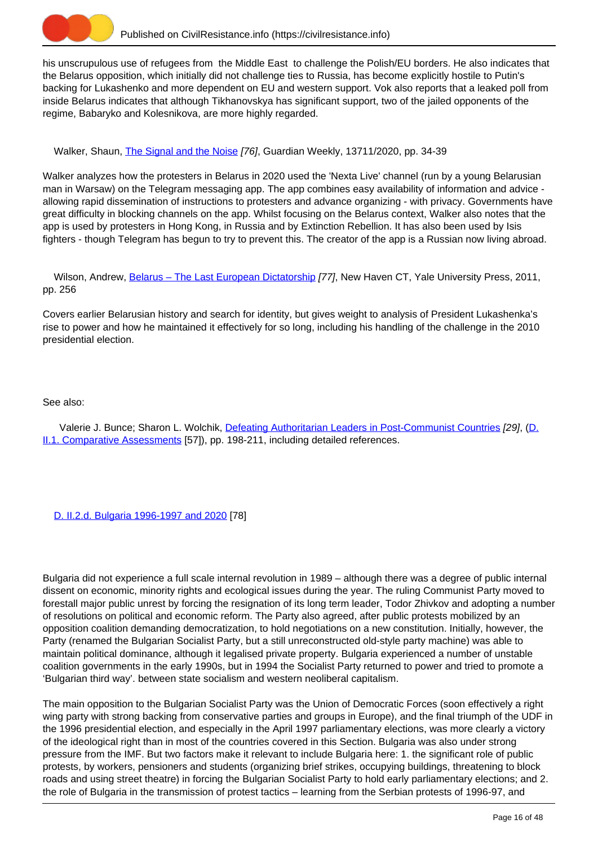

his unscrupulous use of refugees from the Middle East to challenge the Polish/EU borders. He also indicates that the Belarus opposition, which initially did not challenge ties to Russia, has become explicitly hostile to Putin's backing for Lukashenko and more dependent on EU and western support. Vok also reports that a leaked poll from inside Belarus indicates that although Tikhanovskya has significant support, two of the jailed opponents of the regime, Babaryko and Kolesnikova, are more highly regarded.

Walker, Shaun, [The Signal and the Noise](https://civilresistance.info/biblio-item/2020/signal-and-noise) [76], Guardian Weekly, 13711/2020, pp. 34-39

Walker analyzes how the protesters in Belarus in 2020 used the 'Nexta Live' channel (run by a young Belarusian man in Warsaw) on the Telegram messaging app. The app combines easy availability of information and advice allowing rapid dissemination of instructions to protesters and advance organizing - with privacy. Governments have great difficulty in blocking channels on the app. Whilst focusing on the Belarus context, Walker also notes that the app is used by protesters in Hong Kong, in Russia and by Extinction Rebellion. It has also been used by Isis fighters - though Telegram has begun to try to prevent this. The creator of the app is a Russian now living abroad.

Wilson, Andrew, Belarus - The Last European Dictatorship [77], New Haven CT, Yale University Press, 2011, pp. 256

Covers earlier Belarusian history and search for identity, but gives weight to analysis of President Lukashenka's rise to power and how he maintained it effectively for so long, including his handling of the challenge in the 2010 presidential election.

## See also:

Valerie J. Bunce; Sharon L. Wolchik, [Defeating Authoritarian Leaders in Post-Communist Countries](https://civilresistance.info/biblio-item/2011/defeating-authoritarian-leaders-post-communist-countries) [29], (D. II.1. Comparative Assessments [57]), pp. 198-211, including detailed references.

[D. II.2.d. Bulgaria 1996-1997 and 2020](https://civilresistance.info/section/d-resisting-authoritarianism-post-communist-and-post-soviet-regimes/d-ii-electoral-5) [78]

Bulgaria did not experience a full scale internal revolution in 1989 – although there was a degree of public internal dissent on economic, minority rights and ecological issues during the year. The ruling Communist Party moved to forestall major public unrest by forcing the resignation of its long term leader, Todor Zhivkov and adopting a number of resolutions on political and economic reform. The Party also agreed, after public protests mobilized by an opposition coalition demanding democratization, to hold negotiations on a new constitution. Initially, however, the Party (renamed the Bulgarian Socialist Party, but a still unreconstructed old-style party machine) was able to maintain political dominance, although it legalised private property. Bulgaria experienced a number of unstable coalition governments in the early 1990s, but in 1994 the Socialist Party returned to power and tried to promote a 'Bulgarian third way'. between state socialism and western neoliberal capitalism.

The main opposition to the Bulgarian Socialist Party was the Union of Democratic Forces (soon effectively a right wing party with strong backing from conservative parties and groups in Europe), and the final triumph of the UDF in the 1996 presidential election, and especially in the April 1997 parliamentary elections, was more clearly a victory of the ideological right than in most of the countries covered in this Section. Bulgaria was also under strong pressure from the IMF. But two factors make it relevant to include Bulgaria here: 1. the significant role of public protests, by workers, pensioners and students (organizing brief strikes, occupying buildings, threatening to block roads and using street theatre) in forcing the Bulgarian Socialist Party to hold early parliamentary elections; and 2. the role of Bulgaria in the transmission of protest tactics – learning from the Serbian protests of 1996-97, and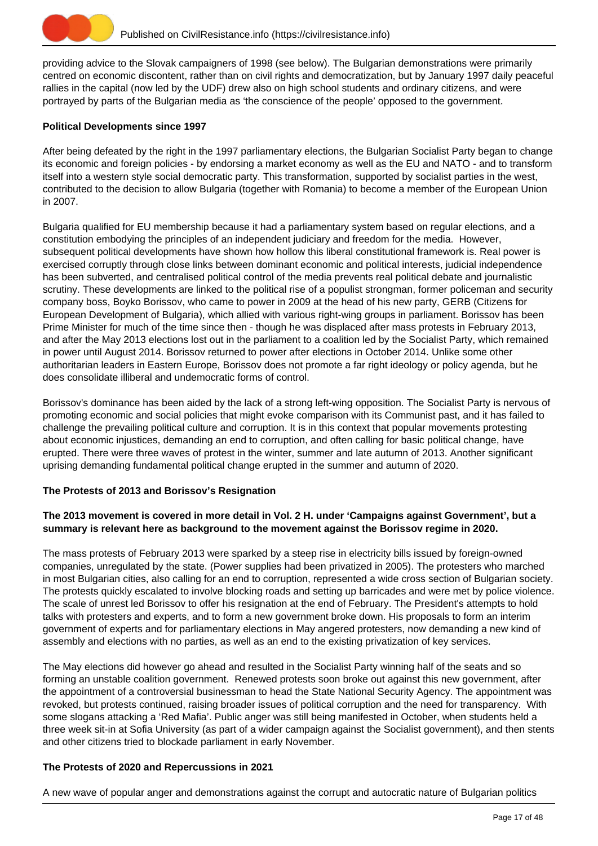

providing advice to the Slovak campaigners of 1998 (see below). The Bulgarian demonstrations were primarily centred on economic discontent, rather than on civil rights and democratization, but by January 1997 daily peaceful rallies in the capital (now led by the UDF) drew also on high school students and ordinary citizens, and were portrayed by parts of the Bulgarian media as 'the conscience of the people' opposed to the government.

# **Political Developments since 1997**

After being defeated by the right in the 1997 parliamentary elections, the Bulgarian Socialist Party began to change its economic and foreign policies - by endorsing a market economy as well as the EU and NATO - and to transform itself into a western style social democratic party. This transformation, supported by socialist parties in the west, contributed to the decision to allow Bulgaria (together with Romania) to become a member of the European Union in 2007.

Bulgaria qualified for EU membership because it had a parliamentary system based on regular elections, and a constitution embodying the principles of an independent judiciary and freedom for the media. However, subsequent political developments have shown how hollow this liberal constitutional framework is. Real power is exercised corruptly through close links between dominant economic and political interests, judicial independence has been subverted, and centralised political control of the media prevents real political debate and journalistic scrutiny. These developments are linked to the political rise of a populist strongman, former policeman and security company boss, Boyko Borissov, who came to power in 2009 at the head of his new party, GERB (Citizens for European Development of Bulgaria), which allied with various right-wing groups in parliament. Borissov has been Prime Minister for much of the time since then - though he was displaced after mass protests in February 2013, and after the May 2013 elections lost out in the parliament to a coalition led by the Socialist Party, which remained in power until August 2014. Borissov returned to power after elections in October 2014. Unlike some other authoritarian leaders in Eastern Europe, Borissov does not promote a far right ideology or policy agenda, but he does consolidate illiberal and undemocratic forms of control.

Borissov's dominance has been aided by the lack of a strong left-wing opposition. The Socialist Party is nervous of promoting economic and social policies that might evoke comparison with its Communist past, and it has failed to challenge the prevailing political culture and corruption. It is in this context that popular movements protesting about economic injustices, demanding an end to corruption, and often calling for basic political change, have erupted. There were three waves of protest in the winter, summer and late autumn of 2013. Another significant uprising demanding fundamental political change erupted in the summer and autumn of 2020.

# **The Protests of 2013 and Borissov's Resignation**

# **The 2013 movement is covered in more detail in Vol. 2 H. under 'Campaigns against Government', but a summary is relevant here as background to the movement against the Borissov regime in 2020.**

The mass protests of February 2013 were sparked by a steep rise in electricity bills issued by foreign-owned companies, unregulated by the state. (Power supplies had been privatized in 2005). The protesters who marched in most Bulgarian cities, also calling for an end to corruption, represented a wide cross section of Bulgarian society. The protests quickly escalated to involve blocking roads and setting up barricades and were met by police violence. The scale of unrest led Borissov to offer his resignation at the end of February. The President's attempts to hold talks with protesters and experts, and to form a new government broke down. His proposals to form an interim government of experts and for parliamentary elections in May angered protesters, now demanding a new kind of assembly and elections with no parties, as well as an end to the existing privatization of key services.

The May elections did however go ahead and resulted in the Socialist Party winning half of the seats and so forming an unstable coalition government. Renewed protests soon broke out against this new government, after the appointment of a controversial businessman to head the State National Security Agency. The appointment was revoked, but protests continued, raising broader issues of political corruption and the need for transparency. With some slogans attacking a 'Red Mafia'. Public anger was still being manifested in October, when students held a three week sit-in at Sofia University (as part of a wider campaign against the Socialist government), and then stents and other citizens tried to blockade parliament in early November.

# **The Protests of 2020 and Repercussions in 2021**

A new wave of popular anger and demonstrations against the corrupt and autocratic nature of Bulgarian politics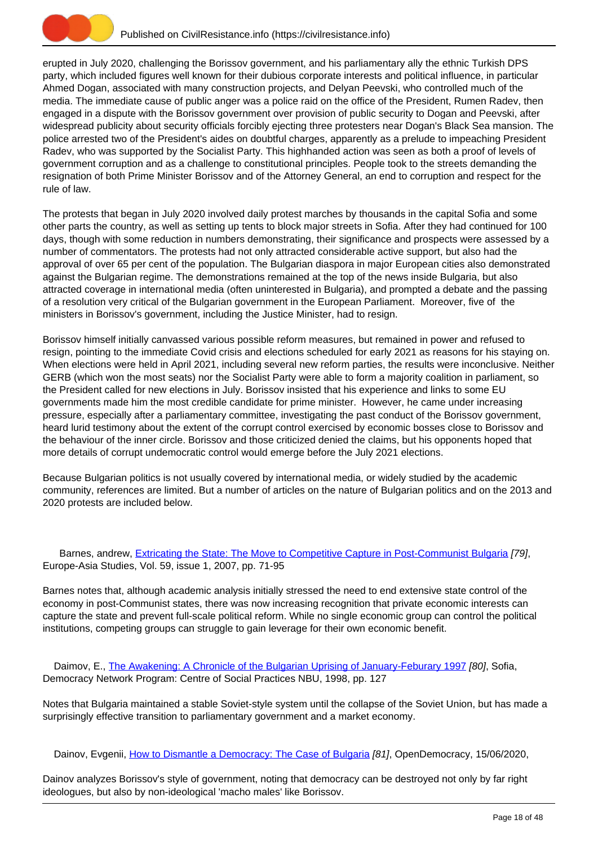

erupted in July 2020, challenging the Borissov government, and his parliamentary ally the ethnic Turkish DPS party, which included figures well known for their dubious corporate interests and political influence, in particular Ahmed Dogan, associated with many construction projects, and Delyan Peevski, who controlled much of the media. The immediate cause of public anger was a police raid on the office of the President, Rumen Radev, then engaged in a dispute with the Borissov government over provision of public security to Dogan and Peevski, after widespread publicity about security officials forcibly ejecting three protesters near Dogan's Black Sea mansion. The police arrested two of the President's aides on doubtful charges, apparently as a prelude to impeaching President Radev, who was supported by the Socialist Party. This highhanded action was seen as both a proof of levels of government corruption and as a challenge to constitutional principles. People took to the streets demanding the resignation of both Prime Minister Borissov and of the Attorney General, an end to corruption and respect for the rule of law.

The protests that began in July 2020 involved daily protest marches by thousands in the capital Sofia and some other parts the country, as well as setting up tents to block major streets in Sofia. After they had continued for 100 days, though with some reduction in numbers demonstrating, their significance and prospects were assessed by a number of commentators. The protests had not only attracted considerable active support, but also had the approval of over 65 per cent of the population. The Bulgarian diaspora in major European cities also demonstrated against the Bulgarian regime. The demonstrations remained at the top of the news inside Bulgaria, but also attracted coverage in international media (often uninterested in Bulgaria), and prompted a debate and the passing of a resolution very critical of the Bulgarian government in the European Parliament. Moreover, five of the ministers in Borissov's government, including the Justice Minister, had to resign.

Borissov himself initially canvassed various possible reform measures, but remained in power and refused to resign, pointing to the immediate Covid crisis and elections scheduled for early 2021 as reasons for his staying on. When elections were held in April 2021, including several new reform parties, the results were inconclusive. Neither GERB (which won the most seats) nor the Socialist Party were able to form a majority coalition in parliament, so the President called for new elections in July. Borissov insisted that his experience and links to some EU governments made him the most credible candidate for prime minister. However, he came under increasing pressure, especially after a parliamentary committee, investigating the past conduct of the Borissov government, heard lurid testimony about the extent of the corrupt control exercised by economic bosses close to Borissov and the behaviour of the inner circle. Borissov and those criticized denied the claims, but his opponents hoped that more details of corrupt undemocratic control would emerge before the July 2021 elections.

Because Bulgarian politics is not usually covered by international media, or widely studied by the academic community, references are limited. But a number of articles on the nature of Bulgarian politics and on the 2013 and 2020 protests are included below.

 Barnes, andrew, [Extricating the State: The Move to Competitive Capture in Post-Communist Bulgaria](https://civilresistance.info/biblio-item/2007/extricating-state-move-competitive-capture-post-communist-bulgaria) [79], Europe-Asia Studies, Vol. 59, issue 1, 2007, pp. 71-95

Barnes notes that, although academic analysis initially stressed the need to end extensive state control of the economy in post-Communist states, there was now increasing recognition that private economic interests can capture the state and prevent full-scale political reform. While no single economic group can control the political institutions, competing groups can struggle to gain leverage for their own economic benefit.

 Daimov, E., [The Awakening: A Chronicle of the Bulgarian Uprising of January-Feburary 1997](https://civilresistance.info/biblio-item/1998/awakening-chronicle-bulgarian-uprising-january-feburary-1997) [80], Sofia, Democracy Network Program: Centre of Social Practices NBU, 1998, pp. 127

Notes that Bulgaria maintained a stable Soviet-style system until the collapse of the Soviet Union, but has made a surprisingly effective transition to parliamentary government and a market economy.

Dainov, Evgenii, [How to Dismantle a Democracy: The Case of Bulgaria](https://civilresistance.info/biblio-item/2020/how-dismantle-democracy-case-bulgaria) [81], OpenDemocracy, 15/06/2020,

Dainov analyzes Borissov's style of government, noting that democracy can be destroyed not only by far right ideologues, but also by non-ideological 'macho males' like Borissov.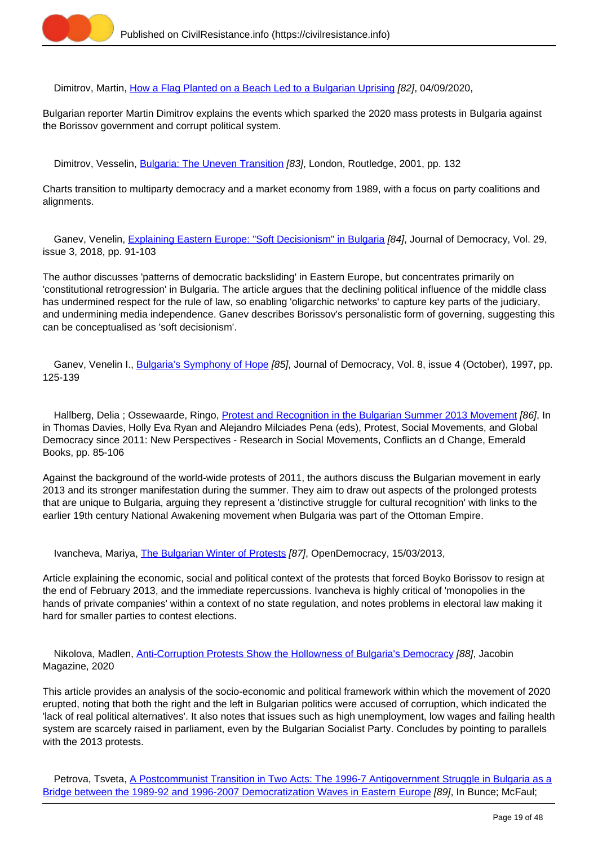

Dimitrov, Martin, [How a Flag Planted on a Beach Led to a Bulgarian Uprising](https://civilresistance.info/biblio-item/2020/how-flag-planted-beach-led-bulgarian-uprising) [82], 04/09/2020,

Bulgarian reporter Martin Dimitrov explains the events which sparked the 2020 mass protests in Bulgaria against the Borissov government and corrupt political system.

Dimitrov, Vesselin, [Bulgaria: The Uneven Transition](https://civilresistance.info/biblio-item/2001/bulgaria-uneven-transition) [83], London, Routledge, 2001, pp. 132

Charts transition to multiparty democracy and a market economy from 1989, with a focus on party coalitions and alignments.

 Ganev, Venelin, [Explaining Eastern Europe: "Soft Decisionism" in Bulgaria](https://civilresistance.info/biblio-item/2018/explaining-eastern-europe-soft-decisionism-bulgaria) [84], Journal of Democracy, Vol. 29, issue 3, 2018, pp. 91-103

The author discusses 'patterns of democratic backsliding' in Eastern Europe, but concentrates primarily on 'constitutional retrogression' in Bulgaria. The article argues that the declining political influence of the middle class has undermined respect for the rule of law, so enabling 'oligarchic networks' to capture key parts of the judiciary, and undermining media independence. Ganev describes Borissov's personalistic form of governing, suggesting this can be conceptualised as 'soft decisionism'.

Ganev, Venelin I., [Bulgaria's Symphony of Hope](https://civilresistance.info/biblio-item/1997/bulgarias-symphony-hope) [85], Journal of Democracy, Vol. 8, issue 4 (October), 1997, pp. 125-139

Hallberg, Delia; Ossewaarde, Ringo, [Protest and Recognition in the Bulgarian Summer 2013 Movement](https://civilresistance.info/biblio-item/2016/protest-and-recognition-bulgarian-summer-2013-movement) [86], In in Thomas Davies, Holly Eva Ryan and Alejandro Milciades Pena (eds), Protest, Social Movements, and Global Democracy since 2011: New Perspectives - Research in Social Movements, Conflicts an d Change, Emerald Books, pp. 85-106

Against the background of the world-wide protests of 2011, the authors discuss the Bulgarian movement in early 2013 and its stronger manifestation during the summer. They aim to draw out aspects of the prolonged protests that are unique to Bulgaria, arguing they represent a 'distinctive struggle for cultural recognition' with links to the earlier 19th century National Awakening movement when Bulgaria was part of the Ottoman Empire.

Ivancheva, Mariya, *The Bulgarian Winter of Protests [87]*, OpenDemocracy, 15/03/2013,

Article explaining the economic, social and political context of the protests that forced Boyko Borissov to resign at the end of February 2013, and the immediate repercussions. Ivancheva is highly critical of 'monopolies in the hands of private companies' within a context of no state regulation, and notes problems in electoral law making it hard for smaller parties to contest elections.

 Nikolova, Madlen, [Anti-Corruption Protests Show the Hollowness of Bulgaria's Democracy](https://civilresistance.info/biblio-item/2020/anti-corruption-protests-show-hollowness-bulgarias-democracy) [88], Jacobin Magazine, 2020

This article provides an analysis of the socio-economic and political framework within which the movement of 2020 erupted, noting that both the right and the left in Bulgarian politics were accused of corruption, which indicated the 'lack of real political alternatives'. It also notes that issues such as high unemployment, low wages and failing health system are scarcely raised in parliament, even by the Bulgarian Socialist Party. Concludes by pointing to parallels with the 2013 protests.

Petrova, Tsveta, [A Postcommunist Transition in Two Acts: The 1996-7 Antigovernment Struggle in Bulgaria as a](https://civilresistance.info/biblio-item/2009/postcommunist-transition-two-acts-1996-7-antigovernment-struggle-bulgaria-bridge) [Bridge between the 1989-92 and 1996-2007 Democratization Waves in Eastern Europe](https://civilresistance.info/biblio-item/2009/postcommunist-transition-two-acts-1996-7-antigovernment-struggle-bulgaria-bridge) [89], In Bunce; McFaul;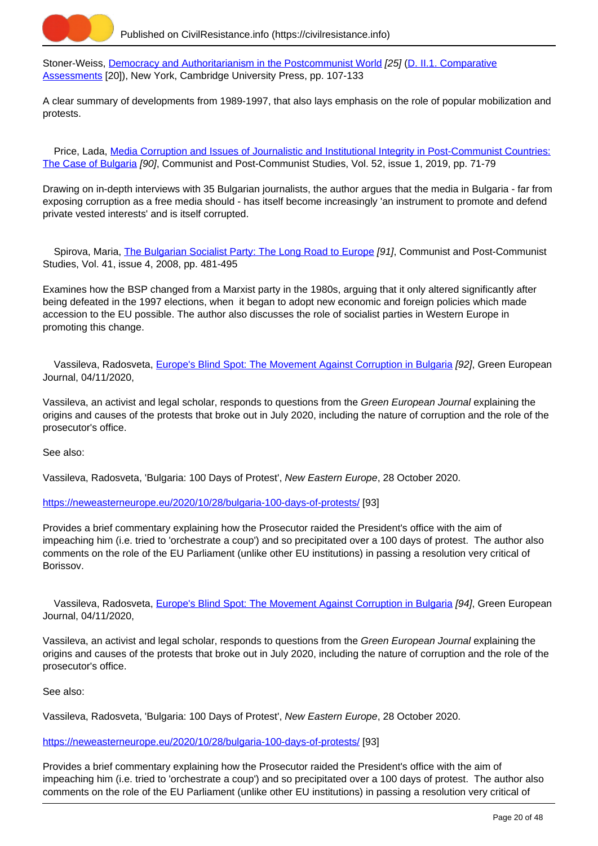

Stoner-Weiss, [Democracy and Authoritarianism in the Postcommunist World](https://civilresistance.info/biblio-item/2009/democracy-and-authoritarianism-postcommunist-world) [25] ([D. II.1. Comparative](https://civilresistance.info/section/d-resisting-authoritarianism-post-communist-and-post-soviet-regimes/d-ii-electoral-0) [Assessments](https://civilresistance.info/section/d-resisting-authoritarianism-post-communist-and-post-soviet-regimes/d-ii-electoral-0) [20]), New York, Cambridge University Press, pp. 107-133

A clear summary of developments from 1989-1997, that also lays emphasis on the role of popular mobilization and protests.

Price, Lada, [Media Corruption and Issues of Journalistic and Institutional Integrity in Post-Communist Countries:](https://civilresistance.info/biblio-item/2019/media-corruption-and-issues-journalistic-and-institutional-integrity-post-communist) [The Case of Bulgaria](https://civilresistance.info/biblio-item/2019/media-corruption-and-issues-journalistic-and-institutional-integrity-post-communist) [90], Communist and Post-Communist Studies, Vol. 52, issue 1, 2019, pp. 71-79

Drawing on in-depth interviews with 35 Bulgarian journalists, the author argues that the media in Bulgaria - far from exposing corruption as a free media should - has itself become increasingly 'an instrument to promote and defend private vested interests' and is itself corrupted.

Spirova, Maria, *[The Bulgarian Socialist Party: The Long Road to Europe](https://civilresistance.info/biblio-item/2008/bulgarian-socialist-party-long-road-europe) [91]*, Communist and Post-Communist Studies, Vol. 41, issue 4, 2008, pp. 481-495

Examines how the BSP changed from a Marxist party in the 1980s, arguing that it only altered significantly after being defeated in the 1997 elections, when it began to adopt new economic and foreign policies which made accession to the EU possible. The author also discusses the role of socialist parties in Western Europe in promoting this change.

Vassileva, Radosveta, [Europe's Blind Spot: The Movement Against Corruption in Bulgaria](https://civilresistance.info/biblio-item/2020/europes-blind-spot-movement-against-corruption-bulgaria-0) [92], Green European Journal, 04/11/2020,

Vassileva, an activist and legal scholar, responds to questions from the Green European Journal explaining the origins and causes of the protests that broke out in July 2020, including the nature of corruption and the role of the prosecutor's office.

See also:

Vassileva, Radosveta, 'Bulgaria: 100 Days of Protest', New Eastern Europe, 28 October 2020.

<https://neweasterneurope.eu/2020/10/28/bulgaria-100-days-of-protests/> [93]

Provides a brief commentary explaining how the Prosecutor raided the President's office with the aim of impeaching him (i.e. tried to 'orchestrate a coup') and so precipitated over a 100 days of protest. The author also comments on the role of the EU Parliament (unlike other EU institutions) in passing a resolution very critical of Borissov.

 Vassileva, Radosveta, [Europe's Blind Spot: The Movement Against Corruption in Bulgaria](https://civilresistance.info/biblio-item/2020/europes-blind-spot-movement-against-corruption-bulgaria) [94], Green European Journal, 04/11/2020,

Vassileva, an activist and legal scholar, responds to questions from the Green European Journal explaining the origins and causes of the protests that broke out in July 2020, including the nature of corruption and the role of the prosecutor's office.

See also:

Vassileva, Radosveta, 'Bulgaria: 100 Days of Protest', New Eastern Europe, 28 October 2020.

#### <https://neweasterneurope.eu/2020/10/28/bulgaria-100-days-of-protests/> [93]

Provides a brief commentary explaining how the Prosecutor raided the President's office with the aim of impeaching him (i.e. tried to 'orchestrate a coup') and so precipitated over a 100 days of protest. The author also comments on the role of the EU Parliament (unlike other EU institutions) in passing a resolution very critical of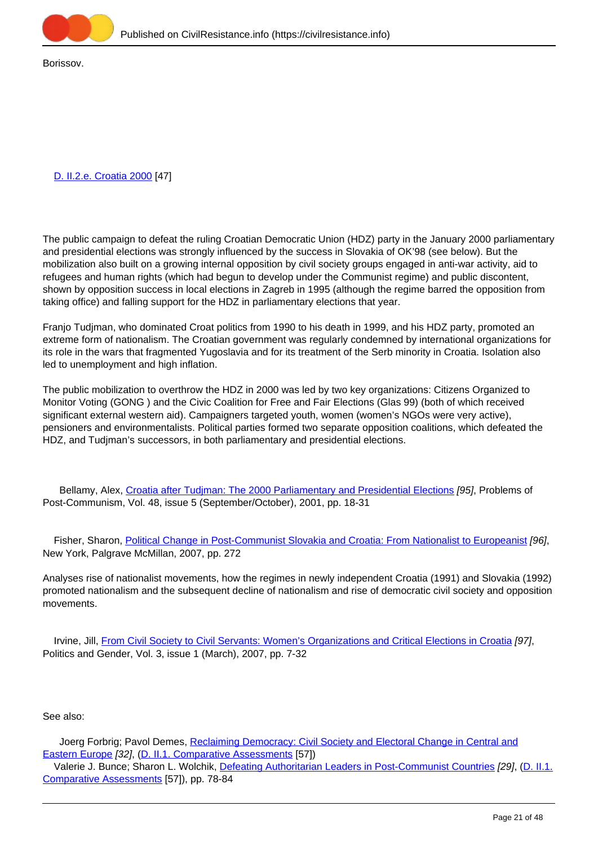

Borissov.

## [D. II.2.e. Croatia 2000](https://civilresistance.info/section/d-resisting-authoritarianism-post-communist-and-post-soviet-regimes/d-ii-electoral-6) [47]

The public campaign to defeat the ruling Croatian Democratic Union (HDZ) party in the January 2000 parliamentary and presidential elections was strongly influenced by the success in Slovakia of OK'98 (see below). But the mobilization also built on a growing internal opposition by civil society groups engaged in anti-war activity, aid to refugees and human rights (which had begun to develop under the Communist regime) and public discontent, shown by opposition success in local elections in Zagreb in 1995 (although the regime barred the opposition from taking office) and falling support for the HDZ in parliamentary elections that year.

Franjo Tudjman, who dominated Croat politics from 1990 to his death in 1999, and his HDZ party, promoted an extreme form of nationalism. The Croatian government was regularly condemned by international organizations for its role in the wars that fragmented Yugoslavia and for its treatment of the Serb minority in Croatia. Isolation also led to unemployment and high inflation.

The public mobilization to overthrow the HDZ in 2000 was led by two key organizations: Citizens Organized to Monitor Voting (GONG ) and the Civic Coalition for Free and Fair Elections (Glas 99) (both of which received significant external western aid). Campaigners targeted youth, women (women's NGOs were very active), pensioners and environmentalists. Political parties formed two separate opposition coalitions, which defeated the HDZ, and Tudjman's successors, in both parliamentary and presidential elections.

Bellamy, Alex, Croatia after Tudiman: The 2000 Parliamentary and Presidential Elections [95], Problems of Post-Communism, Vol. 48, issue 5 (September/October), 2001, pp. 18-31

 Fisher, Sharon, [Political Change in Post-Communist Slovakia and Croatia: From Nationalist to Europeanist](https://civilresistance.info/biblio-item/2007/political-change-post-communist-slovakia-and-croatia-nationalist-europeanist) [96], New York, Palgrave McMillan, 2007, pp. 272

Analyses rise of nationalist movements, how the regimes in newly independent Croatia (1991) and Slovakia (1992) promoted nationalism and the subsequent decline of nationalism and rise of democratic civil society and opposition movements.

 Irvine, Jill, [From Civil Society to Civil Servants: Women's Organizations and Critical Elections in Croatia](https://civilresistance.info/biblio-item/2007/civil-society-civil-servants-womens-organizations-and-critical-elections-croatia) [97], Politics and Gender, Vol. 3, issue 1 (March), 2007, pp. 7-32

## See also:

Joerg Forbrig; Pavol Demes, [Reclaiming Democracy: Civil Society and Electoral Change in Central and](https://civilresistance.info/biblio-item/2007/reclaiming-democracy-civil-society-and-electoral-change-central-and-eastern-europe) [Eastern Europe](https://civilresistance.info/biblio-item/2007/reclaiming-democracy-civil-society-and-electoral-change-central-and-eastern-europe) [32], (D. II.1. Comparative Assessments [57])

 Valerie J. Bunce; Sharon L. Wolchik, [Defeating Authoritarian Leaders in Post-Communist Countries](https://civilresistance.info/biblio-item/2011/defeating-authoritarian-leaders-post-communist-countries) [29], (D. II.1. Comparative Assessments [57]), pp. 78-84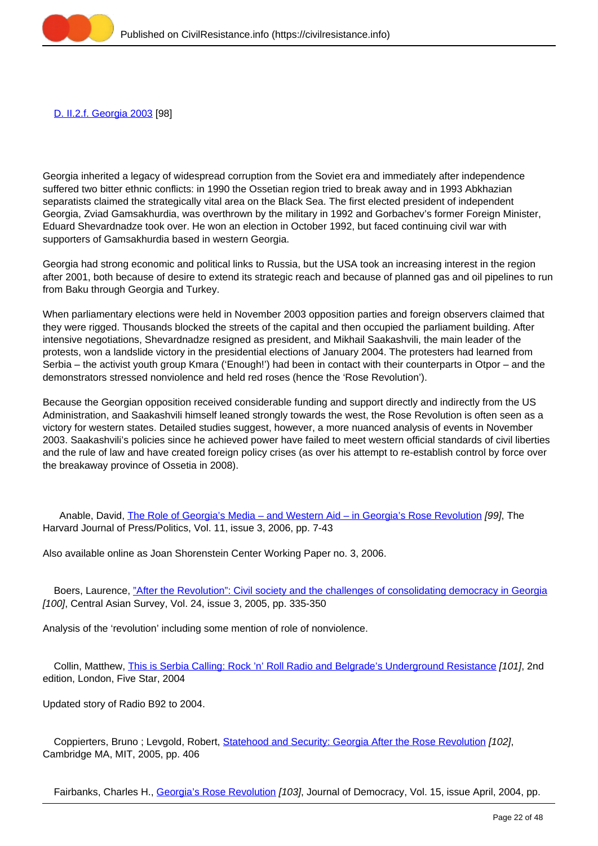

[D. II.2.f. Georgia 2003](https://civilresistance.info/section/d-resisting-authoritarianism-post-communist-and-post-soviet-regimes/d-ii-electoral-7) [98]

Georgia inherited a legacy of widespread corruption from the Soviet era and immediately after independence suffered two bitter ethnic conflicts: in 1990 the Ossetian region tried to break away and in 1993 Abkhazian separatists claimed the strategically vital area on the Black Sea. The first elected president of independent Georgia, Zviad Gamsakhurdia, was overthrown by the military in 1992 and Gorbachev's former Foreign Minister, Eduard Shevardnadze took over. He won an election in October 1992, but faced continuing civil war with supporters of Gamsakhurdia based in western Georgia.

Georgia had strong economic and political links to Russia, but the USA took an increasing interest in the region after 2001, both because of desire to extend its strategic reach and because of planned gas and oil pipelines to run from Baku through Georgia and Turkey.

When parliamentary elections were held in November 2003 opposition parties and foreign observers claimed that they were rigged. Thousands blocked the streets of the capital and then occupied the parliament building. After intensive negotiations, Shevardnadze resigned as president, and Mikhail Saakashvili, the main leader of the protests, won a landslide victory in the presidential elections of January 2004. The protesters had learned from Serbia – the activist youth group Kmara ('Enough!') had been in contact with their counterparts in Otpor – and the demonstrators stressed nonviolence and held red roses (hence the 'Rose Revolution').

Because the Georgian opposition received considerable funding and support directly and indirectly from the US Administration, and Saakashvili himself leaned strongly towards the west, the Rose Revolution is often seen as a victory for western states. Detailed studies suggest, however, a more nuanced analysis of events in November 2003. Saakashvili's policies since he achieved power have failed to meet western official standards of civil liberties and the rule of law and have created foreign policy crises (as over his attempt to re-establish control by force over the breakaway province of Ossetia in 2008).

 Anable, David, [The Role of Georgia's Media – and Western Aid – in Georgia's Rose Revolution](https://civilresistance.info/biblio-item/2006/role-georgias-media-and-western-aid-georgias-rose-revolution) [99], The Harvard Journal of Press/Politics, Vol. 11, issue 3, 2006, pp. 7-43

Also available online as Joan Shorenstein Center Working Paper no. 3, 2006.

 Boers, Laurence, ["After the Revolution": Civil society and the challenges of consolidating democracy in Georgia](https://civilresistance.info/biblio-item/2005/after-revolution-civil-society-and-challenges-consolidating-democracy-georgia) [100], Central Asian Survey, Vol. 24, issue 3, 2005, pp. 335-350

Analysis of the 'revolution' including some mention of role of nonviolence.

 Collin, Matthew, [This is Serbia Calling: Rock 'n' Roll Radio and Belgrade's Underground Resistance](https://civilresistance.info/biblio-item/2004/serbia-calling-rock-n-roll-radio-and-belgrades-underground-resistance) [101], 2nd edition, London, Five Star, 2004

Updated story of Radio B92 to 2004.

Coppierters, Bruno ; Levgold, Robert, [Statehood and Security: Georgia After the Rose Revolution](https://civilresistance.info/biblio-item/2005/statehood-and-security-georgia-after-rose-revolution) [102], Cambridge MA, MIT, 2005, pp. 406

Fairbanks, Charles H., [Georgia's Rose Revolution](https://civilresistance.info/biblio-item/2004/georgias-rose-revolution) [103], Journal of Democracy, Vol. 15, issue April, 2004, pp.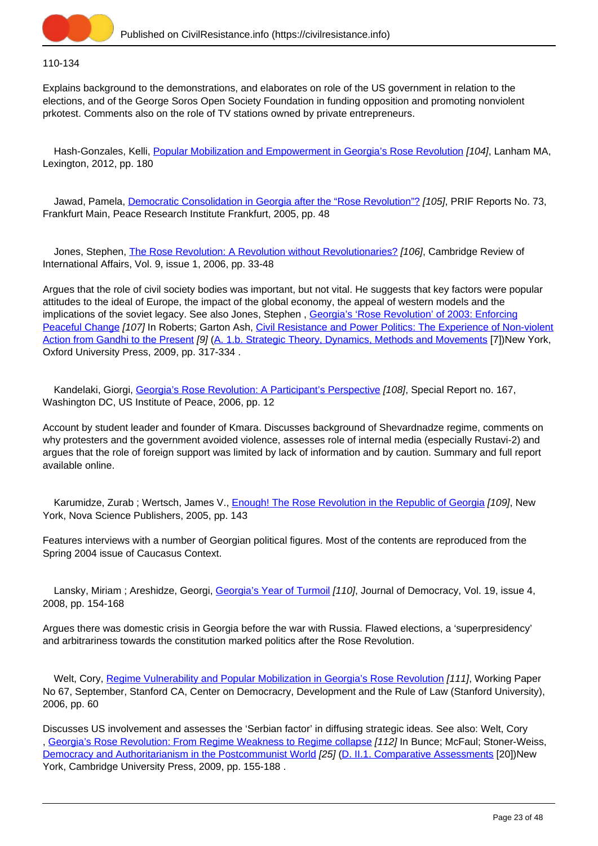

## 110-134

Explains background to the demonstrations, and elaborates on role of the US government in relation to the elections, and of the George Soros Open Society Foundation in funding opposition and promoting nonviolent prkotest. Comments also on the role of TV stations owned by private entrepreneurs.

Hash-Gonzales, Kelli, [Popular Mobilization and Empowerment in Georgia's Rose Revolution](https://civilresistance.info/biblio-item/2012/popular-mobilization-and-empowerment-georgias-rose-revolution) [104], Lanham MA, Lexington, 2012, pp. 180

Jawad, Pamela, *[Democratic Consolidation in Georgia after the "Rose Revolution"?](https://civilresistance.info/biblio-item/2005/democratic-consolidation-georgia-after-rose-revolution) [105]*, PRIF Reports No. 73, Frankfurt Main, Peace Research Institute Frankfurt, 2005, pp. 48

Jones, Stephen, [The Rose Revolution: A Revolution without Revolutionaries?](https://civilresistance.info/biblio-item/2006/rose-revolution-revolution-without-revolutionaries) [106], Cambridge Review of International Affairs, Vol. 9, issue 1, 2006, pp. 33-48

Argues that the role of civil society bodies was important, but not vital. He suggests that key factors were popular attitudes to the ideal of Europe, the impact of the global economy, the appeal of western models and the implications of the soviet legacy. See also Jones, Stephen , [Georgia's 'Rose Revolution' of 2003: Enforcing](https://civilresistance.info/biblio-item/2009/georgias-rose-revolution-2003-enforcing-peaceful-change) [Peaceful Change](https://civilresistance.info/biblio-item/2009/georgias-rose-revolution-2003-enforcing-peaceful-change) [107] In Roberts; Garton Ash, [Civil Resistance and Power Politics: The Experience of Non-violent](https://civilresistance.info/biblio-item/2009/civil-resistance-and-power-politics-experience-non-violent-action-gandhi-present) [Action from Gandhi to the Present](https://civilresistance.info/biblio-item/2009/civil-resistance-and-power-politics-experience-non-violent-action-gandhi-present) [9] [\(A. 1.b. Strategic Theory, Dynamics, Methods and Movements](https://civilresistance.info/section/introduction-nonviolent-action/1-theory-methods-and-examples/1b-strategic-theory-dynamics) [7])New York, Oxford University Press, 2009, pp. 317-334 .

Kandelaki, Giorgi, [Georgia's Rose Revolution: A Participant's Perspective](https://civilresistance.info/biblio-item/2006/georgias-rose-revolution-participants-perspective) [108], Special Report no. 167, Washington DC, US Institute of Peace, 2006, pp. 12

Account by student leader and founder of Kmara. Discusses background of Shevardnadze regime, comments on why protesters and the government avoided violence, assesses role of internal media (especially Rustavi-2) and argues that the role of foreign support was limited by lack of information and by caution. Summary and full report available online.

Karumidze, Zurab ; Wertsch, James V., [Enough! The Rose Revolution in the Republic of Georgia](https://civilresistance.info/biblio-item/2005/enough-rose-revolution-republic-georgia) [109], New York, Nova Science Publishers, 2005, pp. 143

Features interviews with a number of Georgian political figures. Most of the contents are reproduced from the Spring 2004 issue of Caucasus Context.

Lansky, Miriam; Areshidze, Georgi, [Georgia's Year of Turmoil](https://civilresistance.info/biblio-item/2008/georgias-year-turmoil) [110], Journal of Democracy, Vol. 19, issue 4, 2008, pp. 154-168

Argues there was domestic crisis in Georgia before the war with Russia. Flawed elections, a 'superpresidency' and arbitrariness towards the constitution marked politics after the Rose Revolution.

Welt, Cory, [Regime Vulnerability and Popular Mobilization in Georgia's Rose Revolution](https://civilresistance.info/biblio-item/2006/regime-vulnerability-and-popular-mobilization-georgias-rose-revolution) [111], Working Paper No 67, September, Stanford CA, Center on Democracry, Development and the Rule of Law (Stanford University), 2006, pp. 60

Discusses US involvement and assesses the 'Serbian factor' in diffusing strategic ideas. See also: Welt, Cory , [Georgia's Rose Revolution: From Regime Weakness to Regime collapse](https://civilresistance.info/biblio-item/2009/georgias-rose-revolution-regime-weakness-regime-collapse) [112] In Bunce; McFaul; Stoner-Weiss, [Democracy and Authoritarianism in the Postcommunist World](https://civilresistance.info/biblio-item/2009/democracy-and-authoritarianism-postcommunist-world) [25] [\(D. II.1. Comparative Assessments](https://civilresistance.info/section/d-resisting-authoritarianism-post-communist-and-post-soviet-regimes/d-ii-electoral-0) [20])New York, Cambridge University Press, 2009, pp. 155-188 .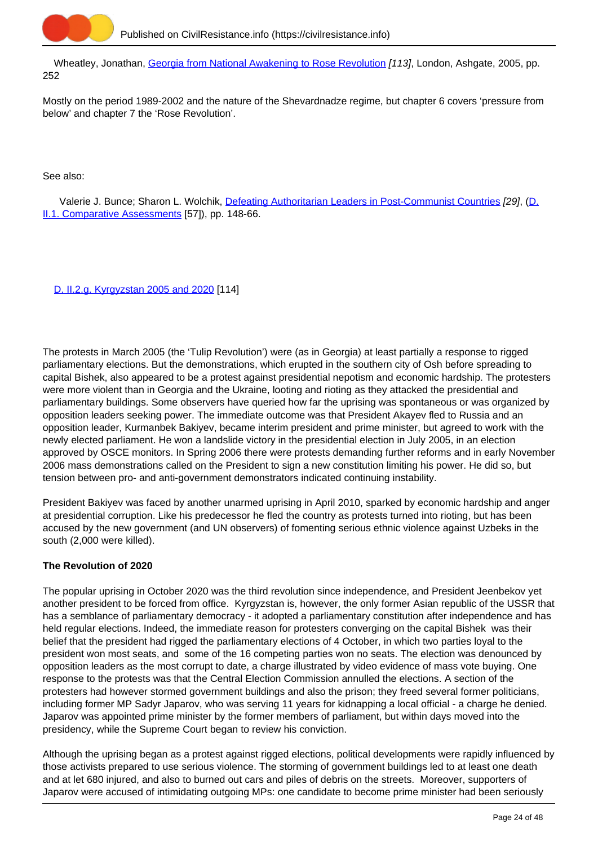

Wheatley, Jonathan, [Georgia from National Awakening to Rose Revolution](https://civilresistance.info/biblio-item/2005/georgia-national-awakening-rose-revolution) [113], London, Ashgate, 2005, pp. 252

Mostly on the period 1989-2002 and the nature of the Shevardnadze regime, but chapter 6 covers 'pressure from below' and chapter 7 the 'Rose Revolution'.

See also:

Valerie J. Bunce; Sharon L. Wolchik, [Defeating Authoritarian Leaders in Post-Communist Countries](https://civilresistance.info/biblio-item/2011/defeating-authoritarian-leaders-post-communist-countries) [29], (D. II.1. Comparative Assessments [57]), pp. 148-66.

[D. II.2.g. Kyrgyzstan 2005 and 2020](https://civilresistance.info/section/d-resisting-authoritarianism-post-communist-and-post-soviet-regimes/d-ii-electoral-8) [114]

The protests in March 2005 (the 'Tulip Revolution') were (as in Georgia) at least partially a response to rigged parliamentary elections. But the demonstrations, which erupted in the southern city of Osh before spreading to capital Bishek, also appeared to be a protest against presidential nepotism and economic hardship. The protesters were more violent than in Georgia and the Ukraine, looting and rioting as they attacked the presidential and parliamentary buildings. Some observers have queried how far the uprising was spontaneous or was organized by opposition leaders seeking power. The immediate outcome was that President Akayev fled to Russia and an opposition leader, Kurmanbek Bakiyev, became interim president and prime minister, but agreed to work with the newly elected parliament. He won a landslide victory in the presidential election in July 2005, in an election approved by OSCE monitors. In Spring 2006 there were protests demanding further reforms and in early November 2006 mass demonstrations called on the President to sign a new constitution limiting his power. He did so, but tension between pro- and anti-government demonstrators indicated continuing instability.

President Bakiyev was faced by another unarmed uprising in April 2010, sparked by economic hardship and anger at presidential corruption. Like his predecessor he fled the country as protests turned into rioting, but has been accused by the new government (and UN observers) of fomenting serious ethnic violence against Uzbeks in the south (2,000 were killed).

# **The Revolution of 2020**

The popular uprising in October 2020 was the third revolution since independence, and President Jeenbekov yet another president to be forced from office. Kyrgyzstan is, however, the only former Asian republic of the USSR that has a semblance of parliamentary democracy - it adopted a parliamentary constitution after independence and has held regular elections. Indeed, the immediate reason for protesters converging on the capital Bishek was their belief that the president had rigged the parliamentary elections of 4 October, in which two parties loyal to the president won most seats, and some of the 16 competing parties won no seats. The election was denounced by opposition leaders as the most corrupt to date, a charge illustrated by video evidence of mass vote buying. One response to the protests was that the Central Election Commission annulled the elections. A section of the protesters had however stormed government buildings and also the prison; they freed several former politicians, including former MP Sadyr Japarov, who was serving 11 years for kidnapping a local official - a charge he denied. Japarov was appointed prime minister by the former members of parliament, but within days moved into the presidency, while the Supreme Court began to review his conviction.

Although the uprising began as a protest against rigged elections, political developments were rapidly influenced by those activists prepared to use serious violence. The storming of government buildings led to at least one death and at let 680 injured, and also to burned out cars and piles of debris on the streets. Moreover, supporters of Japarov were accused of intimidating outgoing MPs: one candidate to become prime minister had been seriously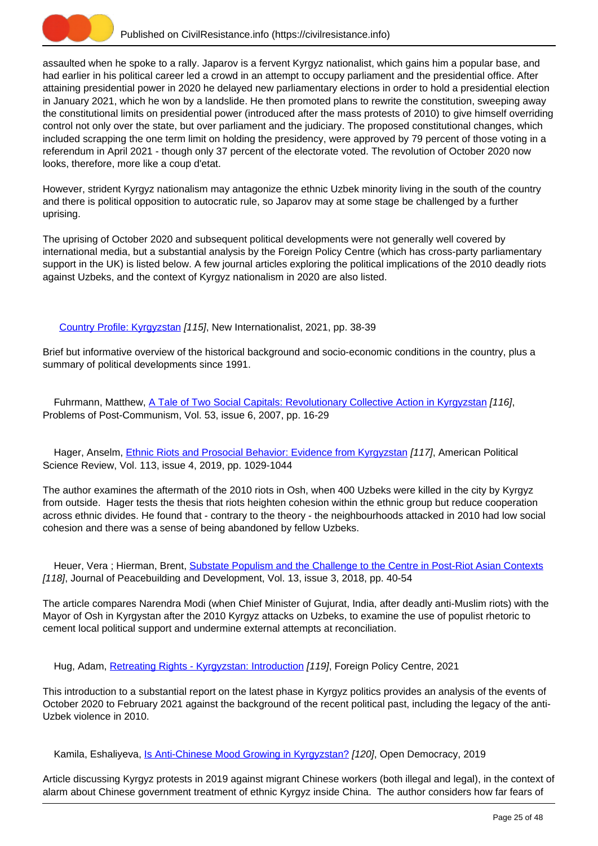

assaulted when he spoke to a rally. Japarov is a fervent Kyrgyz nationalist, which gains him a popular base, and had earlier in his political career led a crowd in an attempt to occupy parliament and the presidential office. After attaining presidential power in 2020 he delayed new parliamentary elections in order to hold a presidential election in January 2021, which he won by a landslide. He then promoted plans to rewrite the constitution, sweeping away the constitutional limits on presidential power (introduced after the mass protests of 2010) to give himself overriding control not only over the state, but over parliament and the judiciary. The proposed constitutional changes, which included scrapping the one term limit on holding the presidency, were approved by 79 percent of those voting in a referendum in April 2021 - though only 37 percent of the electorate voted. The revolution of October 2020 now looks, therefore, more like a coup d'etat.

However, strident Kyrgyz nationalism may antagonize the ethnic Uzbek minority living in the south of the country and there is political opposition to autocratic rule, so Japarov may at some stage be challenged by a further uprising.

The uprising of October 2020 and subsequent political developments were not generally well covered by international media, but a substantial analysis by the Foreign Policy Centre (which has cross-party parliamentary support in the UK) is listed below. A few journal articles exploring the political implications of the 2010 deadly riots against Uzbeks, and the context of Kyrgyz nationalism in 2020 are also listed.

[Country Profile: Kyrgyzstan](https://civilresistance.info/biblio-item/2021/country-profile-kyrgyzstan) [115], New Internationalist, 2021, pp. 38-39

Brief but informative overview of the historical background and socio-economic conditions in the country, plus a summary of political developments since 1991.

 Fuhrmann, Matthew, [A Tale of Two Social Capitals: Revolutionary Collective Action in Kyrgyzstan](https://civilresistance.info/biblio-item/2007/tale-two-social-capitals-revolutionary-collective-action-kyrgyzstan) [116], Problems of Post-Communism, Vol. 53, issue 6, 2007, pp. 16-29

Hager, Anselm, *Ethnic Riots and Prosocial Behavior: Evidence from Kyrgyzstan [117]*, American Political Science Review, Vol. 113, issue 4, 2019, pp. 1029-1044

The author examines the aftermath of the 2010 riots in Osh, when 400 Uzbeks were killed in the city by Kyrgyz from outside. Hager tests the thesis that riots heighten cohesion within the ethnic group but reduce cooperation across ethnic divides. He found that - contrary to the theory - the neighbourhoods attacked in 2010 had low social cohesion and there was a sense of being abandoned by fellow Uzbeks.

Heuer, Vera; Hierman, Brent, [Substate Populism and the Challenge to the Centre in Post-Riot Asian Contexts](https://civilresistance.info/biblio-item/2018/substate-populism-and-challenge-centre-post-riot-asian-contexts) [118], Journal of Peacebuilding and Development, Vol. 13, issue 3, 2018, pp. 40-54

The article compares Narendra Modi (when Chief Minister of Gujurat, India, after deadly anti-Muslim riots) with the Mayor of Osh in Kyrgystan after the 2010 Kyrgyz attacks on Uzbeks, to examine the use of populist rhetoric to cement local political support and undermine external attempts at reconciliation.

Hug, Adam, [Retreating Rights - Kyrgyzstan: Introduction](https://civilresistance.info/biblio-item/2021/retreating-rights-kyrgyzstan-introduction) [119], Foreign Policy Centre, 2021

This introduction to a substantial report on the latest phase in Kyrgyz politics provides an analysis of the events of October 2020 to February 2021 against the background of the recent political past, including the legacy of the anti-Uzbek violence in 2010.

Kamila, Eshaliyeva, [Is Anti-Chinese Mood Growing in Kyrgyzstan?](https://civilresistance.info/biblio-item/2019/anti-chinese-mood-growing-kyrgyzstan) [120], Open Democracy, 2019

Article discussing Kyrgyz protests in 2019 against migrant Chinese workers (both illegal and legal), in the context of alarm about Chinese government treatment of ethnic Kyrgyz inside China. The author considers how far fears of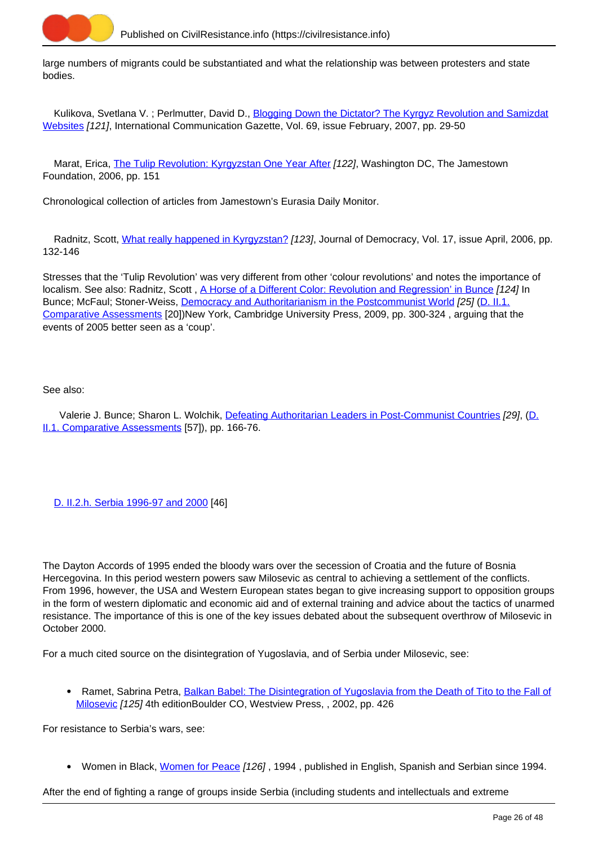

large numbers of migrants could be substantiated and what the relationship was between protesters and state bodies.

Kulikova, Svetlana V.; Perlmutter, David D., [Blogging Down the Dictator? The Kyrgyz Revolution and Samizdat](https://civilresistance.info/biblio-item/2007/blogging-down-dictator-kyrgyz-revolution-and-samizdat-websites) [Websites](https://civilresistance.info/biblio-item/2007/blogging-down-dictator-kyrgyz-revolution-and-samizdat-websites) [121], International Communication Gazette, Vol. 69, issue February, 2007, pp. 29-50

Marat, Erica, [The Tulip Revolution: Kyrgyzstan One Year After](https://civilresistance.info/biblio-item/2006/tulip-revolution-kyrgyzstan-one-year-after) [122], Washington DC, The Jamestown Foundation, 2006, pp. 151

Chronological collection of articles from Jamestown's Eurasia Daily Monitor.

 Radnitz, Scott, [What really happened in Kyrgyzstan?](https://civilresistance.info/biblio-item/2006/what-really-happened-kyrgyzstan) [123], Journal of Democracy, Vol. 17, issue April, 2006, pp. 132-146

Stresses that the 'Tulip Revolution' was very different from other 'colour revolutions' and notes the importance of localism. See also: Radnitz, Scott, [A Horse of a Different Color: Revolution and Regression' in Bunce](https://civilresistance.info/biblio-item/2009/horse-different-color-revolution-and-regression-bunce) [124] In Bunce; McFaul; Stoner-Weiss, [Democracy and Authoritarianism in the Postcommunist World](https://civilresistance.info/biblio-item/2009/democracy-and-authoritarianism-postcommunist-world) [25] [\(D. II.1.](https://civilresistance.info/section/d-resisting-authoritarianism-post-communist-and-post-soviet-regimes/d-ii-electoral-0) [Comparative Assessments](https://civilresistance.info/section/d-resisting-authoritarianism-post-communist-and-post-soviet-regimes/d-ii-electoral-0) [20])New York, Cambridge University Press, 2009, pp. 300-324 , arguing that the events of 2005 better seen as a 'coup'.

## See also:

 Valerie J. Bunce; Sharon L. Wolchik, [Defeating Authoritarian Leaders in Post-Communist Countries](https://civilresistance.info/biblio-item/2011/defeating-authoritarian-leaders-post-communist-countries) [29], (D. II.1. Comparative Assessments [57]), pp. 166-76.

[D. II.2.h. Serbia 1996-97 and 2000](https://civilresistance.info/section/d-resisting-authoritarianism-post-communist-and-post-soviet-regimes/d-ii-electoral-9) [46]

The Dayton Accords of 1995 ended the bloody wars over the secession of Croatia and the future of Bosnia Hercegovina. In this period western powers saw Milosevic as central to achieving a settlement of the conflicts. From 1996, however, the USA and Western European states began to give increasing support to opposition groups in the form of western diplomatic and economic aid and of external training and advice about the tactics of unarmed resistance. The importance of this is one of the key issues debated about the subsequent overthrow of Milosevic in October 2000.

For a much cited source on the disintegration of Yugoslavia, and of Serbia under Milosevic, see:

• Ramet, Sabrina Petra, [Balkan Babel: The Disintegration of Yugoslavia from the Death of Tito to the Fall of](https://civilresistance.info/biblio-item/2002/balkan-babel-disintegration-yugoslavia-death-tito-fall-milosevic) [Milosevic](https://civilresistance.info/biblio-item/2002/balkan-babel-disintegration-yugoslavia-death-tito-fall-milosevic) [125] 4th editionBoulder CO, Westview Press, , 2002, pp. 426

For resistance to Serbia's wars, see:

Women in Black, [Women for Peace](https://civilresistance.info/biblio-item/1994/women-peace) [126] , 1994 , published in English, Spanish and Serbian since 1994.

After the end of fighting a range of groups inside Serbia (including students and intellectuals and extreme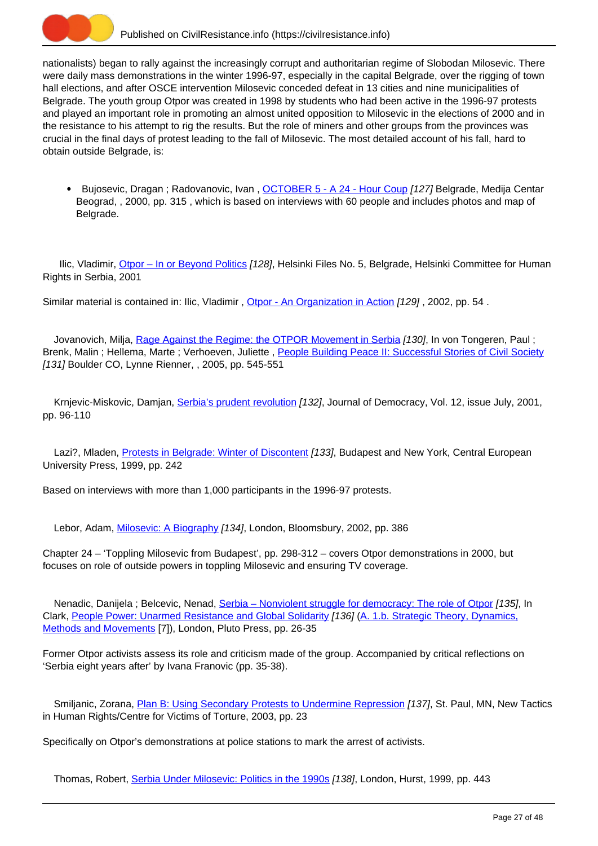

nationalists) began to rally against the increasingly corrupt and authoritarian regime of Slobodan Milosevic. There were daily mass demonstrations in the winter 1996-97, especially in the capital Belgrade, over the rigging of town hall elections, and after OSCE intervention Milosevic conceded defeat in 13 cities and nine municipalities of Belgrade. The youth group Otpor was created in 1998 by students who had been active in the 1996-97 protests and played an important role in promoting an almost united opposition to Milosevic in the elections of 2000 and in the resistance to his attempt to rig the results. But the role of miners and other groups from the provinces was crucial in the final days of protest leading to the fall of Milosevic. The most detailed account of his fall, hard to obtain outside Belgrade, is:

• Bujosevic, Dragan ; Radovanovic, Ivan , [OCTOBER 5 - A 24 - Hour Coup](https://civilresistance.info/biblio-item/2000/october-5-24-hour-coup) [127] Belgrade, Medija Centar Beograd, , 2000, pp. 315 , which is based on interviews with 60 people and includes photos and map of Belgrade.

Ilic, Vladimir, [Otpor – In or Beyond Politics](https://civilresistance.info/biblio-item/2001/otpor-or-beyond-politics) [128], Helsinki Files No. 5, Belgrade, Helsinki Committee for Human Rights in Serbia, 2001

Similar material is contained in: Ilic, Vladimir, [Otpor - An Organization in Action](https://civilresistance.info/biblio-item/2002/otpor-organization-action) [129], 2002, pp. 54.

Jovanovich, Milja, [Rage Against the Regime: the OTPOR Movement in Serbia](https://civilresistance.info/biblio-item/2005/rage-against-regime-otpor-movement-serbia) [130], In von Tongeren, Paul ; Brenk, Malin ; Hellema, Marte ; Verhoeven, Juliette , [People Building Peace II: Successful Stories of Civil Society](https://civilresistance.info/biblio-item/2005/people-building-peace-ii-successful-stories-civil-society) [131] Boulder CO, Lynne Rienner, , 2005, pp. 545-551

Krnjevic-Miskovic, Damjan, [Serbia's prudent revolution](https://civilresistance.info/biblio-item/2001/serbias-prudent-revolution) [132], Journal of Democracy, Vol. 12, issue July, 2001, pp. 96-110

Lazi?, Mladen, [Protests in Belgrade: Winter of Discontent](https://civilresistance.info/biblio-item/1999/protests-belgrade-winter-discontent) [133], Budapest and New York, Central European University Press, 1999, pp. 242

Based on interviews with more than 1,000 participants in the 1996-97 protests.

Lebor, Adam, [Milosevic: A Biography](https://civilresistance.info/biblio-item/2002/milosevic-biography) [134], London, Bloomsbury, 2002, pp. 386

Chapter 24 – 'Toppling Milosevic from Budapest', pp. 298-312 – covers Otpor demonstrations in 2000, but focuses on role of outside powers in toppling Milosevic and ensuring TV coverage.

Nenadic, Danijela ; Belcevic, Nenad, Serbia - Nonviolent struggle for democracy: The role of Otpor [135], In Clark, [People Power: Unarmed Resistance and Global Solidarity](https://civilresistance.info/biblio-item/2009/people-power-unarmed-resistance-and-global-solidarity) [136] ([A. 1.b. Strategic Theory, Dynamics,](https://civilresistance.info/section/introduction-nonviolent-action/1-theory-methods-and-examples/1b-strategic-theory-dynamics) [Methods and Movements](https://civilresistance.info/section/introduction-nonviolent-action/1-theory-methods-and-examples/1b-strategic-theory-dynamics) [7]), London, Pluto Press, pp. 26-35

Former Otpor activists assess its role and criticism made of the group. Accompanied by critical reflections on 'Serbia eight years after' by Ivana Franovic (pp. 35-38).

Smiljanic, Zorana, [Plan B: Using Secondary Protests to Undermine Repression](https://civilresistance.info/biblio-item/2003/plan-b-using-secondary-protests-undermine-repression) [137], St. Paul, MN, New Tactics in Human Rights/Centre for Victims of Torture, 2003, pp. 23

Specifically on Otpor's demonstrations at police stations to mark the arrest of activists.

Thomas, Robert, [Serbia Under Milosevic: Politics in the 1990s](https://civilresistance.info/biblio-item/1999/serbia-under-milosevic-politics-1990s) [138], London, Hurst, 1999, pp. 443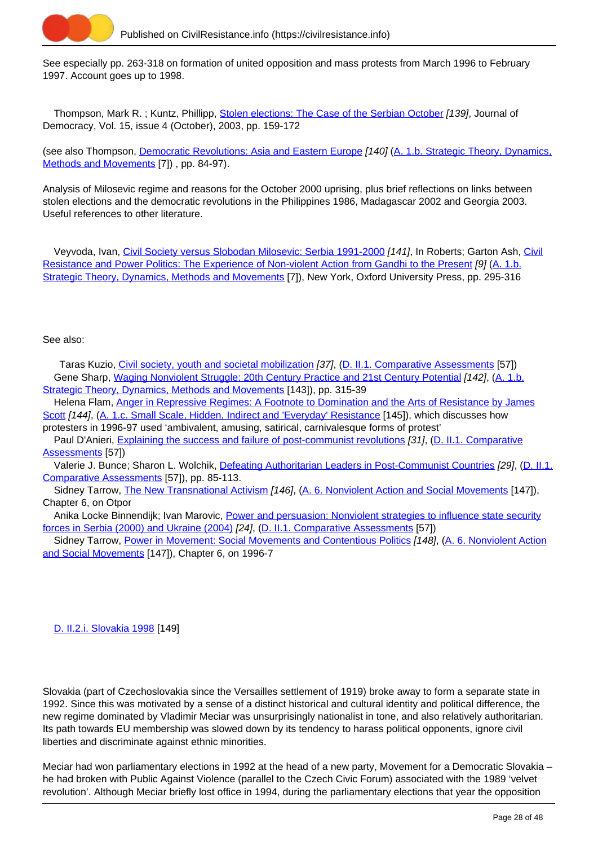

See especially pp. 263-318 on formation of united opposition and mass protests from March 1996 to February 1997. Account goes up to 1998.

Thompson, Mark R. ; Kuntz, Phillipp, [Stolen elections: The Case of the Serbian October](https://civilresistance.info/biblio-item/2003/stolen-elections-case-serbian-october) [139], Journal of Democracy, Vol. 15, issue 4 (October), 2003, pp. 159-172

(see also Thompson, [Democratic Revolutions: Asia and Eastern Europe](https://civilresistance.info/biblio-item/2004/democratic-revolutions-asia-and-eastern-europe) [140] [\(A. 1.b. Strategic Theory, Dynamics,](https://civilresistance.info/section/introduction-nonviolent-action/1-theory-methods-and-examples/1b-strategic-theory-dynamics) [Methods and Movements](https://civilresistance.info/section/introduction-nonviolent-action/1-theory-methods-and-examples/1b-strategic-theory-dynamics) [7]) , pp. 84-97).

Analysis of Milosevic regime and reasons for the October 2000 uprising, plus brief reflections on links between stolen elections and the democratic revolutions in the Philippines 1986, Madagascar 2002 and Georgia 2003. Useful references to other literature.

 Veyvoda, Ivan, [Civil Society versus Slobodan Milosevic: Serbia 1991-2000](https://civilresistance.info/biblio-item/2009/civil-society-versus-slobodan-milosevic-serbia-1991-2000) [141], In Roberts; Garton Ash, [Civil](https://civilresistance.info/biblio-item/2009/civil-resistance-and-power-politics-experience-non-violent-action-gandhi-present) [Resistance and Power Politics: The Experience of Non-violent Action from Gandhi to the Present](https://civilresistance.info/biblio-item/2009/civil-resistance-and-power-politics-experience-non-violent-action-gandhi-present) [9] [\(A. 1.b.](https://civilresistance.info/section/introduction-nonviolent-action/1-theory-methods-and-examples/1b-strategic-theory-dynamics) [Strategic Theory, Dynamics, Methods and Movements](https://civilresistance.info/section/introduction-nonviolent-action/1-theory-methods-and-examples/1b-strategic-theory-dynamics) [7]), New York, Oxford University Press, pp. 295-316

#### See also:

 Taras Kuzio, [Civil society, youth and societal mobilization](https://civilresistance.info/biblio-item/2006/civil-society-youth-and-societal-mobilization) [37], (D. II.1. Comparative Assessments [57]) Gene Sharp, [Waging Nonviolent Struggle: 20th Century Practice and 21st Century Potential](https://civilresistance.info/biblio-item/2005/waging-nonviolent-struggle-20th-century-practice-and-21st-century-potential) [142], (A. 1.b. Strategic Theory, Dynamics, Methods and Movements [143]), pp. 315-39

 Helena Flam, [Anger in Repressive Regimes: A Footnote to Domination and the Arts of Resistance by James](https://civilresistance.info/biblio-item/2004/anger-repressive-regimes-footnote-domination-and-arts-resistance-james-scott) [Scott](https://civilresistance.info/biblio-item/2004/anger-repressive-regimes-footnote-domination-and-arts-resistance-james-scott) [144], (A. 1.c. Small Scale, Hidden, Indirect and 'Everyday' Resistance [145]), which discusses how protesters in 1996-97 used 'ambivalent, amusing, satirical, carnivalesque forms of protest'

 Paul D'Anieri, [Explaining the success and failure of post-communist revolutions](https://civilresistance.info/biblio-item/2006/explaining-success-and-failure-post-communist-revolutions) [31], (D. II.1. Comparative Assessments [57])

Valerie J. Bunce; Sharon L. Wolchik, [Defeating Authoritarian Leaders in Post-Communist Countries](https://civilresistance.info/biblio-item/2011/defeating-authoritarian-leaders-post-communist-countries) [29], (D. II.1. Comparative Assessments [57]), pp. 85-113.

Sidney Tarrow, [The New Transnational Activism](https://civilresistance.info/biblio-item/2005/new-transnational-activism) [146], (A. 6. Nonviolent Action and Social Movements [147]), Chapter 6, on Otpor

 Anika Locke Binnendijk; Ivan Marovic, [Power and persuasion: Nonviolent strategies to influence state security](https://civilresistance.info/biblio-item/2006/power-and-persuasion-nonviolent-strategies-influence-state-security-forces-serbia) [forces in Serbia \(2000\) and Ukraine \(2004\)](https://civilresistance.info/biblio-item/2006/power-and-persuasion-nonviolent-strategies-influence-state-security-forces-serbia) [24], (D. II.1. Comparative Assessments [57])

Sidney Tarrow, [Power in Movement: Social Movements and Contentious Politics](https://civilresistance.info/biblio-item/1998/power-movement-social-movements-and-contentious-politics) [148], (A. 6. Nonviolent Action and Social Movements [147]), Chapter 6, on 1996-7

[D. II.2.i. Slovakia 1998](https://civilresistance.info/section/d-resisting-authoritarianism-post-communist-and-post-soviet-regimes/d-ii-electoral-10) [149]

Slovakia (part of Czechoslovakia since the Versailles settlement of 1919) broke away to form a separate state in 1992. Since this was motivated by a sense of a distinct historical and cultural identity and political difference, the new regime dominated by Vladimir Meciar was unsurprisingly nationalist in tone, and also relatively authoritarian. Its path towards EU membership was slowed down by its tendency to harass political opponents, ignore civil liberties and discriminate against ethnic minorities.

Meciar had won parliamentary elections in 1992 at the head of a new party, Movement for a Democratic Slovakia – he had broken with Public Against Violence (parallel to the Czech Civic Forum) associated with the 1989 'velvet revolution'. Although Meciar briefly lost office in 1994, during the parliamentary elections that year the opposition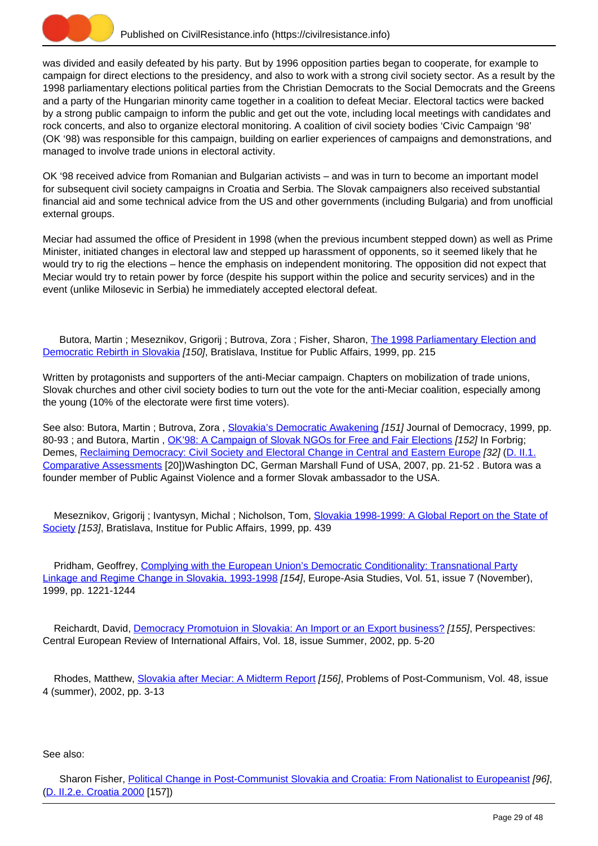

was divided and easily defeated by his party. But by 1996 opposition parties began to cooperate, for example to campaign for direct elections to the presidency, and also to work with a strong civil society sector. As a result by the 1998 parliamentary elections political parties from the Christian Democrats to the Social Democrats and the Greens and a party of the Hungarian minority came together in a coalition to defeat Meciar. Electoral tactics were backed by a strong public campaign to inform the public and get out the vote, including local meetings with candidates and rock concerts, and also to organize electoral monitoring. A coalition of civil society bodies 'Civic Campaign '98' (OK '98) was responsible for this campaign, building on earlier experiences of campaigns and demonstrations, and managed to involve trade unions in electoral activity.

OK '98 received advice from Romanian and Bulgarian activists – and was in turn to become an important model for subsequent civil society campaigns in Croatia and Serbia. The Slovak campaigners also received substantial financial aid and some technical advice from the US and other governments (including Bulgaria) and from unofficial external groups.

Meciar had assumed the office of President in 1998 (when the previous incumbent stepped down) as well as Prime Minister, initiated changes in electoral law and stepped up harassment of opponents, so it seemed likely that he would try to rig the elections – hence the emphasis on independent monitoring. The opposition did not expect that Meciar would try to retain power by force (despite his support within the police and security services) and in the event (unlike Milosevic in Serbia) he immediately accepted electoral defeat.

Butora, Martin; Meseznikov, Grigorij; Butrova, Zora; Fisher, Sharon, [The 1998 Parliamentary Election and](https://civilresistance.info/biblio-item/1999/1998-parliamentary-election-and-democratic-rebirth-slovakia) [Democratic Rebirth in Slovakia](https://civilresistance.info/biblio-item/1999/1998-parliamentary-election-and-democratic-rebirth-slovakia) [150], Bratislava, Institue for Public Affairs, 1999, pp. 215

Written by protagonists and supporters of the anti-Meciar campaign. Chapters on mobilization of trade unions, Slovak churches and other civil society bodies to turn out the vote for the anti-Meciar coalition, especially among the young (10% of the electorate were first time voters).

See also: Butora, Martin ; Butrova, Zora, [Slovakia's Democratic Awakening](https://civilresistance.info/biblio-item/1999/slovakias-democratic-awakening) [151] Journal of Democracy, 1999, pp. 80-93; and Butora, Martin, [OK'98: A Campaign of Slovak NGOs for Free and Fair Elections](https://civilresistance.info/biblio-item/2007/ok98-campaign-slovak-ngos-free-and-fair-elections) [152] In Forbrig; Demes, [Reclaiming Democracy: Civil Society and Electoral Change in Central and Eastern Europe](https://civilresistance.info/biblio-item/2007/reclaiming-democracy-civil-society-and-electoral-change-central-and-eastern-europe) [32] [\(D. II.1.](https://civilresistance.info/section/d-resisting-authoritarianism-post-communist-and-post-soviet-regimes/d-ii-electoral-0) [Comparative Assessments](https://civilresistance.info/section/d-resisting-authoritarianism-post-communist-and-post-soviet-regimes/d-ii-electoral-0) [20])Washington DC, German Marshall Fund of USA, 2007, pp. 21-52 . Butora was a founder member of Public Against Violence and a former Slovak ambassador to the USA.

 Meseznikov, Grigorij ; Ivantysyn, Michal ; Nicholson, Tom, [Slovakia 1998-1999: A Global Report on the State of](https://civilresistance.info/biblio-item/1999/slovakia-1998-1999-global-report-state-society) [Society](https://civilresistance.info/biblio-item/1999/slovakia-1998-1999-global-report-state-society) [153], Bratislava, Institue for Public Affairs, 1999, pp. 439

Pridham, Geoffrey, [Complying with the European Union's Democratic Conditionality: Transnational Party](https://civilresistance.info/biblio-item/1999/complying-european-unions-democratic-conditionality-transnational-party-linkage-and) [Linkage and Regime Change in Slovakia, 1993-1998](https://civilresistance.info/biblio-item/1999/complying-european-unions-democratic-conditionality-transnational-party-linkage-and) [154], Europe-Asia Studies, Vol. 51, issue 7 (November), 1999, pp. 1221-1244

Reichardt, David, [Democracy Promotuion in Slovakia: An Import or an Export business?](https://civilresistance.info/biblio-item/2002/democracy-promotuion-slovakia-import-or-export-business) [155], Perspectives: Central European Review of International Affairs, Vol. 18, issue Summer, 2002, pp. 5-20

Rhodes, Matthew, [Slovakia after Meciar: A Midterm Report](https://civilresistance.info/biblio-item/2002/slovakia-after-meciar-midterm-report) [156], Problems of Post-Communism, Vol. 48, issue 4 (summer), 2002, pp. 3-13

## See also:

Sharon Fisher, [Political Change in Post-Communist Slovakia and Croatia: From Nationalist to Europeanist](https://civilresistance.info/biblio-item/2007/political-change-post-communist-slovakia-and-croatia-nationalist-europeanist) [96], (D. II.2.e. Croatia 2000 [157])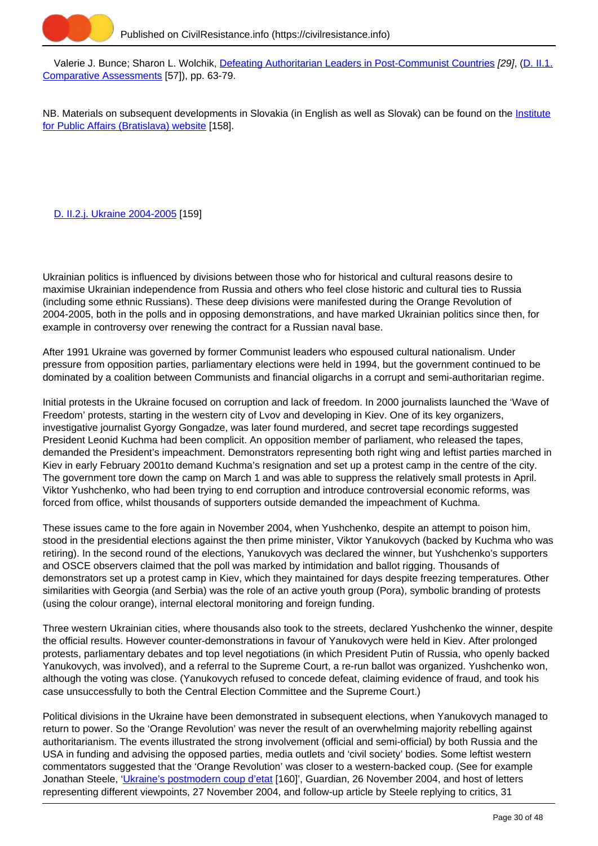

 Valerie J. Bunce; Sharon L. Wolchik, [Defeating Authoritarian Leaders in Post-Communist Countries](https://civilresistance.info/biblio-item/2011/defeating-authoritarian-leaders-post-communist-countries) [29], (D. II.1. Comparative Assessments [57]), pp. 63-79.

NB. Materials on subsequent developments in Slovakia (in English as well as Slovak) can be found on the *Institute* [for Public Affairs \(Bratislava\) website](http://www.ivo.sk/106/en/home) [158].

# [D. II.2.j. Ukraine 2004-2005](https://civilresistance.info/section/d-resisting-authoritarianism-post-communist-and-post-soviet-regimes/d-ii-electoral-11) [159]

Ukrainian politics is influenced by divisions between those who for historical and cultural reasons desire to maximise Ukrainian independence from Russia and others who feel close historic and cultural ties to Russia (including some ethnic Russians). These deep divisions were manifested during the Orange Revolution of 2004-2005, both in the polls and in opposing demonstrations, and have marked Ukrainian politics since then, for example in controversy over renewing the contract for a Russian naval base.

After 1991 Ukraine was governed by former Communist leaders who espoused cultural nationalism. Under pressure from opposition parties, parliamentary elections were held in 1994, but the government continued to be dominated by a coalition between Communists and financial oligarchs in a corrupt and semi-authoritarian regime.

Initial protests in the Ukraine focused on corruption and lack of freedom. In 2000 journalists launched the 'Wave of Freedom' protests, starting in the western city of Lvov and developing in Kiev. One of its key organizers, investigative journalist Gyorgy Gongadze, was later found murdered, and secret tape recordings suggested President Leonid Kuchma had been complicit. An opposition member of parliament, who released the tapes, demanded the President's impeachment. Demonstrators representing both right wing and leftist parties marched in Kiev in early February 2001to demand Kuchma's resignation and set up a protest camp in the centre of the city. The government tore down the camp on March 1 and was able to suppress the relatively small protests in April. Viktor Yushchenko, who had been trying to end corruption and introduce controversial economic reforms, was forced from office, whilst thousands of supporters outside demanded the impeachment of Kuchma.

These issues came to the fore again in November 2004, when Yushchenko, despite an attempt to poison him, stood in the presidential elections against the then prime minister, Viktor Yanukovych (backed by Kuchma who was retiring). In the second round of the elections, Yanukovych was declared the winner, but Yushchenko's supporters and OSCE observers claimed that the poll was marked by intimidation and ballot rigging. Thousands of demonstrators set up a protest camp in Kiev, which they maintained for days despite freezing temperatures. Other similarities with Georgia (and Serbia) was the role of an active youth group (Pora), symbolic branding of protests (using the colour orange), internal electoral monitoring and foreign funding.

Three western Ukrainian cities, where thousands also took to the streets, declared Yushchenko the winner, despite the official results. However counter-demonstrations in favour of Yanukovych were held in Kiev. After prolonged protests, parliamentary debates and top level negotiations (in which President Putin of Russia, who openly backed Yanukovych, was involved), and a referral to the Supreme Court, a re-run ballot was organized. Yushchenko won, although the voting was close. (Yanukovych refused to concede defeat, claiming evidence of fraud, and took his case unsuccessfully to both the Central Election Committee and the Supreme Court.)

Political divisions in the Ukraine have been demonstrated in subsequent elections, when Yanukovych managed to return to power. So the 'Orange Revolution' was never the result of an overwhelming majority rebelling against authoritarianism. The events illustrated the strong involvement (official and semi-official) by both Russia and the USA in funding and advising the opposed parties, media outlets and 'civil society' bodies. Some leftist western commentators suggested that the 'Orange Revolution' was closer to a western-backed coup. (See for example Jonathan Steele, '*[Ukraine's postmodern coup d'etat](http://www.theguardian.com/world/2004/nov/26/ukraine.comment)* [160]', Guardian, 26 November 2004, and host of letters representing different viewpoints, 27 November 2004, and follow-up article by Steele replying to critics, 31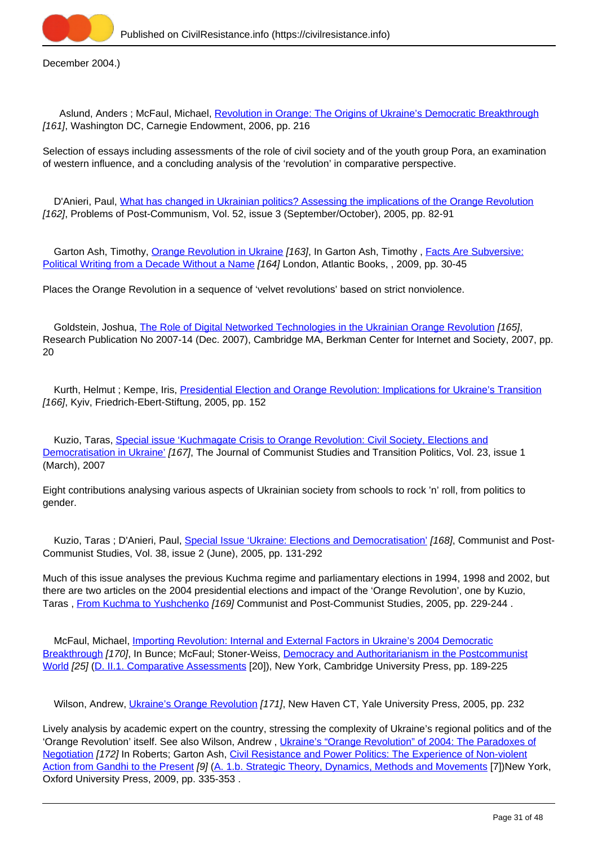

December 2004.)

Aslund, Anders; McFaul, Michael, [Revolution in Orange: The Origins of Ukraine's Democratic Breakthrough](https://civilresistance.info/biblio-item/2006/revolution-orange-origins-ukraines-democratic-breakthrough) [161], Washington DC, Carnegie Endowment, 2006, pp. 216

Selection of essays including assessments of the role of civil society and of the youth group Pora, an examination of western influence, and a concluding analysis of the 'revolution' in comparative perspective.

D'Anieri, Paul, [What has changed in Ukrainian politics? Assessing the implications of the Orange Revolution](https://civilresistance.info/biblio-item/2005/what-has-changed-ukrainian-politics-assessing-implications-orange-revolution) [162], Problems of Post-Communism, Vol. 52, issue 3 (September/October), 2005, pp. 82-91

Garton Ash, Timothy, [Orange Revolution in Ukraine](https://civilresistance.info/biblio-item/2009/orange-revolution-ukraine) [163], In Garton Ash, Timothy, [Facts Are Subversive:](https://civilresistance.info/biblio-item/2009/facts-are-subversive-political-writing-decade-without-name) [Political Writing from a Decade Without a Name](https://civilresistance.info/biblio-item/2009/facts-are-subversive-political-writing-decade-without-name) [164] London, Atlantic Books, , 2009, pp. 30-45

Places the Orange Revolution in a sequence of 'velvet revolutions' based on strict nonviolence.

Goldstein, Joshua, [The Role of Digital Networked Technologies in the Ukrainian Orange Revolution](https://civilresistance.info/biblio-item/2007/role-digital-networked-technologies-ukrainian-orange-revolution) [165], Research Publication No 2007-14 (Dec. 2007), Cambridge MA, Berkman Center for Internet and Society, 2007, pp. 20

Kurth, Helmut ; Kempe, Iris, [Presidential Election and Orange Revolution: Implications for Ukraine's Transition](https://civilresistance.info/biblio-item/2005/presidential-election-and-orange-revolution-implications-ukraines-transition) [166], Kyiv, Friedrich-Ebert-Stiftung, 2005, pp. 152

 Kuzio, Taras, [Special issue 'Kuchmagate Crisis to Orange Revolution: Civil Society, Elections and](https://civilresistance.info/biblio-item/2007/special-issue-kuchmagate-crisis-orange-revolution-civil-society-elections-and) [Democratisation in Ukraine'](https://civilresistance.info/biblio-item/2007/special-issue-kuchmagate-crisis-orange-revolution-civil-society-elections-and) [167], The Journal of Communist Studies and Transition Politics, Vol. 23, issue 1 (March), 2007

Eight contributions analysing various aspects of Ukrainian society from schools to rock 'n' roll, from politics to gender.

Kuzio, Taras ; D'Anieri, Paul, [Special Issue 'Ukraine: Elections and Democratisation'](https://civilresistance.info/biblio-item/2005/special-issue-ukraine-elections-and-democratisation) [168], Communist and Post-Communist Studies, Vol. 38, issue 2 (June), 2005, pp. 131-292

Much of this issue analyses the previous Kuchma regime and parliamentary elections in 1994, 1998 and 2002, but there are two articles on the 2004 presidential elections and impact of the 'Orange Revolution', one by Kuzio, Taras, [From Kuchma to Yushchenko](https://civilresistance.info/biblio-item/2005/kuchma-yushchenko) [169] Communist and Post-Communist Studies, 2005, pp. 229-244.

 McFaul, Michael, [Importing Revolution: Internal and External Factors in Ukraine's 2004 Democratic](https://civilresistance.info/biblio-item/2009/importing-revolution-internal-and-external-factors-ukraines-2004-democratic) [Breakthrough](https://civilresistance.info/biblio-item/2009/importing-revolution-internal-and-external-factors-ukraines-2004-democratic) [170], In Bunce; McFaul; Stoner-Weiss, [Democracy and Authoritarianism in the Postcommunist](https://civilresistance.info/biblio-item/2009/democracy-and-authoritarianism-postcommunist-world) [World](https://civilresistance.info/biblio-item/2009/democracy-and-authoritarianism-postcommunist-world) [25] [\(D. II.1. Comparative Assessments](https://civilresistance.info/section/d-resisting-authoritarianism-post-communist-and-post-soviet-regimes/d-ii-electoral-0) [20]), New York, Cambridge University Press, pp. 189-225

Wilson, Andrew, *[Ukraine's Orange Revolution](https://civilresistance.info/biblio-item/2005/ukraines-orange-revolution) [171]*, New Haven CT, Yale University Press, 2005, pp. 232

Lively analysis by academic expert on the country, stressing the complexity of Ukraine's regional politics and of the 'Orange Revolution' itself. See also Wilson, Andrew, *[Ukraine's "Orange Revolution" of 2004: The Paradoxes of](https://civilresistance.info/biblio-item/2009/ukraines-orange-revolution-2004-paradoxes-negotiation)* [Negotiation](https://civilresistance.info/biblio-item/2009/ukraines-orange-revolution-2004-paradoxes-negotiation) [172] In Roberts; Garton Ash, [Civil Resistance and Power Politics: The Experience of Non-violent](https://civilresistance.info/biblio-item/2009/civil-resistance-and-power-politics-experience-non-violent-action-gandhi-present) [Action from Gandhi to the Present](https://civilresistance.info/biblio-item/2009/civil-resistance-and-power-politics-experience-non-violent-action-gandhi-present) [9] [\(A. 1.b. Strategic Theory, Dynamics, Methods and Movements](https://civilresistance.info/section/introduction-nonviolent-action/1-theory-methods-and-examples/1b-strategic-theory-dynamics) [7])New York, Oxford University Press, 2009, pp. 335-353 .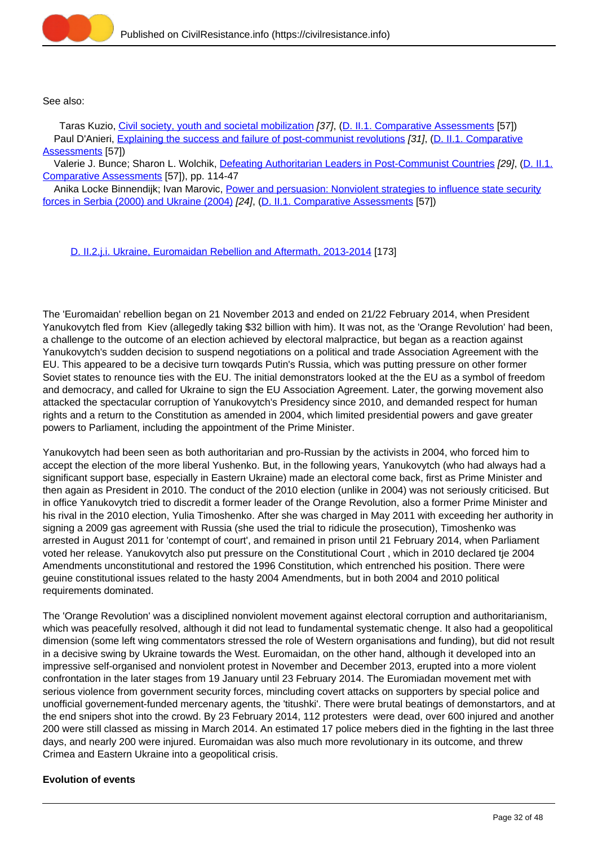

See also:

Taras Kuzio, [Civil society, youth and societal mobilization](https://civilresistance.info/biblio-item/2006/civil-society-youth-and-societal-mobilization) [37], (D. II.1. Comparative Assessments [57]) Paul D'Anieri, [Explaining the success and failure of post-communist revolutions](https://civilresistance.info/biblio-item/2006/explaining-success-and-failure-post-communist-revolutions) [31], (D. II.1. Comparative Assessments [57])

Valerie J. Bunce; Sharon L. Wolchik, [Defeating Authoritarian Leaders in Post-Communist Countries](https://civilresistance.info/biblio-item/2011/defeating-authoritarian-leaders-post-communist-countries) [29], (D. II.1. Comparative Assessments [57]), pp. 114-47

Anika Locke Binnendijk; Ivan Marovic, [Power and persuasion: Nonviolent strategies to influence state security](https://civilresistance.info/biblio-item/2006/power-and-persuasion-nonviolent-strategies-influence-state-security-forces-serbia) [forces in Serbia \(2000\) and Ukraine \(2004\)](https://civilresistance.info/biblio-item/2006/power-and-persuasion-nonviolent-strategies-influence-state-security-forces-serbia) [24], (D. II.1. Comparative Assessments [57])

[D. II.2.j.i. Ukraine, Euromaidan Rebellion and Aftermath, 2013-2014](https://civilresistance.info/section/d-resisting-authoritarianism-post-communist-and-post-soviet-regimes/d-ii-electoral-12) [173]

The 'Euromaidan' rebellion began on 21 November 2013 and ended on 21/22 February 2014, when President Yanukovytch fled from Kiev (allegedly taking \$32 billion with him). It was not, as the 'Orange Revolution' had been, a challenge to the outcome of an election achieved by electoral malpractice, but began as a reaction against Yanukovytch's sudden decision to suspend negotiations on a political and trade Association Agreement with the EU. This appeared to be a decisive turn towqards Putin's Russia, which was putting pressure on other former Soviet states to renounce ties with the EU. The initial demonstrators looked at the the EU as a symbol of freedom and democracy, and called for Ukraine to sign the EU Association Agreement. Later, the gorwing movement also attacked the spectacular corruption of Yanukovytch's Presidency since 2010, and demanded respect for human rights and a return to the Constitution as amended in 2004, which limited presidential powers and gave greater powers to Parliament, including the appointment of the Prime Minister.

Yanukovytch had been seen as both authoritarian and pro-Russian by the activists in 2004, who forced him to accept the election of the more liberal Yushenko. But, in the following years, Yanukovytch (who had always had a significant support base, especially in Eastern Ukraine) made an electoral come back, first as Prime Minister and then again as President in 2010. The conduct of the 2010 election (unlike in 2004) was not seriously criticised. But in office Yanukovytch tried to discredit a former leader of the Orange Revolution, also a former Prime Minister and his rival in the 2010 election, Yulia Timoshenko. After she was charged in May 2011 with exceeding her authority in signing a 2009 gas agreement with Russia (she used the trial to ridicule the prosecution), Timoshenko was arrested in August 2011 for 'contempt of court', and remained in prison until 21 February 2014, when Parliament voted her release. Yanukovytch also put pressure on the Constitutional Court , which in 2010 declared tje 2004 Amendments unconstitutional and restored the 1996 Constitution, which entrenched his position. There were geuine constitutional issues related to the hasty 2004 Amendments, but in both 2004 and 2010 political requirements dominated.

The 'Orange Revolution' was a disciplined nonviolent movement against electoral corruption and authoritarianism, which was peacefully resolved, although it did not lead to fundamental systematic chenge. It also had a geopolitical dimension (some left wing commentators stressed the role of Western organisations and funding), but did not result in a decisive swing by Ukraine towards the West. Euromaidan, on the other hand, although it developed into an impressive self-organised and nonviolent protest in November and December 2013, erupted into a more violent confrontation in the later stages from 19 January until 23 February 2014. The Euromiadan movement met with serious violence from government security forces, mincluding covert attacks on supporters by special police and unofficial governement-funded mercenary agents, the 'titushki'. There were brutal beatings of demonstartors, and at the end snipers shot into the crowd. By 23 February 2014, 112 protesters were dead, over 600 injured and another 200 were still classed as missing in March 2014. An estimated 17 police mebers died in the fighting in the last three days, and nearly 200 were injured. Euromaidan was also much more revolutionary in its outcome, and threw Crimea and Eastern Ukraine into a geopolitical crisis.

# **Evolution of events**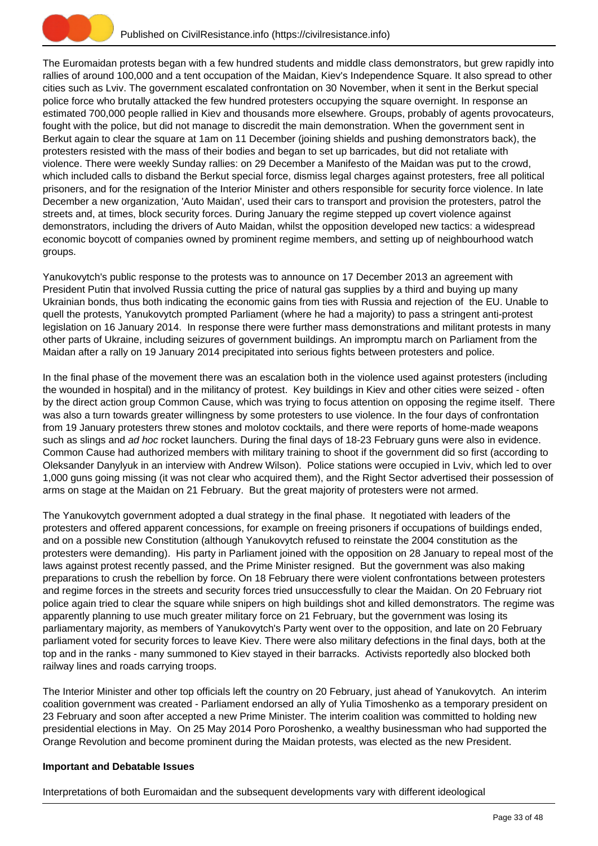

The Euromaidan protests began with a few hundred students and middle class demonstrators, but grew rapidly into rallies of around 100,000 and a tent occupation of the Maidan, Kiev's Independence Square. It also spread to other cities such as Lviv. The government escalated confrontation on 30 November, when it sent in the Berkut special police force who brutally attacked the few hundred protesters occupying the square overnight. In response an estimated 700,000 people rallied in Kiev and thousands more elsewhere. Groups, probably of agents provocateurs, fought with the police, but did not manage to discredit the main demonstration. When the government sent in Berkut again to clear the square at 1am on 11 December (joining shields and pushing demonstrators back), the protesters resisted with the mass of their bodies and began to set up barricades, but did not retaliate with violence. There were weekly Sunday rallies: on 29 December a Manifesto of the Maidan was put to the crowd, which included calls to disband the Berkut special force, dismiss legal charges against protesters, free all political prisoners, and for the resignation of the Interior Minister and others responsible for security force violence. In late December a new organization, 'Auto Maidan', used their cars to transport and provision the protesters, patrol the streets and, at times, block security forces. During January the regime stepped up covert violence against demonstrators, including the drivers of Auto Maidan, whilst the opposition developed new tactics: a widespread economic boycott of companies owned by prominent regime members, and setting up of neighbourhood watch groups.

Yanukovytch's public response to the protests was to announce on 17 December 2013 an agreement with President Putin that involved Russia cutting the price of natural gas supplies by a third and buying up many Ukrainian bonds, thus both indicating the economic gains from ties with Russia and rejection of the EU. Unable to quell the protests, Yanukovytch prompted Parliament (where he had a majority) to pass a stringent anti-protest legislation on 16 January 2014. In response there were further mass demonstrations and militant protests in many other parts of Ukraine, including seizures of government buildings. An impromptu march on Parliament from the Maidan after a rally on 19 January 2014 precipitated into serious fights between protesters and police.

In the final phase of the movement there was an escalation both in the violence used against protesters (including the wounded in hospital) and in the militancy of protest. Key buildings in Kiev and other cities were seized - often by the direct action group Common Cause, which was trying to focus attention on opposing the regime itself. There was also a turn towards greater willingness by some protesters to use violence. In the four days of confrontation from 19 January protesters threw stones and molotov cocktails, and there were reports of home-made weapons such as slings and ad hoc rocket launchers. During the final days of 18-23 February guns were also in evidence. Common Cause had authorized members with military training to shoot if the government did so first (according to Oleksander Danylyuk in an interview with Andrew Wilson). Police stations were occupied in Lviv, which led to over 1,000 guns going missing (it was not clear who acquired them), and the Right Sector advertised their possession of arms on stage at the Maidan on 21 February. But the great majority of protesters were not armed.

The Yanukovytch government adopted a dual strategy in the final phase. It negotiated with leaders of the protesters and offered apparent concessions, for example on freeing prisoners if occupations of buildings ended, and on a possible new Constitution (although Yanukovytch refused to reinstate the 2004 constitution as the protesters were demanding). His party in Parliament joined with the opposition on 28 January to repeal most of the laws against protest recently passed, and the Prime Minister resigned. But the government was also making preparations to crush the rebellion by force. On 18 February there were violent confrontations between protesters and regime forces in the streets and security forces tried unsuccessfully to clear the Maidan. On 20 February riot police again tried to clear the square while snipers on high buildings shot and killed demonstrators. The regime was apparently planning to use much greater military force on 21 February, but the government was losing its parliamentary majority, as members of Yanukovytch's Party went over to the opposition, and late on 20 February parliament voted for security forces to leave Kiev. There were also military defections in the final days, both at the top and in the ranks - many summoned to Kiev stayed in their barracks. Activists reportedly also blocked both railway lines and roads carrying troops.

The Interior Minister and other top officials left the country on 20 February, just ahead of Yanukovytch. An interim coalition government was created - Parliament endorsed an ally of Yulia Timoshenko as a temporary president on 23 February and soon after accepted a new Prime Minister. The interim coalition was committed to holding new presidential elections in May. On 25 May 2014 Poro Poroshenko, a wealthy businessman who had supported the Orange Revolution and become prominent during the Maidan protests, was elected as the new President.

# **Important and Debatable Issues**

Interpretations of both Euromaidan and the subsequent developments vary with different ideological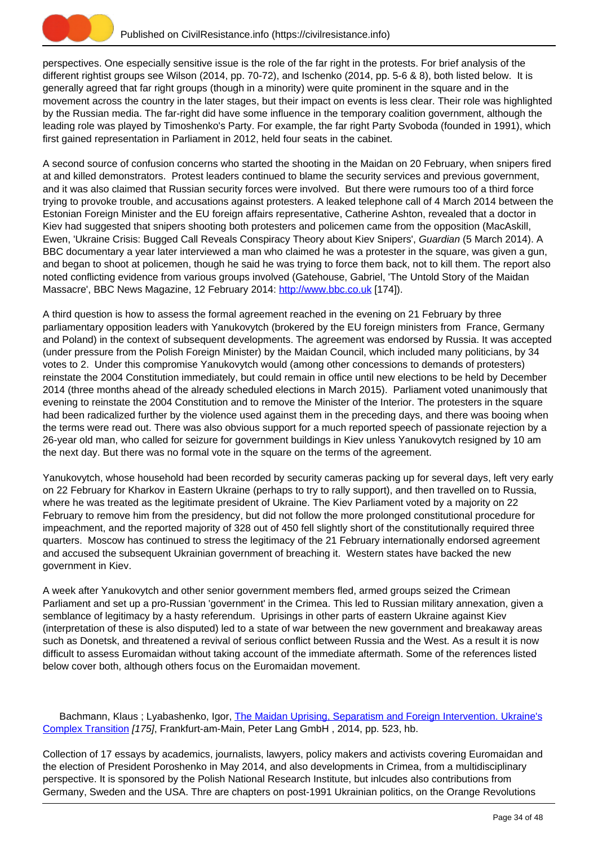

perspectives. One especially sensitive issue is the role of the far right in the protests. For brief analysis of the different rightist groups see Wilson (2014, pp. 70-72), and Ischenko (2014, pp. 5-6 & 8), both listed below. It is generally agreed that far right groups (though in a minority) were quite prominent in the square and in the movement across the country in the later stages, but their impact on events is less clear. Their role was highlighted by the Russian media. The far-right did have some influence in the temporary coalition government, although the leading role was played by Timoshenko's Party. For example, the far right Party Svoboda (founded in 1991), which first gained representation in Parliament in 2012, held four seats in the cabinet.

A second source of confusion concerns who started the shooting in the Maidan on 20 February, when snipers fired at and killed demonstrators. Protest leaders continued to blame the security services and previous government, and it was also claimed that Russian security forces were involved. But there were rumours too of a third force trying to provoke trouble, and accusations against protesters. A leaked telephone call of 4 March 2014 between the Estonian Foreign Minister and the EU foreign affairs representative, Catherine Ashton, revealed that a doctor in Kiev had suggested that snipers shooting both protesters and policemen came from the opposition (MacAskill, Ewen, 'Ukraine Crisis: Bugged Call Reveals Conspiracy Theory about Kiev Snipers', Guardian (5 March 2014). A BBC documentary a year later interviewed a man who claimed he was a protester in the square, was given a gun, and began to shoot at policemen, though he said he was trying to force them back, not to kill them. The report also noted conflicting evidence from various groups involved (Gatehouse, Gabriel, 'The Untold Story of the Maidan Massacre', BBC News Magazine, 12 February 2014: <http://www.bbc.co.uk> [174]).

A third question is how to assess the formal agreement reached in the evening on 21 February by three parliamentary opposition leaders with Yanukovytch (brokered by the EU foreign ministers from France, Germany and Poland) in the context of subsequent developments. The agreement was endorsed by Russia. It was accepted (under pressure from the Polish Foreign Minister) by the Maidan Council, which included many politicians, by 34 votes to 2. Under this compromise Yanukovytch would (among other concessions to demands of protesters) reinstate the 2004 Constitution immediately, but could remain in office until new elections to be held by December 2014 (three months ahead of the already scheduled elections in March 2015). Parliament voted unanimously that evening to reinstate the 2004 Constitution and to remove the Minister of the Interior. The protesters in the square had been radicalized further by the violence used against them in the preceding days, and there was booing when the terms were read out. There was also obvious support for a much reported speech of passionate rejection by a 26-year old man, who called for seizure for government buildings in Kiev unless Yanukovytch resigned by 10 am the next day. But there was no formal vote in the square on the terms of the agreement.

Yanukovytch, whose household had been recorded by security cameras packing up for several days, left very early on 22 February for Kharkov in Eastern Ukraine (perhaps to try to rally support), and then travelled on to Russia, where he was treated as the legitimate president of Ukraine. The Kiev Parliament voted by a majority on 22 February to remove him from the presidency, but did not follow the more prolonged constitutional procedure for impeachment, and the reported majority of 328 out of 450 fell slightly short of the constitutionally required three quarters. Moscow has continued to stress the legitimacy of the 21 February internationally endorsed agreement and accused the subsequent Ukrainian government of breaching it. Western states have backed the new government in Kiev.

A week after Yanukovytch and other senior government members fled, armed groups seized the Crimean Parliament and set up a pro-Russian 'government' in the Crimea. This led to Russian military annexation, given a semblance of legitimacy by a hasty referendum. Uprisings in other parts of eastern Ukraine against Kiev (interpretation of these is also disputed) led to a state of war between the new government and breakaway areas such as Donetsk, and threatened a revival of serious conflict between Russia and the West. As a result it is now difficult to assess Euromaidan without taking account of the immediate aftermath. Some of the references listed below cover both, although others focus on the Euromaidan movement.

Bachmann, Klaus ; Lyabashenko, Igor, [The Maidan Uprising, Separatism and Foreign Intervention. Ukraine's](https://civilresistance.info/biblio-item/2014/maidan-uprising-separatism-and-foreign-intervention-ukraines-complex-transition) [Complex Transition](https://civilresistance.info/biblio-item/2014/maidan-uprising-separatism-and-foreign-intervention-ukraines-complex-transition) [175], Frankfurt-am-Main, Peter Lang GmbH , 2014, pp. 523, hb.

Collection of 17 essays by academics, journalists, lawyers, policy makers and activists covering Euromaidan and the election of President Poroshenko in May 2014, and also developments in Crimea, from a multidisciplinary perspective. It is sponsored by the Polish National Research Institute, but inlcudes also contributions from Germany, Sweden and the USA. Thre are chapters on post-1991 Ukrainian politics, on the Orange Revolutions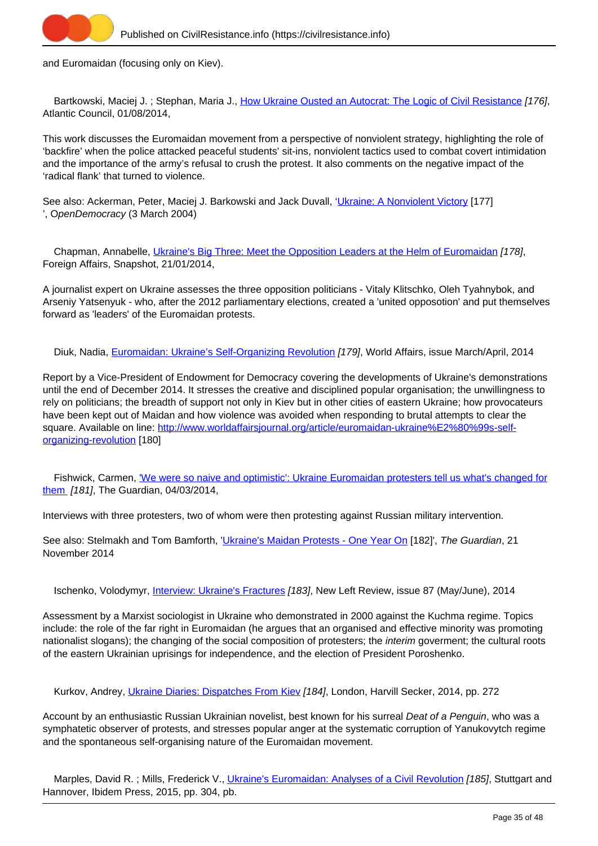

and Euromaidan (focusing only on Kiev).

Bartkowski, Maciej J.; Stephan, Maria J., [How Ukraine Ousted an Autocrat: The Logic of Civil Resistance](https://civilresistance.info/biblio-item/2014/how-ukraine-ousted-autocrat-logic-civil-resistance) [176], Atlantic Council, 01/08/2014,

This work discusses the Euromaidan movement from a perspective of nonviolent strategy, highlighting the role of 'backfire' when the police attacked peaceful students' sit-ins, nonviolent tactics used to combat covert intimidation and the importance of the army's refusal to crush the protest. It also comments on the negative impact of the 'radical flank' that turned to violence.

See also: Ackerman, Peter, Maciej J. Barkowski and Jack Duvall, '[Ukraine: A Nonviolent Victory](http://www.opendemocracy.net/civilresistance/peter-ackerman-maciej-bartkowski-jack-duvall/ukraine-nonviolent-victory) [177] ', OpenDemocracy (3 March 2004)

Chapman, Annabelle, [Ukraine's Big Three: Meet the Opposition Leaders at the Helm of Euromaidan](https://civilresistance.info/biblio-item/2014/ukraines-big-three-meet-opposition-leaders-helm-euromaidan) [178], Foreign Affairs, Snapshot, 21/01/2014,

A journalist expert on Ukraine assesses the three opposition politicians - Vitaly Klitschko, Oleh Tyahnybok, and Arseniy Yatsenyuk - who, after the 2012 parliamentary elections, created a 'united opposotion' and put themselves forward as 'leaders' of the Euromaidan protests.

Diuk, Nadia, [Euromaidan: Ukraine's Self-Organizing Revolution](https://civilresistance.info/biblio-item/2014/euromaidan-ukraines-self-organizing-revolution) [179], World Affairs, issue March/April, 2014

Report by a Vice-President of Endowment for Democracy covering the developments of Ukraine's demonstrations until the end of December 2014. It stresses the creative and disciplined popular organisation; the unwillingness to rely on politicians; the breadth of support not only in Kiev but in other cities of eastern Ukraine; how provocateurs have been kept out of Maidan and how violence was avoided when responding to brutal attempts to clear the square. Available on line: [http://www.worldaffairsjournal.org/article/euromaidan-ukraine%E2%80%99s-self](http://www.worldaffairsjournal.org/article/euromaidan-ukraine%E2%80%99s-self-organizing-revolution)[organizing-revolution](http://www.worldaffairsjournal.org/article/euromaidan-ukraine%E2%80%99s-self-organizing-revolution) [180]

Fishwick, Carmen, ['We were so naive and optimistic': Ukraine Euromaidan protesters tell us what's changed for](https://civilresistance.info/biblio-item/2014/we-were-so-naive-and-optimistic-ukraine-euromaidan-protesters-tell-us-whats-changed) [them](https://civilresistance.info/biblio-item/2014/we-were-so-naive-and-optimistic-ukraine-euromaidan-protesters-tell-us-whats-changed) [181], The Guardian, 04/03/2014,

Interviews with three protesters, two of whom were then protesting against Russian military intervention.

See also: Stelmakh and Tom Bamforth, '[Ukraine's Maidan Protests - One Year On](http://www.theguardian.com/world/2014/nov/21/-sp-ukraine-maidan-protest-kiev) [182]', The Guardian, 21 November 2014

Ischenko, Volodymyr, *Interview: Ukraine's Fractures [183]*, New Left Review, issue 87 (May/June), 2014

Assessment by a Marxist sociologist in Ukraine who demonstrated in 2000 against the Kuchma regime. Topics include: the role of the far right in Euromaidan (he argues that an organised and effective minority was promoting nationalist slogans); the changing of the social composition of protesters; the *interim* goverment; the cultural roots of the eastern Ukrainian uprisings for independence, and the election of President Poroshenko.

Kurkov, Andrey, [Ukraine Diaries: Dispatches From Kiev](https://civilresistance.info/biblio-item/2014/ukraine-diaries-dispatches-kiev) [184], London, Harvill Secker, 2014, pp. 272

Account by an enthusiastic Russian Ukrainian novelist, best known for his surreal Deat of a Penguin, who was a symphatetic observer of protests, and stresses popular anger at the systematic corruption of Yanukovytch regime and the spontaneous self-organising nature of the Euromaidan movement.

Marples, David R.; Mills, Frederick V., [Ukraine's Euromaidan: Analyses of a Civil Revolution](https://civilresistance.info/biblio-item/2015/ukraines-euromaidan-analyses-civil-revolution) [185], Stuttgart and Hannover, Ibidem Press, 2015, pp. 304, pb.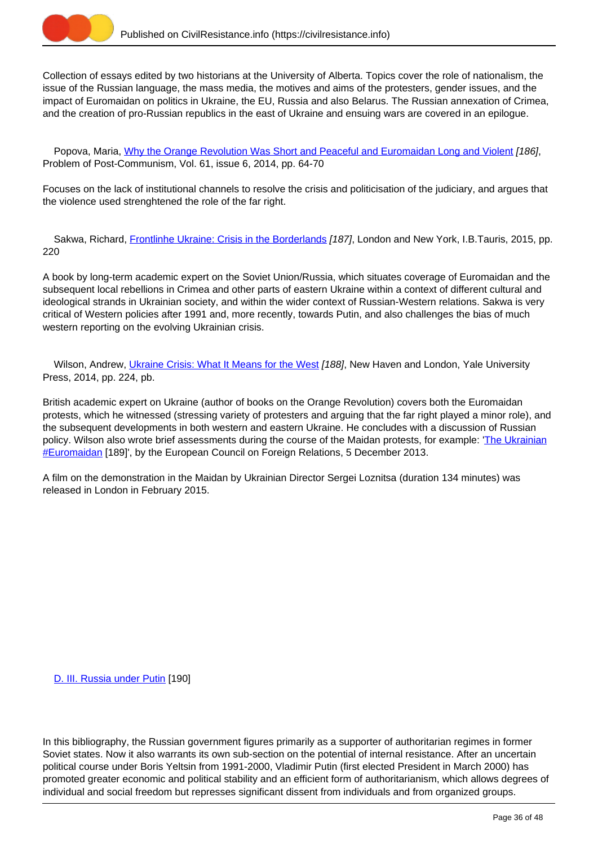

Collection of essays edited by two historians at the University of Alberta. Topics cover the role of nationalism, the issue of the Russian language, the mass media, the motives and aims of the protesters, gender issues, and the impact of Euromaidan on politics in Ukraine, the EU, Russia and also Belarus. The Russian annexation of Crimea, and the creation of pro-Russian republics in the east of Ukraine and ensuing wars are covered in an epilogue.

Popova, Maria, [Why the Orange Revolution Was Short and Peaceful and Euromaidan Long and Violent](https://civilresistance.info/biblio-item/2014/why-orange-revolution-was-short-and-peaceful-and-euromaidan-long-and-violent) [186], Problem of Post-Communism, Vol. 61, issue 6, 2014, pp. 64-70

Focuses on the lack of institutional channels to resolve the crisis and politicisation of the judiciary, and argues that the violence used strenghtened the role of the far right.

Sakwa, Richard, [Frontlinhe Ukraine: Crisis in the Borderlands](https://civilresistance.info/biblio-item/2015/frontlinhe-ukraine-crisis-borderlands) [187], London and New York, I.B.Tauris, 2015, pp. 220

A book by long-term academic expert on the Soviet Union/Russia, which situates coverage of Euromaidan and the subsequent local rebellions in Crimea and other parts of eastern Ukraine within a context of different cultural and ideological strands in Ukrainian society, and within the wider context of Russian-Western relations. Sakwa is very critical of Western policies after 1991 and, more recently, towards Putin, and also challenges the bias of much western reporting on the evolving Ukrainian crisis.

Wilson, Andrew, [Ukraine Crisis: What It Means for the West](https://civilresistance.info/biblio-item/2014/ukraine-crisis-what-it-means-west) [188], New Haven and London, Yale University Press, 2014, pp. 224, pb.

British academic expert on Ukraine (author of books on the Orange Revolution) covers both the Euromaidan protests, which he witnessed (stressing variety of protesters and arguing that the far right played a minor role), and the subsequent developments in both western and eastern Ukraine. He concludes with a discussion of Russian policy. Wilson also wrote brief assessments during the course of the Maidan protests, for example: '[The Ukrainian](http://www.ecfr.eu/article/commentary_the_ukrainian_euromaidan230) **[#Euromaidan](http://www.ecfr.eu/article/commentary_the_ukrainian_euromaidan230)** [189]', by the European Council on Foreign Relations, 5 December 2013.

A film on the demonstration in the Maidan by Ukrainian Director Sergei Loznitsa (duration 134 minutes) was released in London in February 2015.

[D. III. Russia under Putin](https://civilresistance.info/section/d-resisting-authoritarianism-post-communist-and-post-soviet-regimes/d-iii-russia-under-putin) [190]

In this bibliography, the Russian government figures primarily as a supporter of authoritarian regimes in former Soviet states. Now it also warrants its own sub-section on the potential of internal resistance. After an uncertain political course under Boris Yeltsin from 1991-2000, Vladimir Putin (first elected President in March 2000) has promoted greater economic and political stability and an efficient form of authoritarianism, which allows degrees of individual and social freedom but represses significant dissent from individuals and from organized groups.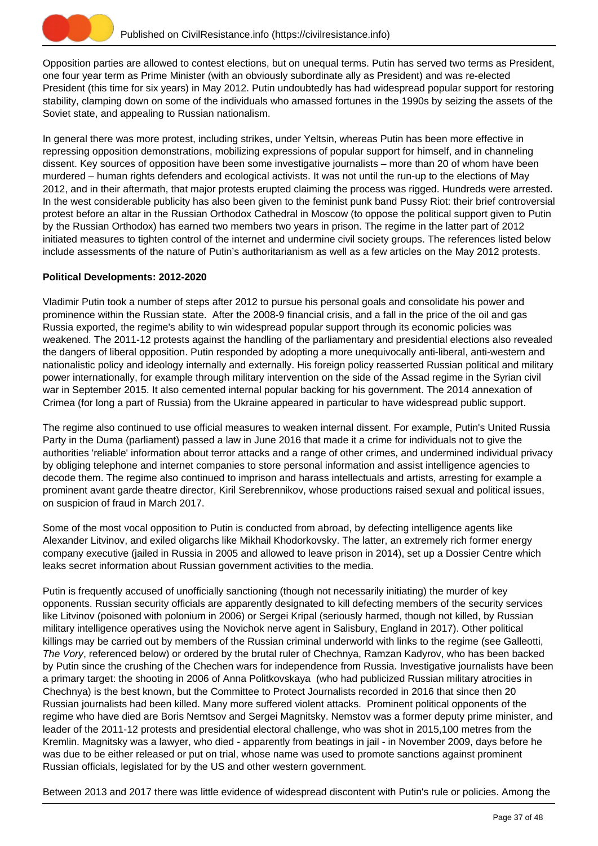

Opposition parties are allowed to contest elections, but on unequal terms. Putin has served two terms as President, one four year term as Prime Minister (with an obviously subordinate ally as President) and was re-elected President (this time for six years) in May 2012. Putin undoubtedly has had widespread popular support for restoring stability, clamping down on some of the individuals who amassed fortunes in the 1990s by seizing the assets of the Soviet state, and appealing to Russian nationalism.

In general there was more protest, including strikes, under Yeltsin, whereas Putin has been more effective in repressing opposition demonstrations, mobilizing expressions of popular support for himself, and in channeling dissent. Key sources of opposition have been some investigative journalists – more than 20 of whom have been murdered – human rights defenders and ecological activists. It was not until the run-up to the elections of May 2012, and in their aftermath, that major protests erupted claiming the process was rigged. Hundreds were arrested. In the west considerable publicity has also been given to the feminist punk band Pussy Riot: their brief controversial protest before an altar in the Russian Orthodox Cathedral in Moscow (to oppose the political support given to Putin by the Russian Orthodox) has earned two members two years in prison. The regime in the latter part of 2012 initiated measures to tighten control of the internet and undermine civil society groups. The references listed below include assessments of the nature of Putin's authoritarianism as well as a few articles on the May 2012 protests.

## **Political Developments: 2012-2020**

Vladimir Putin took a number of steps after 2012 to pursue his personal goals and consolidate his power and prominence within the Russian state. After the 2008-9 financial crisis, and a fall in the price of the oil and gas Russia exported, the regime's ability to win widespread popular support through its economic policies was weakened. The 2011-12 protests against the handling of the parliamentary and presidential elections also revealed the dangers of liberal opposition. Putin responded by adopting a more unequivocally anti-liberal, anti-western and nationalistic policy and ideology internally and externally. His foreign policy reasserted Russian political and military power internationally, for example through military intervention on the side of the Assad regime in the Syrian civil war in September 2015. It also cemented internal popular backing for his government. The 2014 annexation of Crimea (for long a part of Russia) from the Ukraine appeared in particular to have widespread public support.

The regime also continued to use official measures to weaken internal dissent. For example, Putin's United Russia Party in the Duma (parliament) passed a law in June 2016 that made it a crime for individuals not to give the authorities 'reliable' information about terror attacks and a range of other crimes, and undermined individual privacy by obliging telephone and internet companies to store personal information and assist intelligence agencies to decode them. The regime also continued to imprison and harass intellectuals and artists, arresting for example a prominent avant garde theatre director, Kiril Serebrennikov, whose productions raised sexual and political issues, on suspicion of fraud in March 2017.

Some of the most vocal opposition to Putin is conducted from abroad, by defecting intelligence agents like Alexander Litvinov, and exiled oligarchs like Mikhail Khodorkovsky. The latter, an extremely rich former energy company executive (jailed in Russia in 2005 and allowed to leave prison in 2014), set up a Dossier Centre which leaks secret information about Russian government activities to the media.

Putin is frequently accused of unofficially sanctioning (though not necessarily initiating) the murder of key opponents. Russian security officials are apparently designated to kill defecting members of the security services like Litvinov (poisoned with polonium in 2006) or Sergei Kripal (seriously harmed, though not killed, by Russian military intelligence operatives using the Novichok nerve agent in Salisbury, England in 2017). Other political killings may be carried out by members of the Russian criminal underworld with links to the regime (see Galleotti, The Vory, referenced below) or ordered by the brutal ruler of Chechnya, Ramzan Kadyrov, who has been backed by Putin since the crushing of the Chechen wars for independence from Russia. Investigative journalists have been a primary target: the shooting in 2006 of Anna Politkovskaya (who had publicized Russian military atrocities in Chechnya) is the best known, but the Committee to Protect Journalists recorded in 2016 that since then 20 Russian journalists had been killed. Many more suffered violent attacks. Prominent political opponents of the regime who have died are Boris Nemtsov and Sergei Magnitsky. Nemstov was a former deputy prime minister, and leader of the 2011-12 protests and presidential electoral challenge, who was shot in 2015,100 metres from the Kremlin. Magnitsky was a lawyer, who died - apparently from beatings in jail - in November 2009, days before he was due to be either released or put on trial, whose name was used to promote sanctions against prominent Russian officials, legislated for by the US and other western government.

Between 2013 and 2017 there was little evidence of widespread discontent with Putin's rule or policies. Among the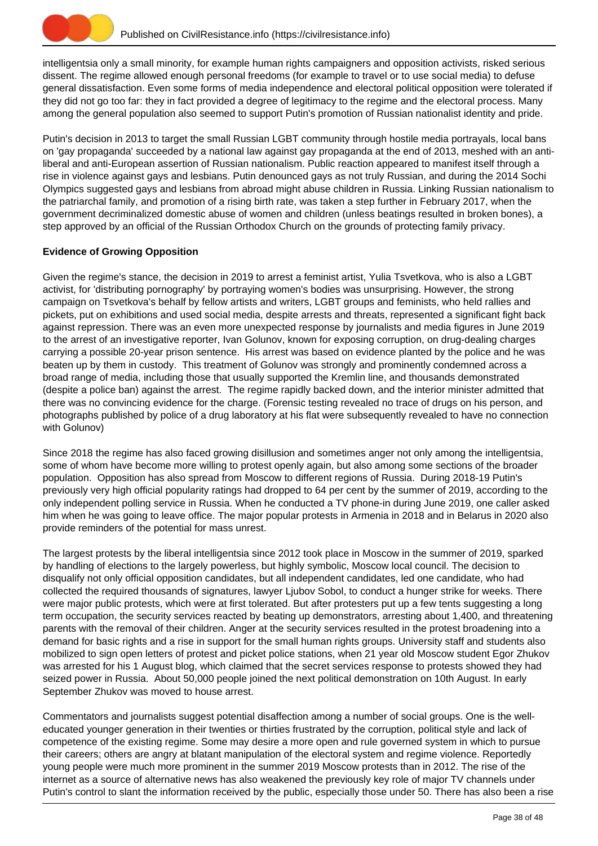

intelligentsia only a small minority, for example human rights campaigners and opposition activists, risked serious dissent. The regime allowed enough personal freedoms (for example to travel or to use social media) to defuse general dissatisfaction. Even some forms of media independence and electoral political opposition were tolerated if they did not go too far: they in fact provided a degree of legitimacy to the regime and the electoral process. Many among the general population also seemed to support Putin's promotion of Russian nationalist identity and pride.

Putin's decision in 2013 to target the small Russian LGBT community through hostile media portrayals, local bans on 'gay propaganda' succeeded by a national law against gay propaganda at the end of 2013, meshed with an antiliberal and anti-European assertion of Russian nationalism. Public reaction appeared to manifest itself through a rise in violence against gays and lesbians. Putin denounced gays as not truly Russian, and during the 2014 Sochi Olympics suggested gays and lesbians from abroad might abuse children in Russia. Linking Russian nationalism to the patriarchal family, and promotion of a rising birth rate, was taken a step further in February 2017, when the government decriminalized domestic abuse of women and children (unless beatings resulted in broken bones), a step approved by an official of the Russian Orthodox Church on the grounds of protecting family privacy.

# **Evidence of Growing Opposition**

Given the regime's stance, the decision in 2019 to arrest a feminist artist, Yulia Tsvetkova, who is also a LGBT activist, for 'distributing pornography' by portraying women's bodies was unsurprising. However, the strong campaign on Tsvetkova's behalf by fellow artists and writers, LGBT groups and feminists, who held rallies and pickets, put on exhibitions and used social media, despite arrests and threats, represented a significant fight back against repression. There was an even more unexpected response by journalists and media figures in June 2019 to the arrest of an investigative reporter, Ivan Golunov, known for exposing corruption, on drug-dealing charges carrying a possible 20-year prison sentence. His arrest was based on evidence planted by the police and he was beaten up by them in custody. This treatment of Golunov was strongly and prominently condemned across a broad range of media, including those that usually supported the Kremlin line, and thousands demonstrated (despite a police ban) against the arrest. The regime rapidly backed down, and the interior minister admitted that there was no convincing evidence for the charge. (Forensic testing revealed no trace of drugs on his person, and photographs published by police of a drug laboratory at his flat were subsequently revealed to have no connection with Golunov)

Since 2018 the regime has also faced growing disillusion and sometimes anger not only among the intelligentsia, some of whom have become more willing to protest openly again, but also among some sections of the broader population. Opposition has also spread from Moscow to different regions of Russia. During 2018-19 Putin's previously very high official popularity ratings had dropped to 64 per cent by the summer of 2019, according to the only independent polling service in Russia. When he conducted a TV phone-in during June 2019, one caller asked him when he was going to leave office. The major popular protests in Armenia in 2018 and in Belarus in 2020 also provide reminders of the potential for mass unrest.

The largest protests by the liberal intelligentsia since 2012 took place in Moscow in the summer of 2019, sparked by handling of elections to the largely powerless, but highly symbolic, Moscow local council. The decision to disqualify not only official opposition candidates, but all independent candidates, led one candidate, who had collected the required thousands of signatures, lawyer Ljubov Sobol, to conduct a hunger strike for weeks. There were major public protests, which were at first tolerated. But after protesters put up a few tents suggesting a long term occupation, the security services reacted by beating up demonstrators, arresting about 1,400, and threatening parents with the removal of their children. Anger at the security services resulted in the protest broadening into a demand for basic rights and a rise in support for the small human rights groups. University staff and students also mobilized to sign open letters of protest and picket police stations, when 21 year old Moscow student Egor Zhukov was arrested for his 1 August blog, which claimed that the secret services response to protests showed they had seized power in Russia. About 50,000 people joined the next political demonstration on 10th August. In early September Zhukov was moved to house arrest.

Commentators and journalists suggest potential disaffection among a number of social groups. One is the welleducated younger generation in their twenties or thirties frustrated by the corruption, political style and lack of competence of the existing regime. Some may desire a more open and rule governed system in which to pursue their careers; others are angry at blatant manipulation of the electoral system and regime violence. Reportedly young people were much more prominent in the summer 2019 Moscow protests than in 2012. The rise of the internet as a source of alternative news has also weakened the previously key role of major TV channels under Putin's control to slant the information received by the public, especially those under 50. There has also been a rise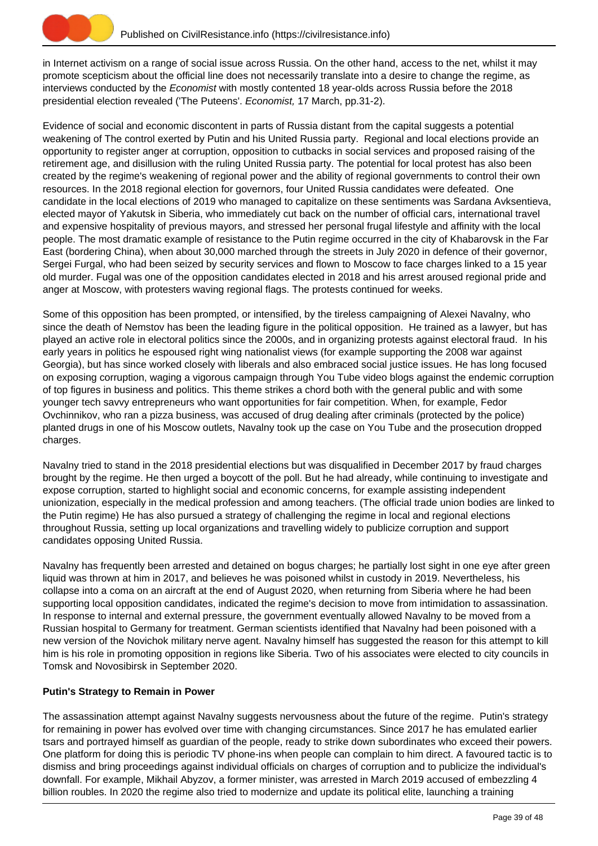

in Internet activism on a range of social issue across Russia. On the other hand, access to the net, whilst it may promote scepticism about the official line does not necessarily translate into a desire to change the regime, as interviews conducted by the Economist with mostly contented 18 year-olds across Russia before the 2018 presidential election revealed ('The Puteens'. Economist, 17 March, pp.31-2).

Evidence of social and economic discontent in parts of Russia distant from the capital suggests a potential weakening of The control exerted by Putin and his United Russia party. Regional and local elections provide an opportunity to register anger at corruption, opposition to cutbacks in social services and proposed raising of the retirement age, and disillusion with the ruling United Russia party. The potential for local protest has also been created by the regime's weakening of regional power and the ability of regional governments to control their own resources. In the 2018 regional election for governors, four United Russia candidates were defeated. One candidate in the local elections of 2019 who managed to capitalize on these sentiments was Sardana Avksentieva, elected mayor of Yakutsk in Siberia, who immediately cut back on the number of official cars, international travel and expensive hospitality of previous mayors, and stressed her personal frugal lifestyle and affinity with the local people. The most dramatic example of resistance to the Putin regime occurred in the city of Khabarovsk in the Far East (bordering China), when about 30,000 marched through the streets in July 2020 in defence of their governor, Sergei Furgal, who had been seized by security services and flown to Moscow to face charges linked to a 15 year old murder. Fugal was one of the opposition candidates elected in 2018 and his arrest aroused regional pride and anger at Moscow, with protesters waving regional flags. The protests continued for weeks.

Some of this opposition has been prompted, or intensified, by the tireless campaigning of Alexei Navalny, who since the death of Nemstov has been the leading figure in the political opposition. He trained as a lawyer, but has played an active role in electoral politics since the 2000s, and in organizing protests against electoral fraud. In his early years in politics he espoused right wing nationalist views (for example supporting the 2008 war against Georgia), but has since worked closely with liberals and also embraced social justice issues. He has long focused on exposing corruption, waging a vigorous campaign through You Tube video blogs against the endemic corruption of top figures in business and politics. This theme strikes a chord both with the general public and with some younger tech savvy entrepreneurs who want opportunities for fair competition. When, for example, Fedor Ovchinnikov, who ran a pizza business, was accused of drug dealing after criminals (protected by the police) planted drugs in one of his Moscow outlets, Navalny took up the case on You Tube and the prosecution dropped charges.

Navalny tried to stand in the 2018 presidential elections but was disqualified in December 2017 by fraud charges brought by the regime. He then urged a boycott of the poll. But he had already, while continuing to investigate and expose corruption, started to highlight social and economic concerns, for example assisting independent unionization, especially in the medical profession and among teachers. (The official trade union bodies are linked to the Putin regime) He has also pursued a strategy of challenging the regime in local and regional elections throughout Russia, setting up local organizations and travelling widely to publicize corruption and support candidates opposing United Russia.

Navalny has frequently been arrested and detained on bogus charges; he partially lost sight in one eye after green liquid was thrown at him in 2017, and believes he was poisoned whilst in custody in 2019. Nevertheless, his collapse into a coma on an aircraft at the end of August 2020, when returning from Siberia where he had been supporting local opposition candidates, indicated the regime's decision to move from intimidation to assassination. In response to internal and external pressure, the government eventually allowed Navalny to be moved from a Russian hospital to Germany for treatment. German scientists identified that Navalny had been poisoned with a new version of the Novichok military nerve agent. Navalny himself has suggested the reason for this attempt to kill him is his role in promoting opposition in regions like Siberia. Two of his associates were elected to city councils in Tomsk and Novosibirsk in September 2020.

# **Putin's Strategy to Remain in Power**

The assassination attempt against Navalny suggests nervousness about the future of the regime. Putin's strategy for remaining in power has evolved over time with changing circumstances. Since 2017 he has emulated earlier tsars and portrayed himself as guardian of the people, ready to strike down subordinates who exceed their powers. One platform for doing this is periodic TV phone-ins when people can complain to him direct. A favoured tactic is to dismiss and bring proceedings against individual officials on charges of corruption and to publicize the individual's downfall. For example, Mikhail Abyzov, a former minister, was arrested in March 2019 accused of embezzling 4 billion roubles. In 2020 the regime also tried to modernize and update its political elite, launching a training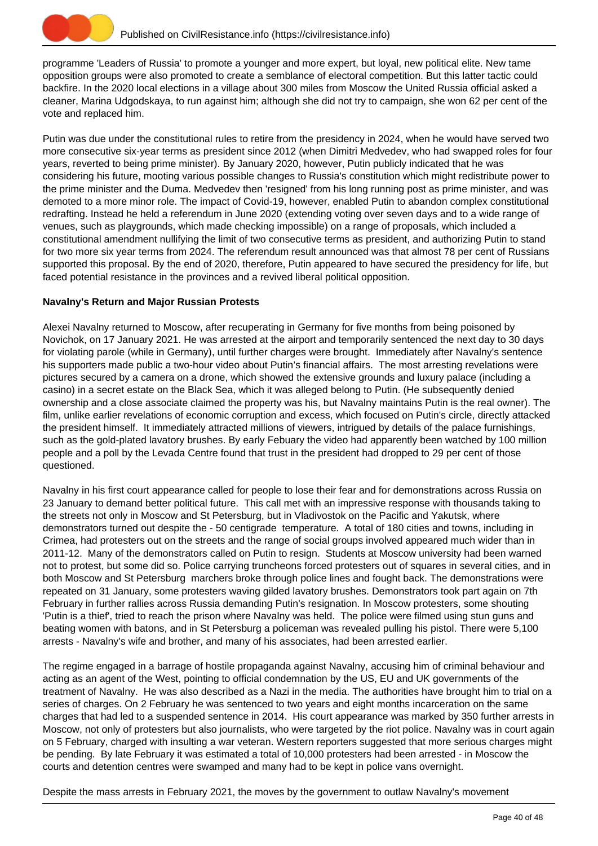

programme 'Leaders of Russia' to promote a younger and more expert, but loyal, new political elite. New tame opposition groups were also promoted to create a semblance of electoral competition. But this latter tactic could backfire. In the 2020 local elections in a village about 300 miles from Moscow the United Russia official asked a cleaner, Marina Udgodskaya, to run against him; although she did not try to campaign, she won 62 per cent of the vote and replaced him.

Putin was due under the constitutional rules to retire from the presidency in 2024, when he would have served two more consecutive six-year terms as president since 2012 (when Dimitri Medvedev, who had swapped roles for four years, reverted to being prime minister). By January 2020, however, Putin publicly indicated that he was considering his future, mooting various possible changes to Russia's constitution which might redistribute power to the prime minister and the Duma. Medvedev then 'resigned' from his long running post as prime minister, and was demoted to a more minor role. The impact of Covid-19, however, enabled Putin to abandon complex constitutional redrafting. Instead he held a referendum in June 2020 (extending voting over seven days and to a wide range of venues, such as playgrounds, which made checking impossible) on a range of proposals, which included a constitutional amendment nullifying the limit of two consecutive terms as president, and authorizing Putin to stand for two more six year terms from 2024. The referendum result announced was that almost 78 per cent of Russians supported this proposal. By the end of 2020, therefore, Putin appeared to have secured the presidency for life, but faced potential resistance in the provinces and a revived liberal political opposition.

## **Navalny's Return and Major Russian Protests**

Alexei Navalny returned to Moscow, after recuperating in Germany for five months from being poisoned by Novichok, on 17 January 2021. He was arrested at the airport and temporarily sentenced the next day to 30 days for violating parole (while in Germany), until further charges were brought. Immediately after Navalny's sentence his supporters made public a two-hour video about Putin's financial affairs. The most arresting revelations were pictures secured by a camera on a drone, which showed the extensive grounds and luxury palace (including a casino) in a secret estate on the Black Sea, which it was alleged belong to Putin. (He subsequently denied ownership and a close associate claimed the property was his, but Navalny maintains Putin is the real owner). The film, unlike earlier revelations of economic corruption and excess, which focused on Putin's circle, directly attacked the president himself. It immediately attracted millions of viewers, intrigued by details of the palace furnishings, such as the gold-plated lavatory brushes. By early Febuary the video had apparently been watched by 100 million people and a poll by the Levada Centre found that trust in the president had dropped to 29 per cent of those questioned.

Navalny in his first court appearance called for people to lose their fear and for demonstrations across Russia on 23 January to demand better political future. This call met with an impressive response with thousands taking to the streets not only in Moscow and St Petersburg, but in Vladivostok on the Pacific and Yakutsk, where demonstrators turned out despite the - 50 centigrade temperature. A total of 180 cities and towns, including in Crimea, had protesters out on the streets and the range of social groups involved appeared much wider than in 2011-12. Many of the demonstrators called on Putin to resign. Students at Moscow university had been warned not to protest, but some did so. Police carrying truncheons forced protesters out of squares in several cities, and in both Moscow and St Petersburg marchers broke through police lines and fought back. The demonstrations were repeated on 31 January, some protesters waving gilded lavatory brushes. Demonstrators took part again on 7th February in further rallies across Russia demanding Putin's resignation. In Moscow protesters, some shouting 'Putin is a thief', tried to reach the prison where Navalny was held. The police were filmed using stun guns and beating women with batons, and in St Petersburg a policeman was revealed pulling his pistol. There were 5,100 arrests - Navalny's wife and brother, and many of his associates, had been arrested earlier.

The regime engaged in a barrage of hostile propaganda against Navalny, accusing him of criminal behaviour and acting as an agent of the West, pointing to official condemnation by the US, EU and UK governments of the treatment of Navalny. He was also described as a Nazi in the media. The authorities have brought him to trial on a series of charges. On 2 February he was sentenced to two years and eight months incarceration on the same charges that had led to a suspended sentence in 2014. His court appearance was marked by 350 further arrests in Moscow, not only of protesters but also journalists, who were targeted by the riot police. Navalny was in court again on 5 February, charged with insulting a war veteran. Western reporters suggested that more serious charges might be pending. By late February it was estimated a total of 10,000 protesters had been arrested - in Moscow the courts and detention centres were swamped and many had to be kept in police vans overnight.

Despite the mass arrests in February 2021, the moves by the government to outlaw Navalny's movement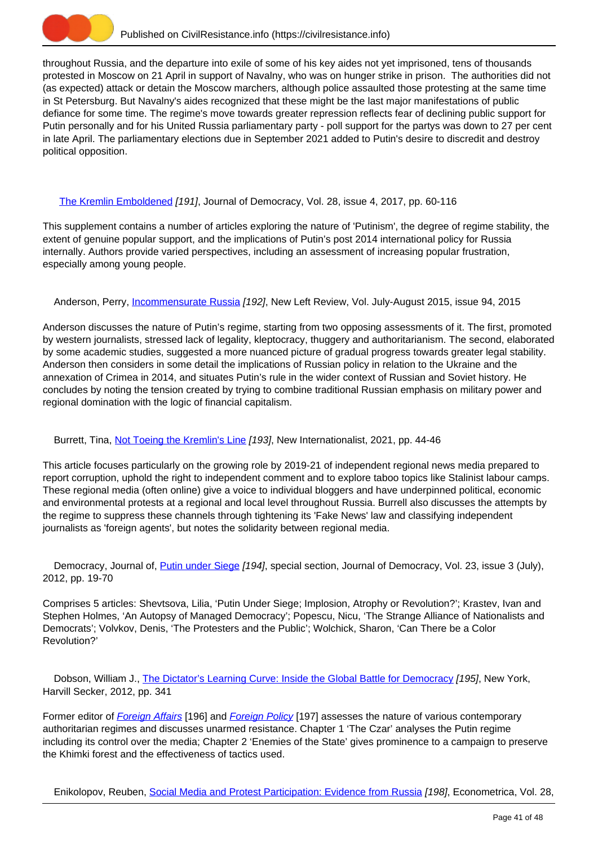

throughout Russia, and the departure into exile of some of his key aides not yet imprisoned, tens of thousands protested in Moscow on 21 April in support of Navalny, who was on hunger strike in prison. The authorities did not (as expected) attack or detain the Moscow marchers, although police assaulted those protesting at the same time in St Petersburg. But Navalny's aides recognized that these might be the last major manifestations of public defiance for some time. The regime's move towards greater repression reflects fear of declining public support for Putin personally and for his United Russia parliamentary party - poll support for the partys was down to 27 per cent in late April. The parliamentary elections due in September 2021 added to Putin's desire to discredit and destroy political opposition.

# [The Kremlin Emboldened](https://civilresistance.info/biblio-item/2017/kremlin-emboldened) [191], Journal of Democracy, Vol. 28, issue 4, 2017, pp. 60-116

This supplement contains a number of articles exploring the nature of 'Putinism', the degree of regime stability, the extent of genuine popular support, and the implications of Putin's post 2014 international policy for Russia internally. Authors provide varied perspectives, including an assessment of increasing popular frustration, especially among young people.

Anderson, Perry, *Incommensurate Russia [192]*, New Left Review, Vol. July-August 2015, issue 94, 2015

Anderson discusses the nature of Putin's regime, starting from two opposing assessments of it. The first, promoted by western journalists, stressed lack of legality, kleptocracy, thuggery and authoritarianism. The second, elaborated by some academic studies, suggested a more nuanced picture of gradual progress towards greater legal stability. Anderson then considers in some detail the implications of Russian policy in relation to the Ukraine and the annexation of Crimea in 2014, and situates Putin's rule in the wider context of Russian and Soviet history. He concludes by noting the tension created by trying to combine traditional Russian emphasis on military power and regional domination with the logic of financial capitalism.

# Burrett, Tina, [Not Toeing the Kremlin's Line](https://civilresistance.info/biblio-item/2021/not-toeing-kremlins-line) [193], New Internationalist, 2021, pp. 44-46

This article focuses particularly on the growing role by 2019-21 of independent regional news media prepared to report corruption, uphold the right to independent comment and to explore taboo topics like Stalinist labour camps. These regional media (often online) give a voice to individual bloggers and have underpinned political, economic and environmental protests at a regional and local level throughout Russia. Burrell also discusses the attempts by the regime to suppress these channels through tightening its 'Fake News' law and classifying independent journalists as 'foreign agents', but notes the solidarity between regional media.

Democracy, Journal of, **Putin under Siege [194]**, special section, Journal of Democracy, Vol. 23, issue 3 (July), 2012, pp. 19-70

Comprises 5 articles: Shevtsova, Lilia, 'Putin Under Siege; Implosion, Atrophy or Revolution?'; Krastev, Ivan and Stephen Holmes, 'An Autopsy of Managed Democracy'; Popescu, Nicu, 'The Strange Alliance of Nationalists and Democrats'; Volvkov, Denis, 'The Protesters and the Public'; Wolchick, Sharon, 'Can There be a Color Revolution?'

Dobson, William J., [The Dictator's Learning Curve: Inside the Global Battle for Democracy](https://civilresistance.info/biblio-item/2012/dictators-learning-curve-inside-global-battle-democracy) [195], New York, Harvill Secker, 2012, pp. 341

Former editor of [Foreign Affairs](http://www.foreignaffairs.com/) [196] and [Foreign Policy](http://www.foreignpolicy.com/) [197] assesses the nature of various contemporary authoritarian regimes and discusses unarmed resistance. Chapter 1 'The Czar' analyses the Putin regime including its control over the media; Chapter 2 'Enemies of the State' gives prominence to a campaign to preserve the Khimki forest and the effectiveness of tactics used.

Enikolopov, Reuben, [Social Media and Protest Participation: Evidence from Russia](https://civilresistance.info/biblio-item/2020/social-media-and-protest-participation-evidence-russia) [198], Econometrica, Vol. 28,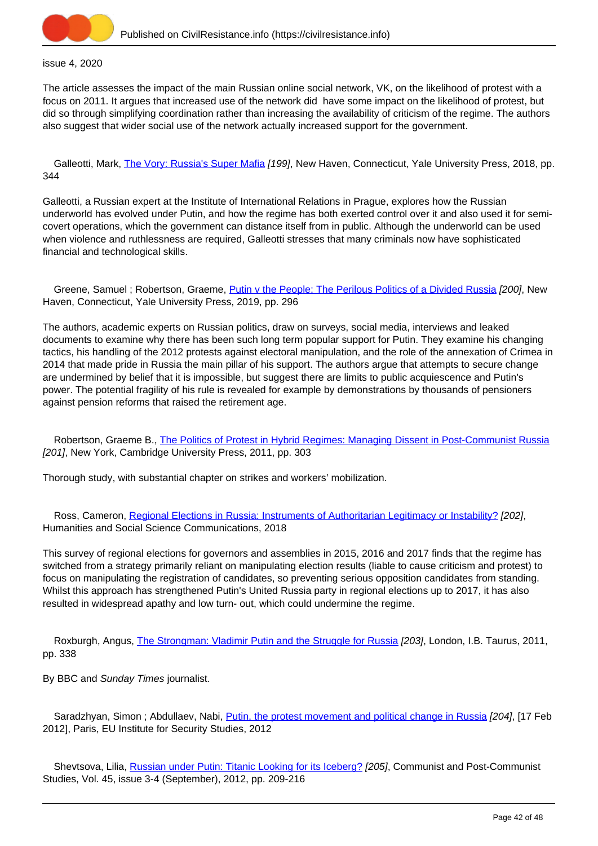

#### issue 4, 2020

The article assesses the impact of the main Russian online social network, VK, on the likelihood of protest with a focus on 2011. It argues that increased use of the network did have some impact on the likelihood of protest, but did so through simplifying coordination rather than increasing the availability of criticism of the regime. The authors also suggest that wider social use of the network actually increased support for the government.

Galleotti, Mark, [The Vory: Russia's Super Mafia](https://civilresistance.info/biblio-item/2018/vory-russias-super-mafia) [199], New Haven, Connecticut, Yale University Press, 2018, pp. 344

Galleotti, a Russian expert at the Institute of International Relations in Prague, explores how the Russian underworld has evolved under Putin, and how the regime has both exerted control over it and also used it for semicovert operations, which the government can distance itself from in public. Although the underworld can be used when violence and ruthlessness are required, Galleotti stresses that many criminals now have sophisticated financial and technological skills.

Greene, Samuel ; Robertson, Graeme, *Putin v the People: The Perilous Politics of a Divided Russia [200]*, New Haven, Connecticut, Yale University Press, 2019, pp. 296

The authors, academic experts on Russian politics, draw on surveys, social media, interviews and leaked documents to examine why there has been such long term popular support for Putin. They examine his changing tactics, his handling of the 2012 protests against electoral manipulation, and the role of the annexation of Crimea in 2014 that made pride in Russia the main pillar of his support. The authors argue that attempts to secure change are undermined by belief that it is impossible, but suggest there are limits to public acquiescence and Putin's power. The potential fragility of his rule is revealed for example by demonstrations by thousands of pensioners against pension reforms that raised the retirement age.

 Robertson, Graeme B., [The Politics of Protest in Hybrid Regimes: Managing Dissent in Post-Communist Russia](https://civilresistance.info/biblio-item/2011/politics-protest-hybrid-regimes-managing-dissent-post-communist-russia) [201], New York, Cambridge University Press, 2011, pp. 303

Thorough study, with substantial chapter on strikes and workers' mobilization.

 Ross, Cameron, [Regional Elections in Russia: Instruments of Authoritarian Legitimacy or Instability?](https://civilresistance.info/biblio-item/2018/regional-elections-russia-instruments-authoritarian-legitimacy-or-instability) [202], Humanities and Social Science Communications, 2018

This survey of regional elections for governors and assemblies in 2015, 2016 and 2017 finds that the regime has switched from a strategy primarily reliant on manipulating election results (liable to cause criticism and protest) to focus on manipulating the registration of candidates, so preventing serious opposition candidates from standing. Whilst this approach has strengthened Putin's United Russia party in regional elections up to 2017, it has also resulted in widespread apathy and low turn- out, which could undermine the regime.

Roxburgh, Angus, *The Strongman: Vladimir Putin and the Struggle for Russia [203]*, London, I.B. Taurus, 2011, pp. 338

By BBC and Sunday Times journalist.

Saradzhyan, Simon ; Abdullaev, Nabi, [Putin, the protest movement and political change in Russia](https://civilresistance.info/biblio-item/2012/putin-protest-movement-and-political-change-russia) [204], [17 Feb 2012], Paris, EU Institute for Security Studies, 2012

 Shevtsova, Lilia, [Russian under Putin: Titanic Looking for its Iceberg?](https://civilresistance.info/biblio-item/2012/russian-under-putin-titanic-looking-its-iceberg) [205], Communist and Post-Communist Studies, Vol. 45, issue 3-4 (September), 2012, pp. 209-216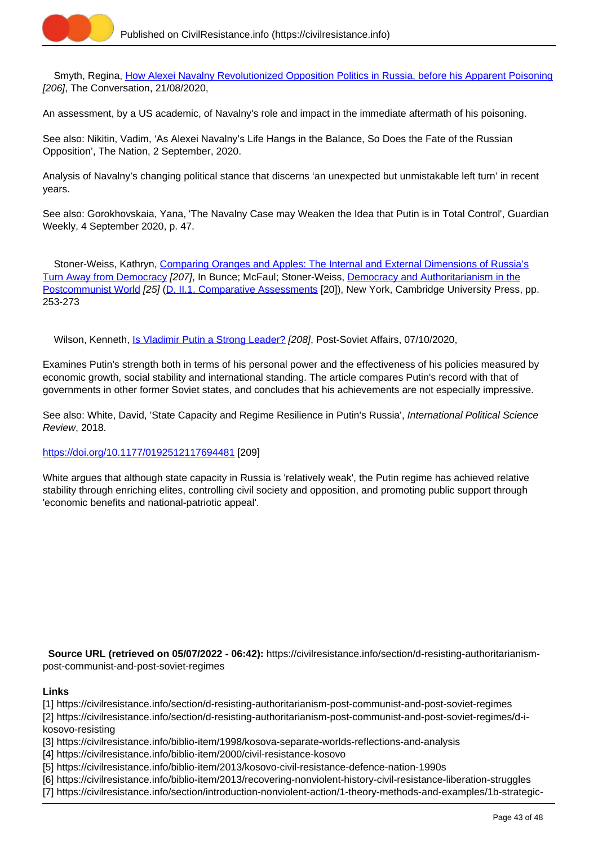

 Smyth, Regina, [How Alexei Navalny Revolutionized Opposition Politics in Russia, before his Apparent Poisoning](https://civilresistance.info/biblio-item/2020/how-alexei-navalny-revolutionized-opposition-politics-russia-his-apparent-poisoning) [206], The Conversation, 21/08/2020,

An assessment, by a US academic, of Navalny's role and impact in the immediate aftermath of his poisoning.

See also: Nikitin, Vadim, 'As Alexei Navalny's Life Hangs in the Balance, So Does the Fate of the Russian Opposition', The Nation, 2 September, 2020.

Analysis of Navalny's changing political stance that discerns 'an unexpected but unmistakable left turn' in recent years.

See also: Gorokhovskaia, Yana, 'The Navalny Case may Weaken the Idea that Putin is in Total Control', Guardian Weekly, 4 September 2020, p. 47.

 Stoner-Weiss, Kathryn, [Comparing Oranges and Apples: The Internal and External Dimensions of Russia's](https://civilresistance.info/biblio-item/2009/comparing-oranges-and-apples-internal-and-external-dimensions-russias-turn-away) [Turn Away from Democracy](https://civilresistance.info/biblio-item/2009/comparing-oranges-and-apples-internal-and-external-dimensions-russias-turn-away) [207], In Bunce; McFaul; Stoner-Weiss, [Democracy and Authoritarianism in the](https://civilresistance.info/biblio-item/2009/democracy-and-authoritarianism-postcommunist-world) [Postcommunist World](https://civilresistance.info/biblio-item/2009/democracy-and-authoritarianism-postcommunist-world) [25] [\(D. II.1. Comparative Assessments](https://civilresistance.info/section/d-resisting-authoritarianism-post-communist-and-post-soviet-regimes/d-ii-electoral-0) [20]), New York, Cambridge University Press, pp. 253-273

Wilson, Kenneth, [Is Vladimir Putin a Strong Leader?](https://civilresistance.info/biblio-item/2020/vladimir-putin-strong-leader) [208], Post-Soviet Affairs, 07/10/2020,

Examines Putin's strength both in terms of his personal power and the effectiveness of his policies measured by economic growth, social stability and international standing. The article compares Putin's record with that of governments in other former Soviet states, and concludes that his achievements are not especially impressive.

See also: White, David, 'State Capacity and Regime Resilience in Putin's Russia', International Political Science Review, 2018.

#### [https://doi.org/10.1177/0192512117694481](https://doi.org/10.1177%2F0192512117694481) [209]

White argues that although state capacity in Russia is 'relatively weak', the Putin regime has achieved relative stability through enriching elites, controlling civil society and opposition, and promoting public support through 'economic benefits and national-patriotic appeal'.

 **Source URL (retrieved on 05/07/2022 - 06:42):** https://civilresistance.info/section/d-resisting-authoritarianismpost-communist-and-post-soviet-regimes

#### **Links**

[1] https://civilresistance.info/section/d-resisting-authoritarianism-post-communist-and-post-soviet-regimes

[2] https://civilresistance.info/section/d-resisting-authoritarianism-post-communist-and-post-soviet-regimes/d-ikosovo-resisting

- [3] https://civilresistance.info/biblio-item/1998/kosova-separate-worlds-reflections-and-analysis
- [4] https://civilresistance.info/biblio-item/2000/civil-resistance-kosovo
- [5] https://civilresistance.info/biblio-item/2013/kosovo-civil-resistance-defence-nation-1990s
- [6] https://civilresistance.info/biblio-item/2013/recovering-nonviolent-history-civil-resistance-liberation-struggles
- [7] https://civilresistance.info/section/introduction-nonviolent-action/1-theory-methods-and-examples/1b-strategic-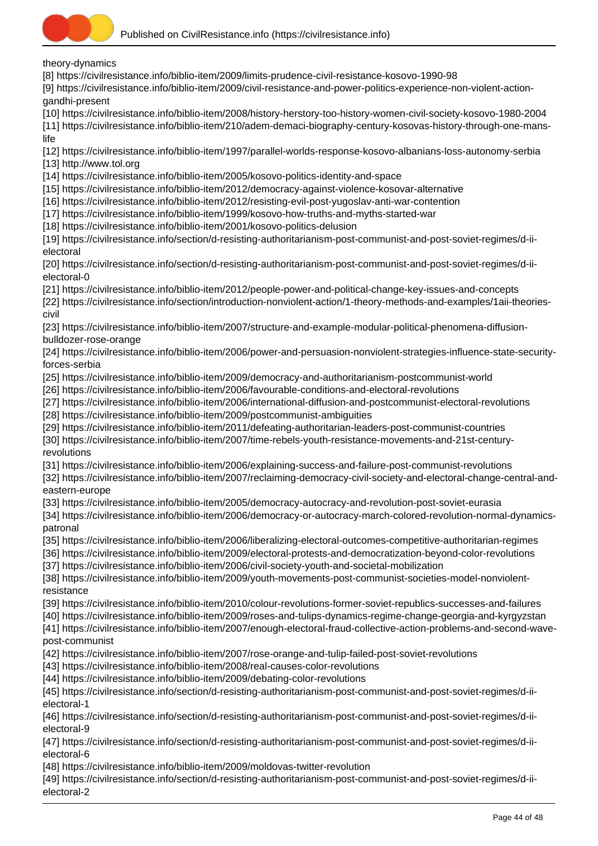

theory-dynamics

[8] https://civilresistance.info/biblio-item/2009/limits-prudence-civil-resistance-kosovo-1990-98

[9] https://civilresistance.info/biblio-item/2009/civil-resistance-and-power-politics-experience-non-violent-actiongandhi-present

[10] https://civilresistance.info/biblio-item/2008/history-herstory-too-history-women-civil-society-kosovo-1980-2004

[11] https://civilresistance.info/biblio-item/210/adem-demaci-biography-century-kosovas-history-through-one-manslife

[12] https://civilresistance.info/biblio-item/1997/parallel-worlds-response-kosovo-albanians-loss-autonomy-serbia

[13] http://www.tol.org

[14] https://civilresistance.info/biblio-item/2005/kosovo-politics-identity-and-space

[15] https://civilresistance.info/biblio-item/2012/democracy-against-violence-kosovar-alternative

[16] https://civilresistance.info/biblio-item/2012/resisting-evil-post-yugoslav-anti-war-contention

[17] https://civilresistance.info/biblio-item/1999/kosovo-how-truths-and-myths-started-war

[18] https://civilresistance.info/biblio-item/2001/kosovo-politics-delusion

[19] https://civilresistance.info/section/d-resisting-authoritarianism-post-communist-and-post-soviet-regimes/d-iielectoral

[20] https://civilresistance.info/section/d-resisting-authoritarianism-post-communist-and-post-soviet-regimes/d-iielectoral-0

[21] https://civilresistance.info/biblio-item/2012/people-power-and-political-change-key-issues-and-concepts

[22] https://civilresistance.info/section/introduction-nonviolent-action/1-theory-methods-and-examples/1aii-theoriescivil

[23] https://civilresistance.info/biblio-item/2007/structure-and-example-modular-political-phenomena-diffusionbulldozer-rose-orange

[24] https://civilresistance.info/biblio-item/2006/power-and-persuasion-nonviolent-strategies-influence-state-securityforces-serbia

[25] https://civilresistance.info/biblio-item/2009/democracy-and-authoritarianism-postcommunist-world

[26] https://civilresistance.info/biblio-item/2006/favourable-conditions-and-electoral-revolutions

[27] https://civilresistance.info/biblio-item/2006/international-diffusion-and-postcommunist-electoral-revolutions

[28] https://civilresistance.info/biblio-item/2009/postcommunist-ambiguities

[29] https://civilresistance.info/biblio-item/2011/defeating-authoritarian-leaders-post-communist-countries

[30] https://civilresistance.info/biblio-item/2007/time-rebels-youth-resistance-movements-and-21st-centuryrevolutions

[31] https://civilresistance.info/biblio-item/2006/explaining-success-and-failure-post-communist-revolutions

[32] https://civilresistance.info/biblio-item/2007/reclaiming-democracy-civil-society-and-electoral-change-central-andeastern-europe

[33] https://civilresistance.info/biblio-item/2005/democracy-autocracy-and-revolution-post-soviet-eurasia

[34] https://civilresistance.info/biblio-item/2006/democracy-or-autocracy-march-colored-revolution-normal-dynamicspatronal

[35] https://civilresistance.info/biblio-item/2006/liberalizing-electoral-outcomes-competitive-authoritarian-regimes

[36] https://civilresistance.info/biblio-item/2009/electoral-protests-and-democratization-beyond-color-revolutions

[37] https://civilresistance.info/biblio-item/2006/civil-society-youth-and-societal-mobilization

[38] https://civilresistance.info/biblio-item/2009/youth-movements-post-communist-societies-model-nonviolentresistance

[39] https://civilresistance.info/biblio-item/2010/colour-revolutions-former-soviet-republics-successes-and-failures

[40] https://civilresistance.info/biblio-item/2009/roses-and-tulips-dynamics-regime-change-georgia-and-kyrgyzstan

[41] https://civilresistance.info/biblio-item/2007/enough-electoral-fraud-collective-action-problems-and-second-wavepost-communist

[42] https://civilresistance.info/biblio-item/2007/rose-orange-and-tulip-failed-post-soviet-revolutions

[43] https://civilresistance.info/biblio-item/2008/real-causes-color-revolutions

[44] https://civilresistance.info/biblio-item/2009/debating-color-revolutions

[45] https://civilresistance.info/section/d-resisting-authoritarianism-post-communist-and-post-soviet-regimes/d-iielectoral-1

[46] https://civilresistance.info/section/d-resisting-authoritarianism-post-communist-and-post-soviet-regimes/d-iielectoral-9

[47] https://civilresistance.info/section/d-resisting-authoritarianism-post-communist-and-post-soviet-regimes/d-iielectoral-6

[48] https://civilresistance.info/biblio-item/2009/moldovas-twitter-revolution

[49] https://civilresistance.info/section/d-resisting-authoritarianism-post-communist-and-post-soviet-regimes/d-iielectoral-2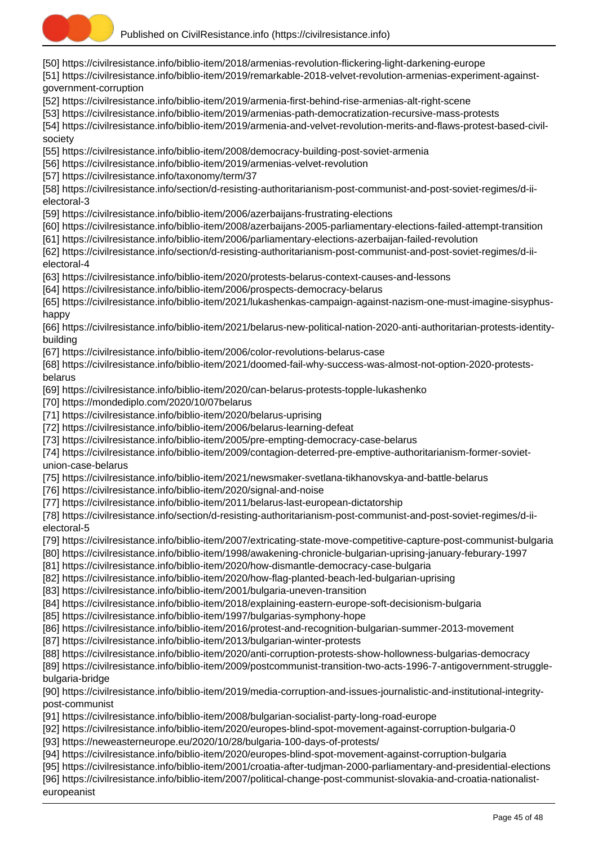

[50] https://civilresistance.info/biblio-item/2018/armenias-revolution-flickering-light-darkening-europe

[51] https://civilresistance.info/biblio-item/2019/remarkable-2018-velvet-revolution-armenias-experiment-againstgovernment-corruption

[52] https://civilresistance.info/biblio-item/2019/armenia-first-behind-rise-armenias-alt-right-scene

[53] https://civilresistance.info/biblio-item/2019/armenias-path-democratization-recursive-mass-protests

[54] https://civilresistance.info/biblio-item/2019/armenia-and-velvet-revolution-merits-and-flaws-protest-based-civilsociety

[55] https://civilresistance.info/biblio-item/2008/democracy-building-post-soviet-armenia

[56] https://civilresistance.info/biblio-item/2019/armenias-velvet-revolution

[57] https://civilresistance.info/taxonomy/term/37

[58] https://civilresistance.info/section/d-resisting-authoritarianism-post-communist-and-post-soviet-regimes/d-iielectoral-3

[59] https://civilresistance.info/biblio-item/2006/azerbaijans-frustrating-elections

[60] https://civilresistance.info/biblio-item/2008/azerbaijans-2005-parliamentary-elections-failed-attempt-transition

[61] https://civilresistance.info/biblio-item/2006/parliamentary-elections-azerbaijan-failed-revolution

[62] https://civilresistance.info/section/d-resisting-authoritarianism-post-communist-and-post-soviet-regimes/d-iielectoral-4

[63] https://civilresistance.info/biblio-item/2020/protests-belarus-context-causes-and-lessons

[64] https://civilresistance.info/biblio-item/2006/prospects-democracy-belarus

[65] https://civilresistance.info/biblio-item/2021/lukashenkas-campaign-against-nazism-one-must-imagine-sisyphushappy

[66] https://civilresistance.info/biblio-item/2021/belarus-new-political-nation-2020-anti-authoritarian-protests-identitybuilding

[67] https://civilresistance.info/biblio-item/2006/color-revolutions-belarus-case

[68] https://civilresistance.info/biblio-item/2021/doomed-fail-why-success-was-almost-not-option-2020-protestsbelarus

[69] https://civilresistance.info/biblio-item/2020/can-belarus-protests-topple-lukashenko

[70] https://mondediplo.com/2020/10/07belarus

[71] https://civilresistance.info/biblio-item/2020/belarus-uprising

[72] https://civilresistance.info/biblio-item/2006/belarus-learning-defeat

[73] https://civilresistance.info/biblio-item/2005/pre-empting-democracy-case-belarus

[74] https://civilresistance.info/biblio-item/2009/contagion-deterred-pre-emptive-authoritarianism-former-sovietunion-case-belarus

- [75] https://civilresistance.info/biblio-item/2021/newsmaker-svetlana-tikhanovskya-and-battle-belarus
- [76] https://civilresistance.info/biblio-item/2020/signal-and-noise

[77] https://civilresistance.info/biblio-item/2011/belarus-last-european-dictatorship

[78] https://civilresistance.info/section/d-resisting-authoritarianism-post-communist-and-post-soviet-regimes/d-iielectoral-5

[79] https://civilresistance.info/biblio-item/2007/extricating-state-move-competitive-capture-post-communist-bulgaria

[80] https://civilresistance.info/biblio-item/1998/awakening-chronicle-bulgarian-uprising-january-feburary-1997

[81] https://civilresistance.info/biblio-item/2020/how-dismantle-democracy-case-bulgaria

[82] https://civilresistance.info/biblio-item/2020/how-flag-planted-beach-led-bulgarian-uprising

[83] https://civilresistance.info/biblio-item/2001/bulgaria-uneven-transition

[84] https://civilresistance.info/biblio-item/2018/explaining-eastern-europe-soft-decisionism-bulgaria

[85] https://civilresistance.info/biblio-item/1997/bulgarias-symphony-hope

[86] https://civilresistance.info/biblio-item/2016/protest-and-recognition-bulgarian-summer-2013-movement

[87] https://civilresistance.info/biblio-item/2013/bulgarian-winter-protests

[88] https://civilresistance.info/biblio-item/2020/anti-corruption-protests-show-hollowness-bulgarias-democracy

[89] https://civilresistance.info/biblio-item/2009/postcommunist-transition-two-acts-1996-7-antigovernment-strugglebulgaria-bridge

[90] https://civilresistance.info/biblio-item/2019/media-corruption-and-issues-journalistic-and-institutional-integritypost-communist

[91] https://civilresistance.info/biblio-item/2008/bulgarian-socialist-party-long-road-europe

[92] https://civilresistance.info/biblio-item/2020/europes-blind-spot-movement-against-corruption-bulgaria-0

[93] https://neweasterneurope.eu/2020/10/28/bulgaria-100-days-of-protests/

[94] https://civilresistance.info/biblio-item/2020/europes-blind-spot-movement-against-corruption-bulgaria

[95] https://civilresistance.info/biblio-item/2001/croatia-after-tudjman-2000-parliamentary-and-presidential-elections [96] https://civilresistance.info/biblio-item/2007/political-change-post-communist-slovakia-and-croatia-nationalisteuropeanist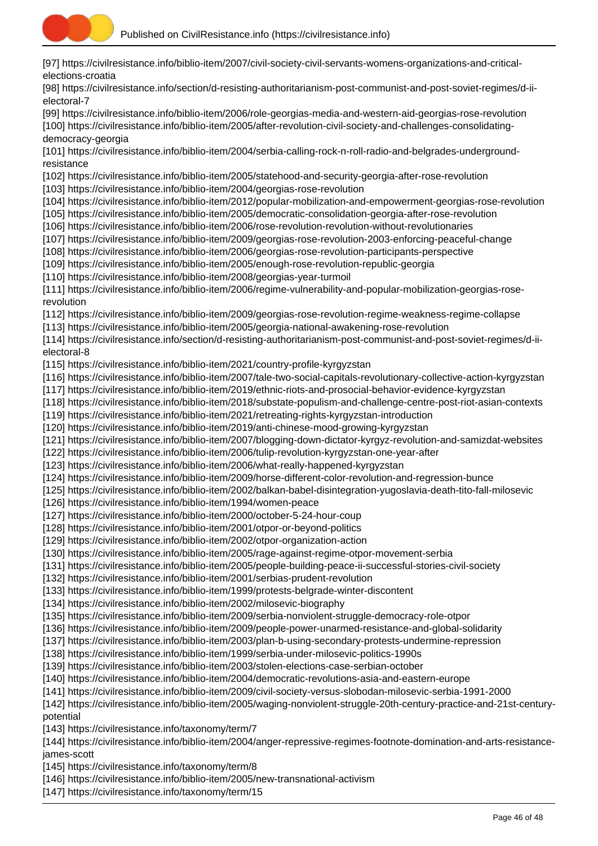

[97] https://civilresistance.info/biblio-item/2007/civil-society-civil-servants-womens-organizations-and-criticalelections-croatia [98] https://civilresistance.info/section/d-resisting-authoritarianism-post-communist-and-post-soviet-regimes/d-ii-

electoral-7

[99] https://civilresistance.info/biblio-item/2006/role-georgias-media-and-western-aid-georgias-rose-revolution [100] https://civilresistance.info/biblio-item/2005/after-revolution-civil-society-and-challenges-consolidatingdemocracy-georgia

[101] https://civilresistance.info/biblio-item/2004/serbia-calling-rock-n-roll-radio-and-belgrades-undergroundresistance

[102] https://civilresistance.info/biblio-item/2005/statehood-and-security-georgia-after-rose-revolution

[103] https://civilresistance.info/biblio-item/2004/georgias-rose-revolution

[104] https://civilresistance.info/biblio-item/2012/popular-mobilization-and-empowerment-georgias-rose-revolution

[105] https://civilresistance.info/biblio-item/2005/democratic-consolidation-georgia-after-rose-revolution

[106] https://civilresistance.info/biblio-item/2006/rose-revolution-revolution-without-revolutionaries

[107] https://civilresistance.info/biblio-item/2009/georgias-rose-revolution-2003-enforcing-peaceful-change

[108] https://civilresistance.info/biblio-item/2006/georgias-rose-revolution-participants-perspective

[109] https://civilresistance.info/biblio-item/2005/enough-rose-revolution-republic-georgia

[110] https://civilresistance.info/biblio-item/2008/georgias-year-turmoil

[111] https://civilresistance.info/biblio-item/2006/regime-vulnerability-and-popular-mobilization-georgias-roserevolution

[112] https://civilresistance.info/biblio-item/2009/georgias-rose-revolution-regime-weakness-regime-collapse

[113] https://civilresistance.info/biblio-item/2005/georgia-national-awakening-rose-revolution

[114] https://civilresistance.info/section/d-resisting-authoritarianism-post-communist-and-post-soviet-regimes/d-iielectoral-8

[115] https://civilresistance.info/biblio-item/2021/country-profile-kyrgyzstan

[116] https://civilresistance.info/biblio-item/2007/tale-two-social-capitals-revolutionary-collective-action-kyrgyzstan

[117] https://civilresistance.info/biblio-item/2019/ethnic-riots-and-prosocial-behavior-evidence-kyrgyzstan

[118] https://civilresistance.info/biblio-item/2018/substate-populism-and-challenge-centre-post-riot-asian-contexts

[119] https://civilresistance.info/biblio-item/2021/retreating-rights-kyrgyzstan-introduction

[120] https://civilresistance.info/biblio-item/2019/anti-chinese-mood-growing-kyrgyzstan

[121] https://civilresistance.info/biblio-item/2007/blogging-down-dictator-kyrgyz-revolution-and-samizdat-websites

[122] https://civilresistance.info/biblio-item/2006/tulip-revolution-kyrgyzstan-one-year-after

[123] https://civilresistance.info/biblio-item/2006/what-really-happened-kyrgyzstan

[124] https://civilresistance.info/biblio-item/2009/horse-different-color-revolution-and-regression-bunce

[125] https://civilresistance.info/biblio-item/2002/balkan-babel-disintegration-yugoslavia-death-tito-fall-milosevic

[126] https://civilresistance.info/biblio-item/1994/women-peace

[127] https://civilresistance.info/biblio-item/2000/october-5-24-hour-coup

[128] https://civilresistance.info/biblio-item/2001/otpor-or-beyond-politics

[129] https://civilresistance.info/biblio-item/2002/otpor-organization-action

[130] https://civilresistance.info/biblio-item/2005/rage-against-regime-otpor-movement-serbia

[131] https://civilresistance.info/biblio-item/2005/people-building-peace-ii-successful-stories-civil-society

[132] https://civilresistance.info/biblio-item/2001/serbias-prudent-revolution

[133] https://civilresistance.info/biblio-item/1999/protests-belgrade-winter-discontent

[134] https://civilresistance.info/biblio-item/2002/milosevic-biography

[135] https://civilresistance.info/biblio-item/2009/serbia-nonviolent-struggle-democracy-role-otpor

[136] https://civilresistance.info/biblio-item/2009/people-power-unarmed-resistance-and-global-solidarity

[137] https://civilresistance.info/biblio-item/2003/plan-b-using-secondary-protests-undermine-repression

[138] https://civilresistance.info/biblio-item/1999/serbia-under-milosevic-politics-1990s

[139] https://civilresistance.info/biblio-item/2003/stolen-elections-case-serbian-october

[140] https://civilresistance.info/biblio-item/2004/democratic-revolutions-asia-and-eastern-europe

[141] https://civilresistance.info/biblio-item/2009/civil-society-versus-slobodan-milosevic-serbia-1991-2000

[142] https://civilresistance.info/biblio-item/2005/waging-nonviolent-struggle-20th-century-practice-and-21st-centurypotential

[143] https://civilresistance.info/taxonomy/term/7

[144] https://civilresistance.info/biblio-item/2004/anger-repressive-regimes-footnote-domination-and-arts-resistancejames-scott

[145] https://civilresistance.info/taxonomy/term/8

[146] https://civilresistance.info/biblio-item/2005/new-transnational-activism

[147] https://civilresistance.info/taxonomy/term/15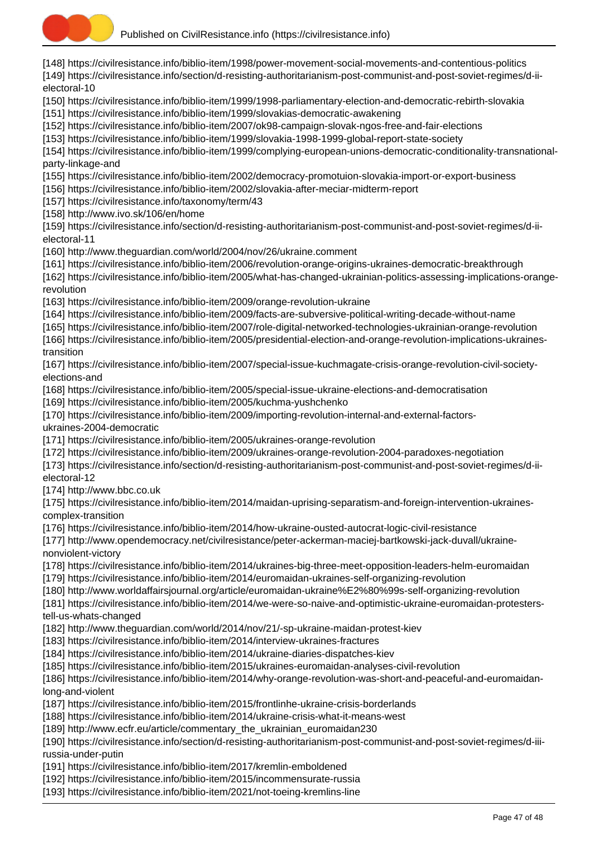

[148] https://civilresistance.info/biblio-item/1998/power-movement-social-movements-and-contentious-politics [149] https://civilresistance.info/section/d-resisting-authoritarianism-post-communist-and-post-soviet-regimes/d-iielectoral-10 [150] https://civilresistance.info/biblio-item/1999/1998-parliamentary-election-and-democratic-rebirth-slovakia [151] https://civilresistance.info/biblio-item/1999/slovakias-democratic-awakening [152] https://civilresistance.info/biblio-item/2007/ok98-campaign-slovak-ngos-free-and-fair-elections [153] https://civilresistance.info/biblio-item/1999/slovakia-1998-1999-global-report-state-society [154] https://civilresistance.info/biblio-item/1999/complying-european-unions-democratic-conditionality-transnationalparty-linkage-and [155] https://civilresistance.info/biblio-item/2002/democracy-promotuion-slovakia-import-or-export-business [156] https://civilresistance.info/biblio-item/2002/slovakia-after-meciar-midterm-report [157] https://civilresistance.info/taxonomy/term/43 [158] http://www.ivo.sk/106/en/home [159] https://civilresistance.info/section/d-resisting-authoritarianism-post-communist-and-post-soviet-regimes/d-iielectoral-11 [160] http://www.theguardian.com/world/2004/nov/26/ukraine.comment [161] https://civilresistance.info/biblio-item/2006/revolution-orange-origins-ukraines-democratic-breakthrough [162] https://civilresistance.info/biblio-item/2005/what-has-changed-ukrainian-politics-assessing-implications-orangerevolution [163] https://civilresistance.info/biblio-item/2009/orange-revolution-ukraine [164] https://civilresistance.info/biblio-item/2009/facts-are-subversive-political-writing-decade-without-name [165] https://civilresistance.info/biblio-item/2007/role-digital-networked-technologies-ukrainian-orange-revolution [166] https://civilresistance.info/biblio-item/2005/presidential-election-and-orange-revolution-implications-ukrainestransition [167] https://civilresistance.info/biblio-item/2007/special-issue-kuchmagate-crisis-orange-revolution-civil-societyelections-and [168] https://civilresistance.info/biblio-item/2005/special-issue-ukraine-elections-and-democratisation [169] https://civilresistance.info/biblio-item/2005/kuchma-yushchenko [170] https://civilresistance.info/biblio-item/2009/importing-revolution-internal-and-external-factorsukraines-2004-democratic [171] https://civilresistance.info/biblio-item/2005/ukraines-orange-revolution [172] https://civilresistance.info/biblio-item/2009/ukraines-orange-revolution-2004-paradoxes-negotiation [173] https://civilresistance.info/section/d-resisting-authoritarianism-post-communist-and-post-soviet-regimes/d-iielectoral-12 [174] http://www.bbc.co.uk [175] https://civilresistance.info/biblio-item/2014/maidan-uprising-separatism-and-foreign-intervention-ukrainescomplex-transition [176] https://civilresistance.info/biblio-item/2014/how-ukraine-ousted-autocrat-logic-civil-resistance [177] http://www.opendemocracy.net/civilresistance/peter-ackerman-maciej-bartkowski-jack-duvall/ukrainenonviolent-victory [178] https://civilresistance.info/biblio-item/2014/ukraines-big-three-meet-opposition-leaders-helm-euromaidan [179] https://civilresistance.info/biblio-item/2014/euromaidan-ukraines-self-organizing-revolution [180] http://www.worldaffairsjournal.org/article/euromaidan-ukraine%E2%80%99s-self-organizing-revolution [181] https://civilresistance.info/biblio-item/2014/we-were-so-naive-and-optimistic-ukraine-euromaidan-protesterstell-us-whats-changed [182] http://www.theguardian.com/world/2014/nov/21/-sp-ukraine-maidan-protest-kiev [183] https://civilresistance.info/biblio-item/2014/interview-ukraines-fractures [184] https://civilresistance.info/biblio-item/2014/ukraine-diaries-dispatches-kiev [185] https://civilresistance.info/biblio-item/2015/ukraines-euromaidan-analyses-civil-revolution [186] https://civilresistance.info/biblio-item/2014/why-orange-revolution-was-short-and-peaceful-and-euromaidanlong-and-violent [187] https://civilresistance.info/biblio-item/2015/frontlinhe-ukraine-crisis-borderlands [188] https://civilresistance.info/biblio-item/2014/ukraine-crisis-what-it-means-west [189] http://www.ecfr.eu/article/commentary\_the\_ukrainian\_euromaidan230 [190] https://civilresistance.info/section/d-resisting-authoritarianism-post-communist-and-post-soviet-regimes/d-iiirussia-under-putin [191] https://civilresistance.info/biblio-item/2017/kremlin-emboldened [192] https://civilresistance.info/biblio-item/2015/incommensurate-russia [193] https://civilresistance.info/biblio-item/2021/not-toeing-kremlins-line